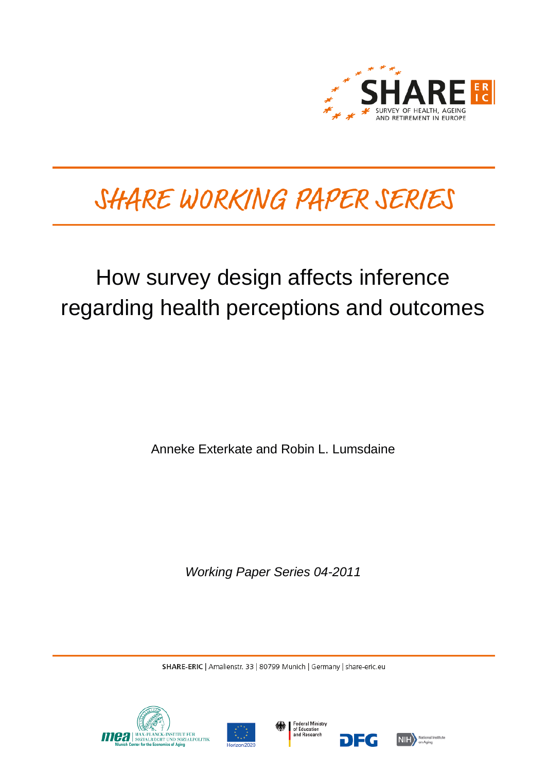

# SHARE WORKING PAPER SERIES

## How survey design affects inference regarding health perceptions and outcomes

Anneke Exterkate and Robin L. Lumsdaine

*Working Paper Series 04-2011*

SHARE-ERIC | Amalienstr. 33 | 80799 Munich | Germany | share-eric.eu







DEG

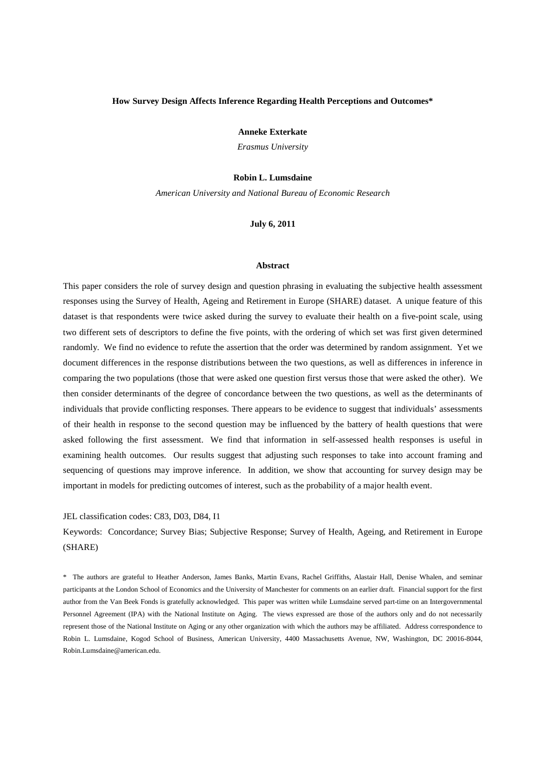## **How Survey Design Affects Inference Regarding Health Perceptions and Outcomes\***

**Anneke Exterkate**

*Erasmus University*

## **Robin L. Lumsdaine**

*American University and National Bureau of Economic Research* 

**July 6, 2011** 

## **Abstract**

This paper considers the role of survey design and question phrasing in evaluating the subjective health assessment responses using the Survey of Health, Ageing and Retirement in Europe (SHARE) dataset. A unique feature of this dataset is that respondents were twice asked during the survey to evaluate their health on a five-point scale, using two different sets of descriptors to define the five points, with the ordering of which set was first given determined randomly. We find no evidence to refute the assertion that the order was determined by random assignment. Yet we document differences in the response distributions between the two questions, as well as differences in inference in comparing the two populations (those that were asked one question first versus those that were asked the other). We then consider determinants of the degree of concordance between the two questions, as well as the determinants of individuals that provide conflicting responses. There appears to be evidence to suggest that individuals' assessments of their health in response to the second question may be influenced by the battery of health questions that were asked following the first assessment. We find that information in self-assessed health responses is useful in examining health outcomes. Our results suggest that adjusting such responses to take into account framing and sequencing of questions may improve inference. In addition, we show that accounting for survey design may be important in models for predicting outcomes of interest, such as the probability of a major health event.

## JEL classification codes: C83, D03, D84, I1

Keywords: Concordance; Survey Bias; Subjective Response; Survey of Health, Ageing, and Retirement in Europe (SHARE)

\* The authors are grateful to Heather Anderson, James Banks, Martin Evans, Rachel Griffiths, Alastair Hall, Denise Whalen, and seminar participants at the London School of Economics and the University of Manchester for comments on an earlier draft. Financial support for the first author from the Van Beek Fonds is gratefully acknowledged. This paper was written while Lumsdaine served part-time on an Intergovernmental Personnel Agreement (IPA) with the National Institute on Aging. The views expressed are those of the authors only and do not necessarily represent those of the National Institute on Aging or any other organization with which the authors may be affiliated. Address correspondence to Robin L. Lumsdaine, Kogod School of Business, American University, 4400 Massachusetts Avenue, NW, Washington, DC 20016-8044, Robin.Lumsdaine@american.edu.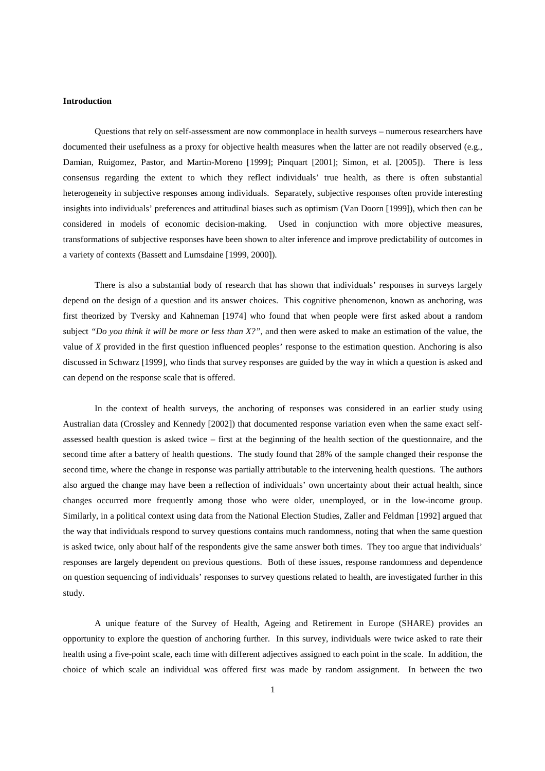### **Introduction**

Questions that rely on self-assessment are now commonplace in health surveys – numerous researchers have documented their usefulness as a proxy for objective health measures when the latter are not readily observed (e.g., Damian, Ruigomez, Pastor, and Martin-Moreno [1999]; Pinquart [2001]; Simon, et al. [2005]). There is less consensus regarding the extent to which they reflect individuals' true health, as there is often substantial heterogeneity in subjective responses among individuals. Separately, subjective responses often provide interesting insights into individuals' preferences and attitudinal biases such as optimism (Van Doorn [1999]), which then can be considered in models of economic decision-making. Used in conjunction with more objective measures, transformations of subjective responses have been shown to alter inference and improve predictability of outcomes in a variety of contexts (Bassett and Lumsdaine [1999, 2000]).

 There is also a substantial body of research that has shown that individuals' responses in surveys largely depend on the design of a question and its answer choices. This cognitive phenomenon, known as anchoring, was first theorized by Tversky and Kahneman [1974] who found that when people were first asked about a random subject *"Do you think it will be more or less than X?"*, and then were asked to make an estimation of the value, the value of *X* provided in the first question influenced peoples' response to the estimation question. Anchoring is also discussed in Schwarz [1999], who finds that survey responses are guided by the way in which a question is asked and can depend on the response scale that is offered.

In the context of health surveys, the anchoring of responses was considered in an earlier study using Australian data (Crossley and Kennedy [2002]) that documented response variation even when the same exact selfassessed health question is asked twice – first at the beginning of the health section of the questionnaire, and the second time after a battery of health questions. The study found that 28% of the sample changed their response the second time, where the change in response was partially attributable to the intervening health questions. The authors also argued the change may have been a reflection of individuals' own uncertainty about their actual health, since changes occurred more frequently among those who were older, unemployed, or in the low-income group. Similarly, in a political context using data from the National Election Studies, Zaller and Feldman [1992] argued that the way that individuals respond to survey questions contains much randomness, noting that when the same question is asked twice, only about half of the respondents give the same answer both times. They too argue that individuals' responses are largely dependent on previous questions. Both of these issues, response randomness and dependence on question sequencing of individuals' responses to survey questions related to health, are investigated further in this study.

 A unique feature of the Survey of Health, Ageing and Retirement in Europe (SHARE) provides an opportunity to explore the question of anchoring further. In this survey, individuals were twice asked to rate their health using a five-point scale, each time with different adjectives assigned to each point in the scale. In addition, the choice of which scale an individual was offered first was made by random assignment. In between the two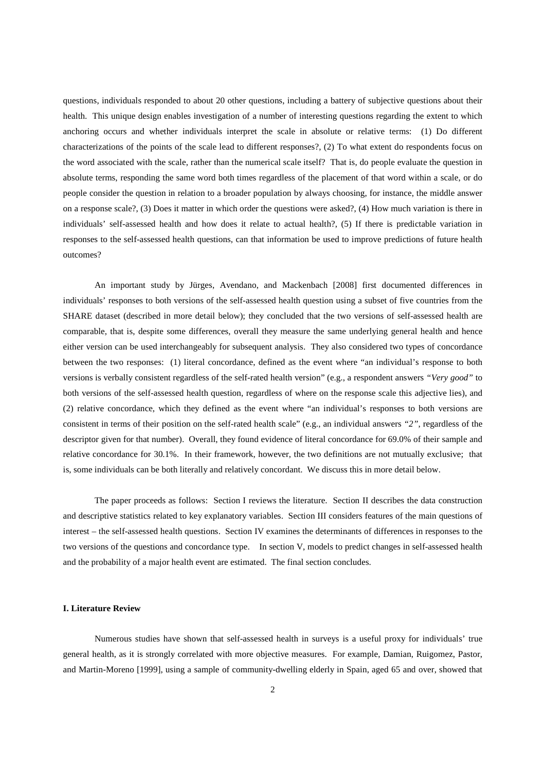questions, individuals responded to about 20 other questions, including a battery of subjective questions about their health. This unique design enables investigation of a number of interesting questions regarding the extent to which anchoring occurs and whether individuals interpret the scale in absolute or relative terms: (1) Do different characterizations of the points of the scale lead to different responses?, (2) To what extent do respondents focus on the word associated with the scale, rather than the numerical scale itself? That is, do people evaluate the question in absolute terms, responding the same word both times regardless of the placement of that word within a scale, or do people consider the question in relation to a broader population by always choosing, for instance, the middle answer on a response scale?, (3) Does it matter in which order the questions were asked?, (4) How much variation is there in individuals' self-assessed health and how does it relate to actual health?, (5) If there is predictable variation in responses to the self-assessed health questions, can that information be used to improve predictions of future health outcomes?

 An important study by Jürges, Avendano, and Mackenbach [2008] first documented differences in individuals' responses to both versions of the self-assessed health question using a subset of five countries from the SHARE dataset (described in more detail below); they concluded that the two versions of self-assessed health are comparable, that is, despite some differences, overall they measure the same underlying general health and hence either version can be used interchangeably for subsequent analysis. They also considered two types of concordance between the two responses: (1) literal concordance, defined as the event where "an individual's response to both versions is verbally consistent regardless of the self-rated health version" (e.g., a respondent answers *"Very good"* to both versions of the self-assessed health question, regardless of where on the response scale this adjective lies), and (2) relative concordance, which they defined as the event where "an individual's responses to both versions are consistent in terms of their position on the self-rated health scale" (e.g., an individual answers *"2"*, regardless of the descriptor given for that number). Overall, they found evidence of literal concordance for 69.0% of their sample and relative concordance for 30.1%. In their framework, however, the two definitions are not mutually exclusive; that is, some individuals can be both literally and relatively concordant. We discuss this in more detail below.

 The paper proceeds as follows: Section I reviews the literature. Section II describes the data construction and descriptive statistics related to key explanatory variables. Section III considers features of the main questions of interest – the self-assessed health questions. Section IV examines the determinants of differences in responses to the two versions of the questions and concordance type. In section V, models to predict changes in self-assessed health and the probability of a major health event are estimated. The final section concludes.

## **I. Literature Review**

 Numerous studies have shown that self-assessed health in surveys is a useful proxy for individuals' true general health, as it is strongly correlated with more objective measures. For example, Damian, Ruigomez, Pastor, and Martin-Moreno [1999], using a sample of community-dwelling elderly in Spain, aged 65 and over, showed that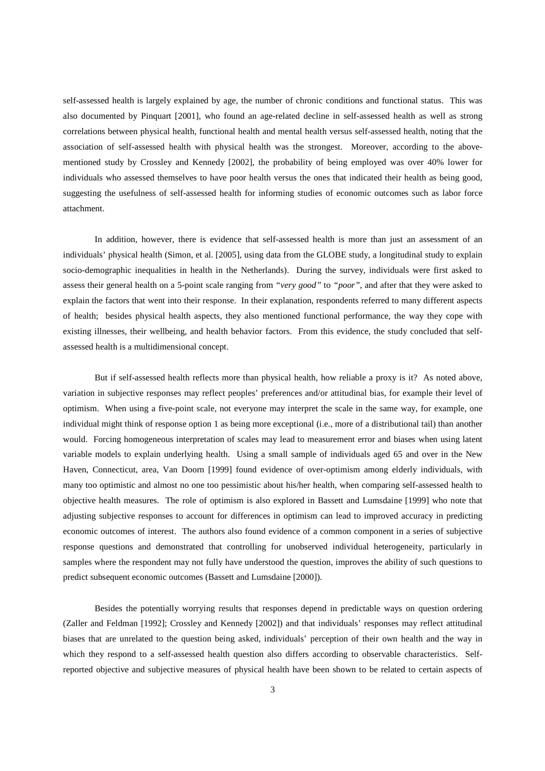self-assessed health is largely explained by age, the number of chronic conditions and functional status. This was also documented by Pinquart [2001], who found an age-related decline in self-assessed health as well as strong correlations between physical health, functional health and mental health versus self-assessed health, noting that the association of self-assessed health with physical health was the strongest. Moreover, according to the abovementioned study by Crossley and Kennedy [2002], the probability of being employed was over 40% lower for individuals who assessed themselves to have poor health versus the ones that indicated their health as being good, suggesting the usefulness of self-assessed health for informing studies of economic outcomes such as labor force attachment.

 In addition, however, there is evidence that self-assessed health is more than just an assessment of an individuals' physical health (Simon, et al. [2005], using data from the GLOBE study, a longitudinal study to explain socio-demographic inequalities in health in the Netherlands). During the survey, individuals were first asked to assess their general health on a 5-point scale ranging from *"very good"* to *"poor"*, and after that they were asked to explain the factors that went into their response. In their explanation, respondents referred to many different aspects of health; besides physical health aspects, they also mentioned functional performance, the way they cope with existing illnesses, their wellbeing, and health behavior factors. From this evidence, the study concluded that selfassessed health is a multidimensional concept.

 But if self-assessed health reflects more than physical health, how reliable a proxy is it? As noted above, variation in subjective responses may reflect peoples' preferences and/or attitudinal bias, for example their level of optimism. When using a five-point scale, not everyone may interpret the scale in the same way, for example, one individual might think of response option 1 as being more exceptional (i.e., more of a distributional tail) than another would. Forcing homogeneous interpretation of scales may lead to measurement error and biases when using latent variable models to explain underlying health. Using a small sample of individuals aged 65 and over in the New Haven, Connecticut, area, Van Doorn [1999] found evidence of over-optimism among elderly individuals, with many too optimistic and almost no one too pessimistic about his/her health, when comparing self-assessed health to objective health measures. The role of optimism is also explored in Bassett and Lumsdaine [1999] who note that adjusting subjective responses to account for differences in optimism can lead to improved accuracy in predicting economic outcomes of interest. The authors also found evidence of a common component in a series of subjective response questions and demonstrated that controlling for unobserved individual heterogeneity, particularly in samples where the respondent may not fully have understood the question, improves the ability of such questions to predict subsequent economic outcomes (Bassett and Lumsdaine [2000]).

 Besides the potentially worrying results that responses depend in predictable ways on question ordering (Zaller and Feldman [1992]; Crossley and Kennedy [2002]) and that individuals' responses may reflect attitudinal biases that are unrelated to the question being asked, individuals' perception of their own health and the way in which they respond to a self-assessed health question also differs according to observable characteristics. Selfreported objective and subjective measures of physical health have been shown to be related to certain aspects of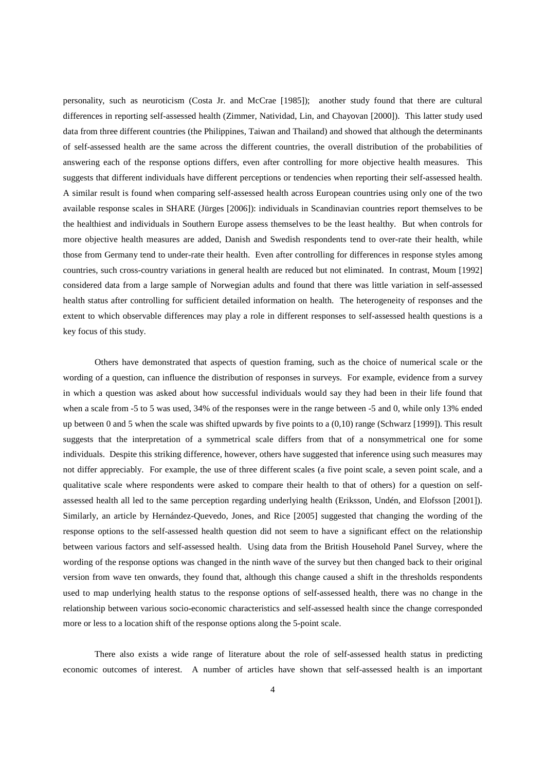personality, such as neuroticism (Costa Jr. and McCrae [1985]); another study found that there are cultural differences in reporting self-assessed health (Zimmer, Natividad, Lin, and Chayovan [2000]). This latter study used data from three different countries (the Philippines, Taiwan and Thailand) and showed that although the determinants of self-assessed health are the same across the different countries, the overall distribution of the probabilities of answering each of the response options differs, even after controlling for more objective health measures. This suggests that different individuals have different perceptions or tendencies when reporting their self-assessed health. A similar result is found when comparing self-assessed health across European countries using only one of the two available response scales in SHARE (Jürges [2006]): individuals in Scandinavian countries report themselves to be the healthiest and individuals in Southern Europe assess themselves to be the least healthy. But when controls for more objective health measures are added, Danish and Swedish respondents tend to over-rate their health, while those from Germany tend to under-rate their health. Even after controlling for differences in response styles among countries, such cross-country variations in general health are reduced but not eliminated. In contrast, Moum [1992] considered data from a large sample of Norwegian adults and found that there was little variation in self-assessed health status after controlling for sufficient detailed information on health. The heterogeneity of responses and the extent to which observable differences may play a role in different responses to self-assessed health questions is a key focus of this study.

 Others have demonstrated that aspects of question framing, such as the choice of numerical scale or the wording of a question, can influence the distribution of responses in surveys. For example, evidence from a survey in which a question was asked about how successful individuals would say they had been in their life found that when a scale from -5 to 5 was used, 34% of the responses were in the range between -5 and 0, while only 13% ended up between 0 and 5 when the scale was shifted upwards by five points to a (0,10) range (Schwarz [1999]). This result suggests that the interpretation of a symmetrical scale differs from that of a nonsymmetrical one for some individuals. Despite this striking difference, however, others have suggested that inference using such measures may not differ appreciably. For example, the use of three different scales (a five point scale, a seven point scale, and a qualitative scale where respondents were asked to compare their health to that of others) for a question on selfassessed health all led to the same perception regarding underlying health (Eriksson, Undén, and Elofsson [2001]). Similarly, an article by Hernández-Quevedo, Jones, and Rice [2005] suggested that changing the wording of the response options to the self-assessed health question did not seem to have a significant effect on the relationship between various factors and self-assessed health. Using data from the British Household Panel Survey, where the wording of the response options was changed in the ninth wave of the survey but then changed back to their original version from wave ten onwards, they found that, although this change caused a shift in the thresholds respondents used to map underlying health status to the response options of self-assessed health, there was no change in the relationship between various socio-economic characteristics and self-assessed health since the change corresponded more or less to a location shift of the response options along the 5-point scale.

 There also exists a wide range of literature about the role of self-assessed health status in predicting economic outcomes of interest. A number of articles have shown that self-assessed health is an important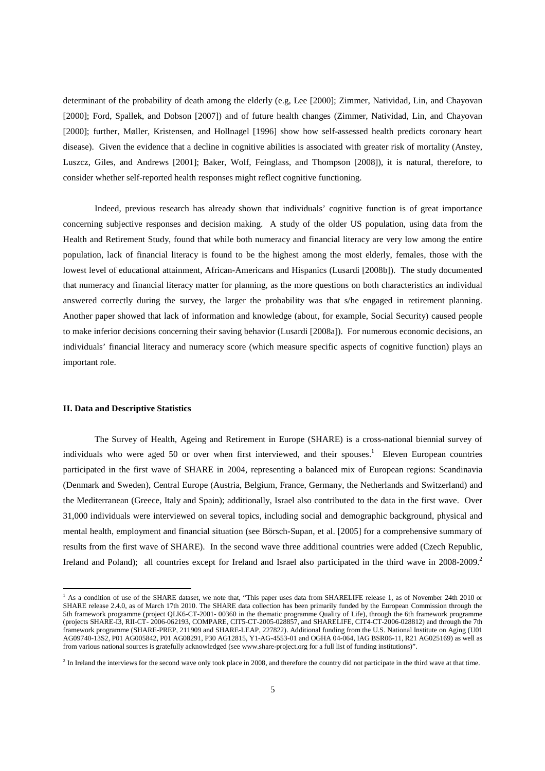determinant of the probability of death among the elderly (e.g, Lee [2000]; Zimmer, Natividad, Lin, and Chayovan [2000]; Ford, Spallek, and Dobson [2007]) and of future health changes (Zimmer, Natividad, Lin, and Chayovan [2000]; further, Møller, Kristensen, and Hollnagel [1996] show how self-assessed health predicts coronary heart disease). Given the evidence that a decline in cognitive abilities is associated with greater risk of mortality (Anstey, Luszcz, Giles, and Andrews [2001]; Baker, Wolf, Feinglass, and Thompson [2008]), it is natural, therefore, to consider whether self-reported health responses might reflect cognitive functioning.

 Indeed, previous research has already shown that individuals' cognitive function is of great importance concerning subjective responses and decision making. A study of the older US population, using data from the Health and Retirement Study, found that while both numeracy and financial literacy are very low among the entire population, lack of financial literacy is found to be the highest among the most elderly, females, those with the lowest level of educational attainment, African-Americans and Hispanics (Lusardi [2008b]). The study documented that numeracy and financial literacy matter for planning, as the more questions on both characteristics an individual answered correctly during the survey, the larger the probability was that s/he engaged in retirement planning. Another paper showed that lack of information and knowledge (about, for example, Social Security) caused people to make inferior decisions concerning their saving behavior (Lusardi [2008a]). For numerous economic decisions, an individuals' financial literacy and numeracy score (which measure specific aspects of cognitive function) plays an important role.

#### **II. Data and Descriptive Statistics**

l,

 The Survey of Health, Ageing and Retirement in Europe (SHARE) is a cross-national biennial survey of individuals who were aged 50 or over when first interviewed, and their spouses.<sup>1</sup> Eleven European countries participated in the first wave of SHARE in 2004, representing a balanced mix of European regions: Scandinavia (Denmark and Sweden), Central Europe (Austria, Belgium, France, Germany, the Netherlands and Switzerland) and the Mediterranean (Greece, Italy and Spain); additionally, Israel also contributed to the data in the first wave. Over 31,000 individuals were interviewed on several topics, including social and demographic background, physical and mental health, employment and financial situation (see Börsch-Supan, et al. [2005] for a comprehensive summary of results from the first wave of SHARE). In the second wave three additional countries were added (Czech Republic, Ireland and Poland); all countries except for Ireland and Israel also participated in the third wave in 2008-2009.<sup>2</sup>

<sup>1</sup> As a condition of use of the SHARE dataset, we note that, "This paper uses data from SHARELIFE release 1, as of November 24th 2010 or SHARE release 2.4.0, as of March 17th 2010. The SHARE data collection has been primarily funded by the European Commission through the 5th framework programme (project QLK6-CT-2001- 00360 in the thematic programme Quality of Life), through the 6th framework programme (projects SHARE-I3, RII-CT- 2006-062193, COMPARE, CIT5-CT-2005-028857, and SHARELIFE, CIT4-CT-2006-028812) and through the 7th framework programme (SHARE-PREP, 211909 and SHARE-LEAP, 227822). Additional funding from the U.S. National Institute on Aging (U01 AG09740-13S2, P01 AG005842, P01 AG08291, P30 AG12815, Y1-AG-4553-01 and OGHA 04-064, IAG BSR06-11, R21 AG025169) as well as from various national sources is gratefully acknowledged (see www.share-project.org for a full list of funding institutions)".

<sup>&</sup>lt;sup>2</sup> In Ireland the interviews for the second wave only took place in 2008, and therefore the country did not participate in the third wave at that time.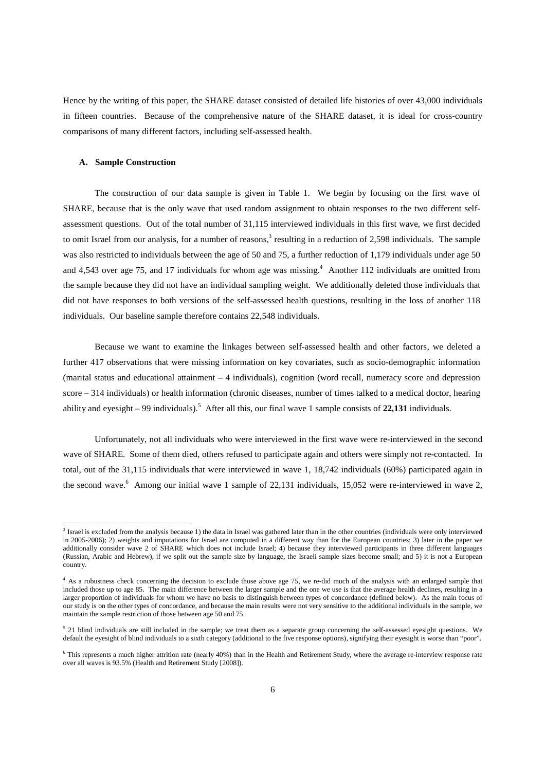Hence by the writing of this paper, the SHARE dataset consisted of detailed life histories of over 43,000 individuals in fifteen countries. Because of the comprehensive nature of the SHARE dataset, it is ideal for cross-country comparisons of many different factors, including self-assessed health.

## **A. Sample Construction**

 $\overline{a}$ 

 The construction of our data sample is given in Table 1. We begin by focusing on the first wave of SHARE, because that is the only wave that used random assignment to obtain responses to the two different selfassessment questions. Out of the total number of 31,115 interviewed individuals in this first wave, we first decided to omit Israel from our analysis, for a number of reasons,<sup>3</sup> resulting in a reduction of 2,598 individuals. The sample was also restricted to individuals between the age of 50 and 75, a further reduction of 1,179 individuals under age 50 and 4,543 over age 75, and 17 individuals for whom age was missing.<sup>4</sup> Another 112 individuals are omitted from the sample because they did not have an individual sampling weight. We additionally deleted those individuals that did not have responses to both versions of the self-assessed health questions, resulting in the loss of another 118 individuals. Our baseline sample therefore contains 22,548 individuals.

 Because we want to examine the linkages between self-assessed health and other factors, we deleted a further 417 observations that were missing information on key covariates, such as socio-demographic information (marital status and educational attainment – 4 individuals), cognition (word recall, numeracy score and depression score – 314 individuals) or health information (chronic diseases, number of times talked to a medical doctor, hearing ability and eyesight  $-99$  individuals).<sup>5</sup> After all this, our final wave 1 sample consists of 22,131 individuals.

 Unfortunately, not all individuals who were interviewed in the first wave were re-interviewed in the second wave of SHARE. Some of them died, others refused to participate again and others were simply not re-contacted. In total, out of the 31,115 individuals that were interviewed in wave 1, 18,742 individuals (60%) participated again in the second wave.<sup>6</sup> Among our initial wave 1 sample of 22,131 individuals, 15,052 were re-interviewed in wave 2,

<sup>&</sup>lt;sup>3</sup> Israel is excluded from the analysis because 1) the data in Israel was gathered later than in the other countries (individuals were only interviewed in 2005-2006); 2) weights and imputations for Israel are computed in a different way than for the European countries; 3) later in the paper we additionally consider wave 2 of SHARE which does not include Israel; 4) because they interviewed participants in three different languages (Russian, Arabic and Hebrew), if we split out the sample size by language, the Israeli sample sizes become small; and 5) it is not a European country.

<sup>&</sup>lt;sup>4</sup> As a robustness check concerning the decision to exclude those above age 75, we re-did much of the analysis with an enlarged sample that included those up to age 85. The main difference between the larger sample and the one we use is that the average health declines, resulting in a larger proportion of individuals for whom we have no basis to distinguish between types of concordance (defined below). As the main focus of our study is on the other types of concordance, and because the main results were not very sensitive to the additional individuals in the sample, we maintain the sample restriction of those between age 50 and 75.

 $5$  21 blind individuals are still included in the sample; we treat them as a separate group concerning the self-assessed eyesight questions. We default the eyesight of blind individuals to a sixth category (additional to the five response options), signifying their eyesight is worse than "poor".

<sup>6</sup> This represents a much higher attrition rate (nearly 40%) than in the Health and Retirement Study, where the average re-interview response rate over all waves is 93.5% (Health and Retirement Study [2008]).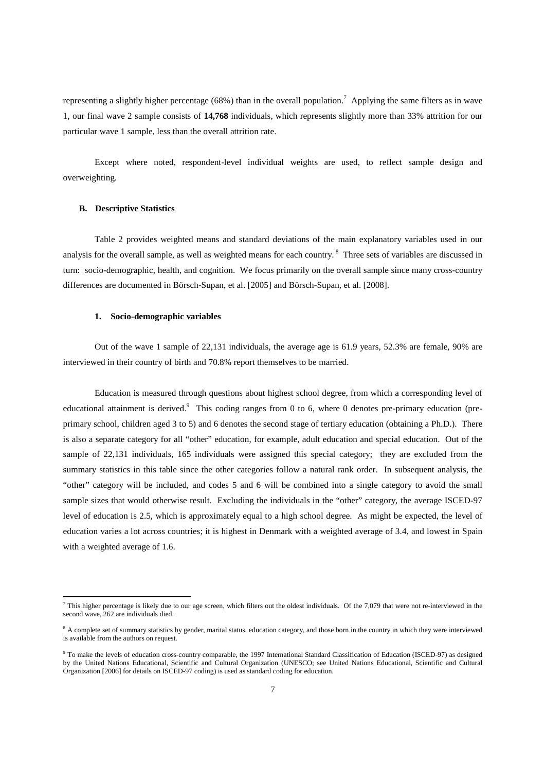representing a slightly higher percentage (68%) than in the overall population.<sup>7</sup> Applying the same filters as in wave 1, our final wave 2 sample consists of **14,768** individuals, which represents slightly more than 33% attrition for our particular wave 1 sample, less than the overall attrition rate.

Except where noted, respondent-level individual weights are used, to reflect sample design and overweighting.

## **B. Descriptive Statistics**

l,

 Table 2 provides weighted means and standard deviations of the main explanatory variables used in our analysis for the overall sample, as well as weighted means for each country.<sup>8</sup> Three sets of variables are discussed in turn: socio-demographic, health, and cognition. We focus primarily on the overall sample since many cross-country differences are documented in Börsch-Supan, et al. [2005] and Börsch-Supan, et al. [2008].

## **1. Socio-demographic variables**

 Out of the wave 1 sample of 22,131 individuals, the average age is 61.9 years, 52.3% are female, 90% are interviewed in their country of birth and 70.8% report themselves to be married.

 Education is measured through questions about highest school degree, from which a corresponding level of educational attainment is derived.<sup>9</sup> This coding ranges from 0 to 6, where 0 denotes pre-primary education (preprimary school, children aged 3 to 5) and 6 denotes the second stage of tertiary education (obtaining a Ph.D.). There is also a separate category for all "other" education, for example, adult education and special education. Out of the sample of 22,131 individuals, 165 individuals were assigned this special category; they are excluded from the summary statistics in this table since the other categories follow a natural rank order. In subsequent analysis, the "other" category will be included, and codes 5 and 6 will be combined into a single category to avoid the small sample sizes that would otherwise result. Excluding the individuals in the "other" category, the average ISCED-97 level of education is 2.5, which is approximately equal to a high school degree. As might be expected, the level of education varies a lot across countries; it is highest in Denmark with a weighted average of 3.4, and lowest in Spain with a weighted average of 1.6.

This higher percentage is likely due to our age screen, which filters out the oldest individuals. Of the 7,079 that were not re-interviewed in the second wave, 262 are individuals died.

<sup>&</sup>lt;sup>8</sup> A complete set of summary statistics by gender, marital status, education category, and those born in the country in which they were interviewed is available from the authors on request.

<sup>&</sup>lt;sup>9</sup> To make the levels of education cross-country comparable, the 1997 International Standard Classification of Education (ISCED-97) as designed by the United Nations Educational, Scientific and Cultural Organization (UNESCO; see United Nations Educational, Scientific and Cultural Organization [2006] for details on ISCED-97 coding) is used as standard coding for education.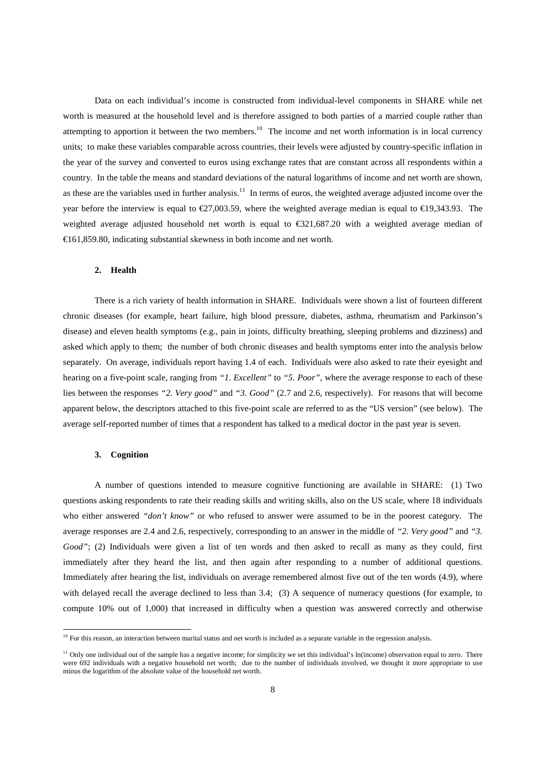Data on each individual's income is constructed from individual-level components in SHARE while net worth is measured at the household level and is therefore assigned to both parties of a married couple rather than attempting to apportion it between the two members.<sup>10</sup> The income and net worth information is in local currency units; to make these variables comparable across countries, their levels were adjusted by country-specific inflation in the year of the survey and converted to euros using exchange rates that are constant across all respondents within a country. In the table the means and standard deviations of the natural logarithms of income and net worth are shown, as these are the variables used in further analysis.<sup>11</sup> In terms of euros, the weighted average adjusted income over the year before the interview is equal to  $\epsilon$ 27,003.59, where the weighted average median is equal to  $\epsilon$ 19,343.93. The weighted average adjusted household net worth is equal to  $\epsilon$ 321,687.20 with a weighted average median of  $E161,859.80$ , indicating substantial skewness in both income and net worth.

#### **2. Health**

 There is a rich variety of health information in SHARE. Individuals were shown a list of fourteen different chronic diseases (for example, heart failure, high blood pressure, diabetes, asthma, rheumatism and Parkinson's disease) and eleven health symptoms (e.g., pain in joints, difficulty breathing, sleeping problems and dizziness) and asked which apply to them; the number of both chronic diseases and health symptoms enter into the analysis below separately. On average, individuals report having 1.4 of each. Individuals were also asked to rate their eyesight and hearing on a five-point scale, ranging from *"1. Excellent"* to *"5. Poor"*, where the average response to each of these lies between the responses "2. Very good" and "3. Good" (2.7 and 2.6, respectively). For reasons that will become apparent below, the descriptors attached to this five-point scale are referred to as the "US version" (see below). The average self-reported number of times that a respondent has talked to a medical doctor in the past year is seven.

#### **3. Cognition**

 $\overline{a}$ 

 A number of questions intended to measure cognitive functioning are available in SHARE: (1) Two questions asking respondents to rate their reading skills and writing skills, also on the US scale, where 18 individuals who either answered "don't know" or who refused to answer were assumed to be in the poorest category. The average responses are 2.4 and 2.6, respectively, corresponding to an answer in the middle of *"2. Very good"* and *"3. Good"*; (2) Individuals were given a list of ten words and then asked to recall as many as they could, first immediately after they heard the list, and then again after responding to a number of additional questions. Immediately after hearing the list, individuals on average remembered almost five out of the ten words (4.9), where with delayed recall the average declined to less than 3.4; (3) A sequence of numeracy questions (for example, to compute 10% out of 1,000) that increased in difficulty when a question was answered correctly and otherwise

 $10$  For this reason, an interaction between marital status and net worth is included as a separate variable in the regression analysis.

<sup>&</sup>lt;sup>11</sup> Only one individual out of the sample has a negative income; for simplicity we set this individual's ln(income) observation equal to zero. There were 692 individuals with a negative household net worth; due to the number of individuals involved, we thought it more appropriate to use minus the logarithm of the absolute value of the household net worth.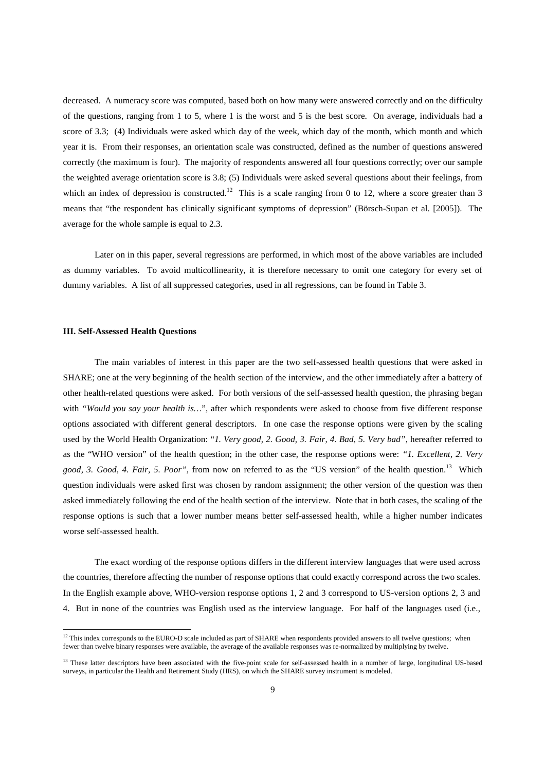decreased. A numeracy score was computed, based both on how many were answered correctly and on the difficulty of the questions, ranging from 1 to 5, where 1 is the worst and 5 is the best score. On average, individuals had a score of 3.3; (4) Individuals were asked which day of the week, which day of the month, which month and which year it is. From their responses, an orientation scale was constructed, defined as the number of questions answered correctly (the maximum is four). The majority of respondents answered all four questions correctly; over our sample the weighted average orientation score is 3.8; (5) Individuals were asked several questions about their feelings, from which an index of depression is constructed.<sup>12</sup> This is a scale ranging from 0 to 12, where a score greater than 3 means that "the respondent has clinically significant symptoms of depression" (Börsch-Supan et al. [2005]). The average for the whole sample is equal to 2.3.

 Later on in this paper, several regressions are performed, in which most of the above variables are included as dummy variables. To avoid multicollinearity, it is therefore necessary to omit one category for every set of dummy variables. A list of all suppressed categories, used in all regressions, can be found in Table 3.

### **III. Self-Assessed Health Questions**

 $\overline{a}$ 

 The main variables of interest in this paper are the two self-assessed health questions that were asked in SHARE; one at the very beginning of the health section of the interview, and the other immediately after a battery of other health-related questions were asked. For both versions of the self-assessed health question, the phrasing began with *"Would you say your health is..."*, after which respondents were asked to choose from five different response options associated with different general descriptors. In one case the response options were given by the scaling used by the World Health Organization: "*1. Very good, 2. Good, 3. Fair, 4. Bad, 5. Very bad"*, hereafter referred to as the "WHO version" of the health question; in the other case, the response options were: *"1. Excellent, 2. Very good, 3. Good, 4. Fair, 5. Poor"*, from now on referred to as the "US version" of the health question.<sup>13</sup> Which question individuals were asked first was chosen by random assignment; the other version of the question was then asked immediately following the end of the health section of the interview. Note that in both cases, the scaling of the response options is such that a lower number means better self-assessed health, while a higher number indicates worse self-assessed health.

 The exact wording of the response options differs in the different interview languages that were used across the countries, therefore affecting the number of response options that could exactly correspond across the two scales. In the English example above, WHO-version response options 1, 2 and 3 correspond to US-version options 2, 3 and 4. But in none of the countries was English used as the interview language. For half of the languages used (i.e.,

 $12$  This index corresponds to the EURO-D scale included as part of SHARE when respondents provided answers to all twelve questions; when fewer than twelve binary responses were available, the average of the available responses was re-normalized by multiplying by twelve.

<sup>&</sup>lt;sup>13</sup> These latter descriptors have been associated with the five-point scale for self-assessed health in a number of large, longitudinal US-based surveys, in particular the Health and Retirement Study (HRS), on which the SHARE survey instrument is modeled.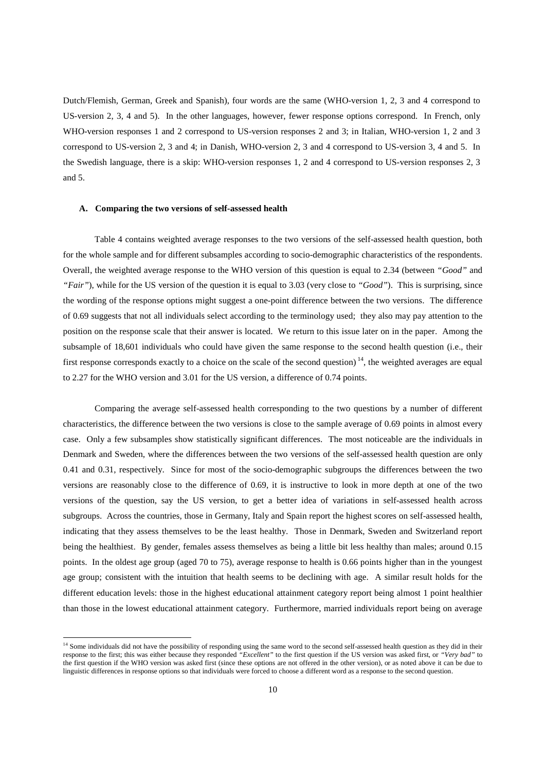Dutch/Flemish, German, Greek and Spanish), four words are the same (WHO-version 1, 2, 3 and 4 correspond to US-version 2, 3, 4 and 5). In the other languages, however, fewer response options correspond. In French, only WHO-version responses 1 and 2 correspond to US-version responses 2 and 3; in Italian, WHO-version 1, 2 and 3 correspond to US-version 2, 3 and 4; in Danish, WHO-version 2, 3 and 4 correspond to US-version 3, 4 and 5. In the Swedish language, there is a skip: WHO-version responses 1, 2 and 4 correspond to US-version responses 2, 3 and 5.

### **A. Comparing the two versions of self-assessed health**

 $\overline{a}$ 

 Table 4 contains weighted average responses to the two versions of the self-assessed health question, both for the whole sample and for different subsamples according to socio-demographic characteristics of the respondents. Overall, the weighted average response to the WHO version of this question is equal to 2.34 (between *"Good"* and *"Fair"*), while for the US version of the question it is equal to 3.03 (very close to *"Good"*). This is surprising, since the wording of the response options might suggest a one-point difference between the two versions. The difference of 0.69 suggests that not all individuals select according to the terminology used; they also may pay attention to the position on the response scale that their answer is located. We return to this issue later on in the paper. Among the subsample of 18,601 individuals who could have given the same response to the second health question (i.e., their first response corresponds exactly to a choice on the scale of the second question)<sup>14</sup>, the weighted averages are equal to 2.27 for the WHO version and 3.01 for the US version, a difference of 0.74 points.

 Comparing the average self-assessed health corresponding to the two questions by a number of different characteristics, the difference between the two versions is close to the sample average of 0.69 points in almost every case. Only a few subsamples show statistically significant differences. The most noticeable are the individuals in Denmark and Sweden, where the differences between the two versions of the self-assessed health question are only 0.41 and 0.31, respectively. Since for most of the socio-demographic subgroups the differences between the two versions are reasonably close to the difference of 0.69, it is instructive to look in more depth at one of the two versions of the question, say the US version, to get a better idea of variations in self-assessed health across subgroups. Across the countries, those in Germany, Italy and Spain report the highest scores on self-assessed health, indicating that they assess themselves to be the least healthy. Those in Denmark, Sweden and Switzerland report being the healthiest. By gender, females assess themselves as being a little bit less healthy than males; around 0.15 points. In the oldest age group (aged 70 to 75), average response to health is 0.66 points higher than in the youngest age group; consistent with the intuition that health seems to be declining with age. A similar result holds for the different education levels: those in the highest educational attainment category report being almost 1 point healthier than those in the lowest educational attainment category. Furthermore, married individuals report being on average

<sup>&</sup>lt;sup>14</sup> Some individuals did not have the possibility of responding using the same word to the second self-assessed health question as they did in their response to the first; this was either because they responded *"Excellent"* to the first question if the US version was asked first, or *"Very bad"* to the first question if the WHO version was asked first (since these options are not offered in the other version), or as noted above it can be due to linguistic differences in response options so that individuals were forced to choose a different word as a response to the second question.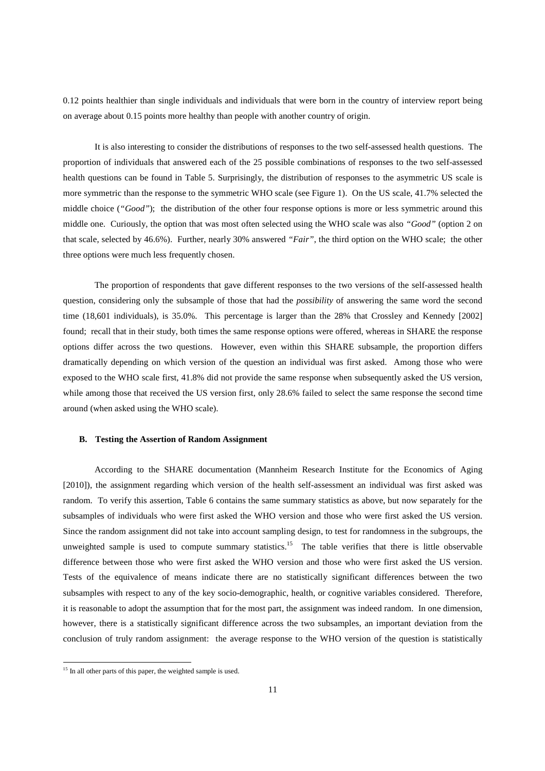0.12 points healthier than single individuals and individuals that were born in the country of interview report being on average about 0.15 points more healthy than people with another country of origin.

 It is also interesting to consider the distributions of responses to the two self-assessed health questions. The proportion of individuals that answered each of the 25 possible combinations of responses to the two self-assessed health questions can be found in Table 5. Surprisingly, the distribution of responses to the asymmetric US scale is more symmetric than the response to the symmetric WHO scale (see Figure 1). On the US scale, 41.7% selected the middle choice (*"Good"*); the distribution of the other four response options is more or less symmetric around this middle one. Curiously, the option that was most often selected using the WHO scale was also *"Good"* (option 2 on that scale, selected by 46.6%). Further, nearly 30% answered *"Fair"*, the third option on the WHO scale; the other three options were much less frequently chosen.

 The proportion of respondents that gave different responses to the two versions of the self-assessed health question, considering only the subsample of those that had the *possibility* of answering the same word the second time (18,601 individuals), is 35.0%. This percentage is larger than the 28% that Crossley and Kennedy [2002] found; recall that in their study, both times the same response options were offered, whereas in SHARE the response options differ across the two questions. However, even within this SHARE subsample, the proportion differs dramatically depending on which version of the question an individual was first asked. Among those who were exposed to the WHO scale first, 41.8% did not provide the same response when subsequently asked the US version, while among those that received the US version first, only 28.6% failed to select the same response the second time around (when asked using the WHO scale).

## **B. Testing the Assertion of Random Assignment**

 According to the SHARE documentation (Mannheim Research Institute for the Economics of Aging [2010]), the assignment regarding which version of the health self-assessment an individual was first asked was random. To verify this assertion, Table 6 contains the same summary statistics as above, but now separately for the subsamples of individuals who were first asked the WHO version and those who were first asked the US version. Since the random assignment did not take into account sampling design, to test for randomness in the subgroups, the unweighted sample is used to compute summary statistics.<sup>15</sup> The table verifies that there is little observable difference between those who were first asked the WHO version and those who were first asked the US version. Tests of the equivalence of means indicate there are no statistically significant differences between the two subsamples with respect to any of the key socio-demographic, health, or cognitive variables considered. Therefore, it is reasonable to adopt the assumption that for the most part, the assignment was indeed random. In one dimension, however, there is a statistically significant difference across the two subsamples, an important deviation from the conclusion of truly random assignment: the average response to the WHO version of the question is statistically

 $\overline{a}$ 

 $15$  In all other parts of this paper, the weighted sample is used.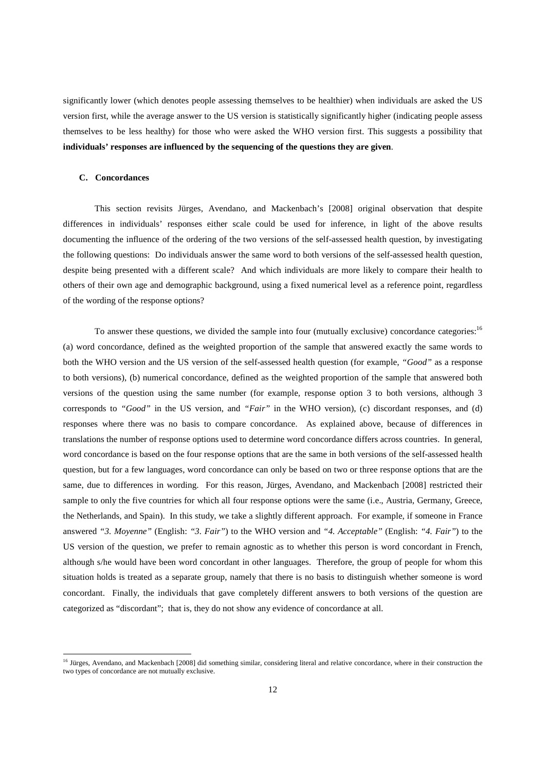significantly lower (which denotes people assessing themselves to be healthier) when individuals are asked the US version first, while the average answer to the US version is statistically significantly higher (indicating people assess themselves to be less healthy) for those who were asked the WHO version first. This suggests a possibility that **individuals' responses are influenced by the sequencing of the questions they are given**.

## **C. Concordances**

 $\overline{a}$ 

 This section revisits Jürges, Avendano, and Mackenbach's [2008] original observation that despite differences in individuals' responses either scale could be used for inference, in light of the above results documenting the influence of the ordering of the two versions of the self-assessed health question, by investigating the following questions: Do individuals answer the same word to both versions of the self-assessed health question, despite being presented with a different scale? And which individuals are more likely to compare their health to others of their own age and demographic background, using a fixed numerical level as a reference point, regardless of the wording of the response options?

To answer these questions, we divided the sample into four (mutually exclusive) concordance categories:<sup>16</sup> (a) word concordance, defined as the weighted proportion of the sample that answered exactly the same words to both the WHO version and the US version of the self-assessed health question (for example, *"Good"* as a response to both versions), (b) numerical concordance, defined as the weighted proportion of the sample that answered both versions of the question using the same number (for example, response option 3 to both versions, although 3 corresponds to *"Good"* in the US version, and *"Fair"* in the WHO version), (c) discordant responses, and (d) responses where there was no basis to compare concordance. As explained above, because of differences in translations the number of response options used to determine word concordance differs across countries. In general, word concordance is based on the four response options that are the same in both versions of the self-assessed health question, but for a few languages, word concordance can only be based on two or three response options that are the same, due to differences in wording. For this reason, Jürges, Avendano, and Mackenbach [2008] restricted their sample to only the five countries for which all four response options were the same (i.e., Austria, Germany, Greece, the Netherlands, and Spain). In this study, we take a slightly different approach. For example, if someone in France answered *"3. Moyenne"* (English: *"3. Fair"*) to the WHO version and *"4. Acceptable"* (English: *"4. Fair"*) to the US version of the question, we prefer to remain agnostic as to whether this person is word concordant in French, although s/he would have been word concordant in other languages. Therefore, the group of people for whom this situation holds is treated as a separate group, namely that there is no basis to distinguish whether someone is word concordant. Finally, the individuals that gave completely different answers to both versions of the question are categorized as "discordant"; that is, they do not show any evidence of concordance at all.

<sup>&</sup>lt;sup>16</sup> Jürges, Avendano, and Mackenbach [2008] did something similar, considering literal and relative concordance, where in their construction the two types of concordance are not mutually exclusive.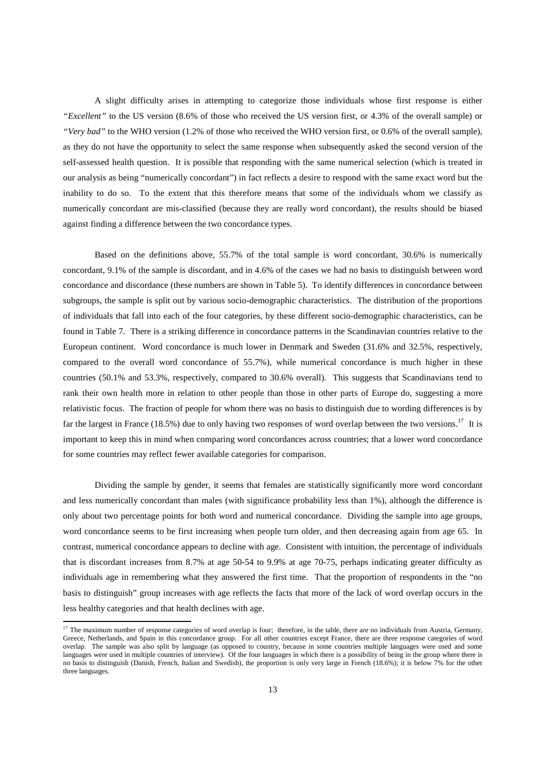A slight difficulty arises in attempting to categorize those individuals whose first response is either *"Excellent"* to the US version (8.6% of those who received the US version first, or 4.3% of the overall sample) or *"Very bad"* to the WHO version (1.2% of those who received the WHO version first, or 0.6% of the overall sample), as they do not have the opportunity to select the same response when subsequently asked the second version of the self-assessed health question. It is possible that responding with the same numerical selection (which is treated in our analysis as being "numerically concordant") in fact reflects a desire to respond with the same exact word but the inability to do so. To the extent that this therefore means that some of the individuals whom we classify as numerically concordant are mis-classified (because they are really word concordant), the results should be biased against finding a difference between the two concordance types.

 Based on the definitions above, 55.7% of the total sample is word concordant, 30.6% is numerically concordant, 9.1% of the sample is discordant, and in 4.6% of the cases we had no basis to distinguish between word concordance and discordance (these numbers are shown in Table 5). To identify differences in concordance between subgroups, the sample is split out by various socio-demographic characteristics. The distribution of the proportions of individuals that fall into each of the four categories, by these different socio-demographic characteristics, can be found in Table 7. There is a striking difference in concordance patterns in the Scandinavian countries relative to the European continent. Word concordance is much lower in Denmark and Sweden (31.6% and 32.5%, respectively, compared to the overall word concordance of 55.7%), while numerical concordance is much higher in these countries (50.1% and 53.3%, respectively, compared to 30.6% overall). This suggests that Scandinavians tend to rank their own health more in relation to other people than those in other parts of Europe do, suggesting a more relativistic focus. The fraction of people for whom there was no basis to distinguish due to wording differences is by far the largest in France (18.5%) due to only having two responses of word overlap between the two versions.<sup>17</sup> It is important to keep this in mind when comparing word concordances across countries; that a lower word concordance for some countries may reflect fewer available categories for comparison.

 Dividing the sample by gender, it seems that females are statistically significantly more word concordant and less numerically concordant than males (with significance probability less than 1%), although the difference is only about two percentage points for both word and numerical concordance. Dividing the sample into age groups, word concordance seems to be first increasing when people turn older, and then decreasing again from age 65. In contrast, numerical concordance appears to decline with age. Consistent with intuition, the percentage of individuals that is discordant increases from 8.7% at age 50-54 to 9.9% at age 70-75, perhaps indicating greater difficulty as individuals age in remembering what they answered the first time. That the proportion of respondents in the "no basis to distinguish" group increases with age reflects the facts that more of the lack of word overlap occurs in the less healthy categories and that health declines with age.

 $\overline{a}$ 

<sup>&</sup>lt;sup>17</sup> The maximum number of response categories of word overlap is four; therefore, in the table, there are no individuals from Austria, Germany, Greece, Netherlands, and Spain in this concordance group. For all other countries except France, there are three response categories of word overlap. The sample was also split by language (as opposed to country, because in some countries multiple languages were used and some languages were used in multiple countries of interview). Of the four languages in which there is a possibility of being in the group where there is no basis to distinguish (Danish, French, Italian and Swedish), the proportion is only very large in French (18.6%); it is below 7% for the other three languages.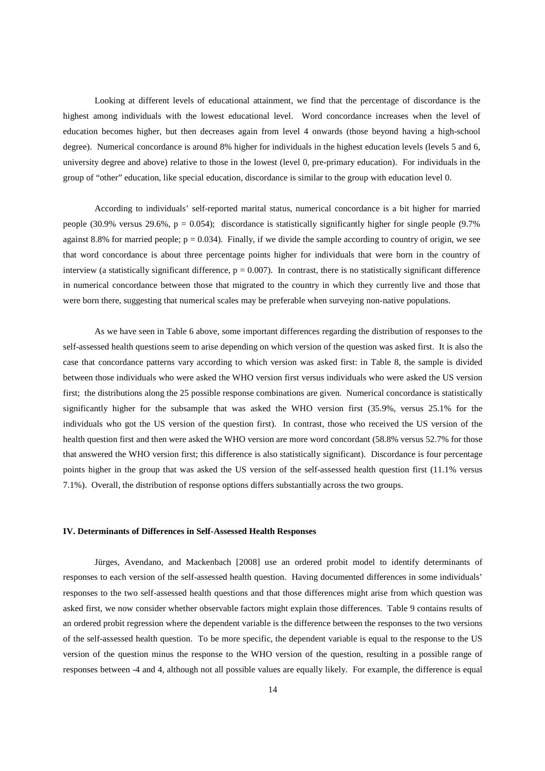Looking at different levels of educational attainment, we find that the percentage of discordance is the highest among individuals with the lowest educational level. Word concordance increases when the level of education becomes higher, but then decreases again from level 4 onwards (those beyond having a high-school degree). Numerical concordance is around 8% higher for individuals in the highest education levels (levels 5 and 6, university degree and above) relative to those in the lowest (level 0, pre-primary education). For individuals in the group of "other" education, like special education, discordance is similar to the group with education level 0.

 According to individuals' self-reported marital status, numerical concordance is a bit higher for married people (30.9% versus 29.6%,  $p = 0.054$ ); discordance is statistically significantly higher for single people (9.7%) against 8.8% for married people;  $p = 0.034$ ). Finally, if we divide the sample according to country of origin, we see that word concordance is about three percentage points higher for individuals that were born in the country of interview (a statistically significant difference,  $p = 0.007$ ). In contrast, there is no statistically significant difference in numerical concordance between those that migrated to the country in which they currently live and those that were born there, suggesting that numerical scales may be preferable when surveying non-native populations.

 As we have seen in Table 6 above, some important differences regarding the distribution of responses to the self-assessed health questions seem to arise depending on which version of the question was asked first. It is also the case that concordance patterns vary according to which version was asked first: in Table 8, the sample is divided between those individuals who were asked the WHO version first versus individuals who were asked the US version first; the distributions along the 25 possible response combinations are given. Numerical concordance is statistically significantly higher for the subsample that was asked the WHO version first (35.9%, versus 25.1% for the individuals who got the US version of the question first). In contrast, those who received the US version of the health question first and then were asked the WHO version are more word concordant (58.8% versus 52.7% for those that answered the WHO version first; this difference is also statistically significant). Discordance is four percentage points higher in the group that was asked the US version of the self-assessed health question first (11.1% versus 7.1%). Overall, the distribution of response options differs substantially across the two groups.

## **IV. Determinants of Differences in Self-Assessed Health Responses**

 Jürges, Avendano, and Mackenbach [2008] use an ordered probit model to identify determinants of responses to each version of the self-assessed health question. Having documented differences in some individuals' responses to the two self-assessed health questions and that those differences might arise from which question was asked first, we now consider whether observable factors might explain those differences. Table 9 contains results of an ordered probit regression where the dependent variable is the difference between the responses to the two versions of the self-assessed health question. To be more specific, the dependent variable is equal to the response to the US version of the question minus the response to the WHO version of the question, resulting in a possible range of responses between -4 and 4, although not all possible values are equally likely. For example, the difference is equal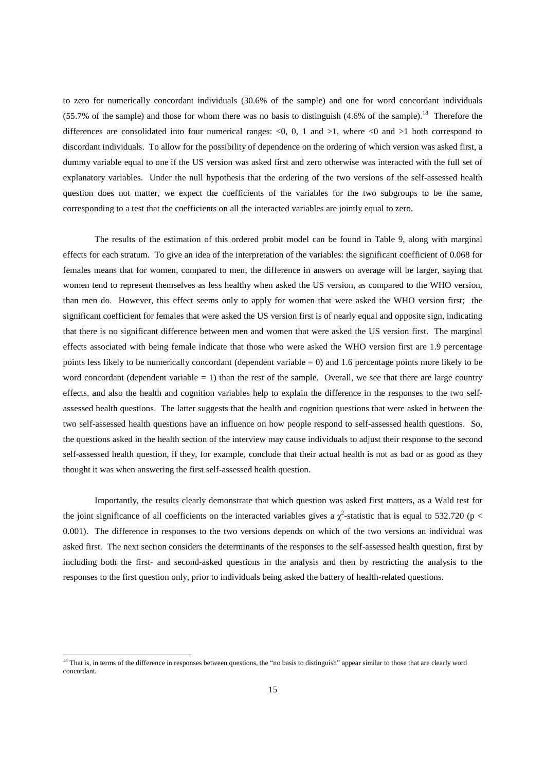to zero for numerically concordant individuals (30.6% of the sample) and one for word concordant individuals (55.7% of the sample) and those for whom there was no basis to distinguish  $(4.6\%$  of the sample).<sup>18</sup> Therefore the differences are consolidated into four numerical ranges:  $\langle 0, 0, 1 \rangle$  and  $>1$ , where  $\langle 0 \rangle$  and  $>1$  both correspond to discordant individuals. To allow for the possibility of dependence on the ordering of which version was asked first, a dummy variable equal to one if the US version was asked first and zero otherwise was interacted with the full set of explanatory variables. Under the null hypothesis that the ordering of the two versions of the self-assessed health question does not matter, we expect the coefficients of the variables for the two subgroups to be the same, corresponding to a test that the coefficients on all the interacted variables are jointly equal to zero.

 The results of the estimation of this ordered probit model can be found in Table 9, along with marginal effects for each stratum. To give an idea of the interpretation of the variables: the significant coefficient of 0.068 for females means that for women, compared to men, the difference in answers on average will be larger, saying that women tend to represent themselves as less healthy when asked the US version, as compared to the WHO version, than men do. However, this effect seems only to apply for women that were asked the WHO version first; the significant coefficient for females that were asked the US version first is of nearly equal and opposite sign, indicating that there is no significant difference between men and women that were asked the US version first. The marginal effects associated with being female indicate that those who were asked the WHO version first are 1.9 percentage points less likely to be numerically concordant (dependent variable = 0) and 1.6 percentage points more likely to be word concordant (dependent variable  $= 1$ ) than the rest of the sample. Overall, we see that there are large country effects, and also the health and cognition variables help to explain the difference in the responses to the two selfassessed health questions. The latter suggests that the health and cognition questions that were asked in between the two self-assessed health questions have an influence on how people respond to self-assessed health questions. So, the questions asked in the health section of the interview may cause individuals to adjust their response to the second self-assessed health question, if they, for example, conclude that their actual health is not as bad or as good as they thought it was when answering the first self-assessed health question.

 Importantly, the results clearly demonstrate that which question was asked first matters, as a Wald test for the joint significance of all coefficients on the interacted variables gives a  $\chi^2$ -statistic that is equal to 532.720 (p < 0.001). The difference in responses to the two versions depends on which of the two versions an individual was asked first. The next section considers the determinants of the responses to the self-assessed health question, first by including both the first- and second-asked questions in the analysis and then by restricting the analysis to the responses to the first question only, prior to individuals being asked the battery of health-related questions.

 $\overline{a}$ 

<sup>&</sup>lt;sup>18</sup> That is, in terms of the difference in responses between questions, the "no basis to distinguish" appear similar to those that are clearly word concordant.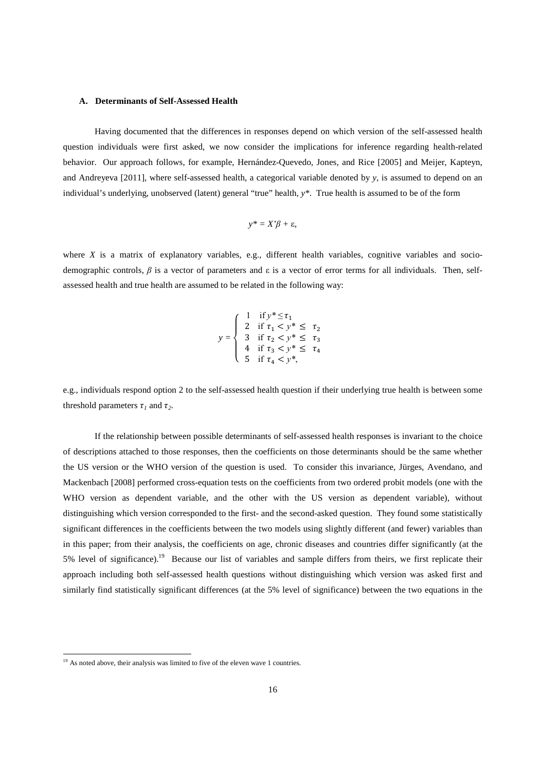#### **A. Determinants of Self-Assessed Health**

Having documented that the differences in responses depend on which version of the self-assessed health question individuals were first asked, we now consider the implications for inference regarding health-related behavior. Our approach follows, for example, Hernández-Quevedo, Jones, and Rice [2005] and Meijer, Kapteyn, and Andreyeva [2011], where self-assessed health, a categorical variable denoted by *y*, is assumed to depend on an individual's underlying, unobserved (latent) general "true" health, *y\**. True health is assumed to be of the form

$$
y^* = X'\beta + \varepsilon,
$$

where  $X$  is a matrix of explanatory variables, e.g., different health variables, cognitive variables and sociodemographic controls, *β* is a vector of parameters and ε is a vector of error terms for all individuals. Then, selfassessed health and true health are assumed to be related in the following way:

$$
y = \begin{cases} 1 & \text{if } y^* \le \tau_1 \\ 2 & \text{if } \tau_1 < y^* \le \tau_2 \\ 3 & \text{if } \tau_2 < y^* \le \tau_3 \\ 4 & \text{if } \tau_3 < y^* \le \tau_4 \\ 5 & \text{if } \tau_4 < y^*, \end{cases}
$$

e.g., individuals respond option 2 to the self-assessed health question if their underlying true health is between some threshold parameters  $\tau_l$  and  $\tau_2$ .

 If the relationship between possible determinants of self-assessed health responses is invariant to the choice of descriptions attached to those responses, then the coefficients on those determinants should be the same whether the US version or the WHO version of the question is used. To consider this invariance, Jürges, Avendano, and Mackenbach [2008] performed cross-equation tests on the coefficients from two ordered probit models (one with the WHO version as dependent variable, and the other with the US version as dependent variable), without distinguishing which version corresponded to the first- and the second-asked question. They found some statistically significant differences in the coefficients between the two models using slightly different (and fewer) variables than in this paper; from their analysis, the coefficients on age, chronic diseases and countries differ significantly (at the 5% level of significance).<sup>19</sup> Because our list of variables and sample differs from theirs, we first replicate their approach including both self-assessed health questions without distinguishing which version was asked first and similarly find statistically significant differences (at the 5% level of significance) between the two equations in the

 $\overline{a}$ 

<sup>&</sup>lt;sup>19</sup> As noted above, their analysis was limited to five of the eleven wave 1 countries.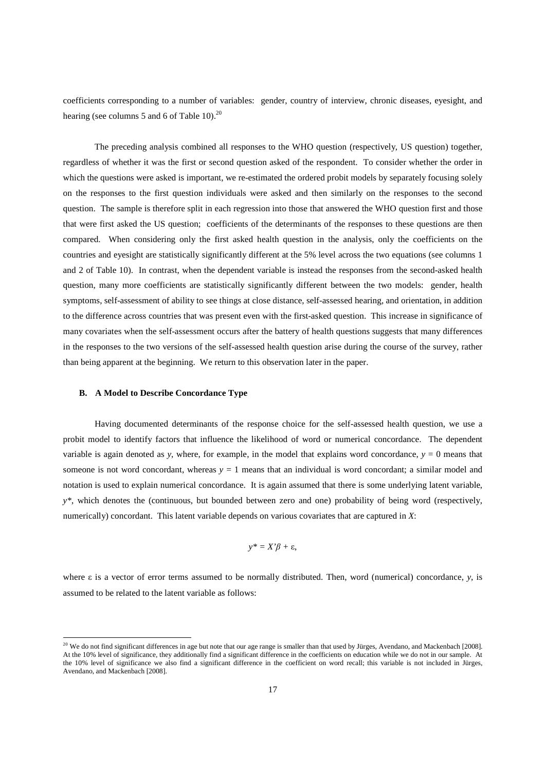coefficients corresponding to a number of variables: gender, country of interview, chronic diseases, eyesight, and hearing (see columns 5 and 6 of Table 10). $^{20}$ 

 The preceding analysis combined all responses to the WHO question (respectively, US question) together, regardless of whether it was the first or second question asked of the respondent. To consider whether the order in which the questions were asked is important, we re-estimated the ordered probit models by separately focusing solely on the responses to the first question individuals were asked and then similarly on the responses to the second question. The sample is therefore split in each regression into those that answered the WHO question first and those that were first asked the US question; coefficients of the determinants of the responses to these questions are then compared. When considering only the first asked health question in the analysis, only the coefficients on the countries and eyesight are statistically significantly different at the 5% level across the two equations (see columns 1 and 2 of Table 10). In contrast, when the dependent variable is instead the responses from the second-asked health question, many more coefficients are statistically significantly different between the two models: gender, health symptoms, self-assessment of ability to see things at close distance, self-assessed hearing, and orientation, in addition to the difference across countries that was present even with the first-asked question. This increase in significance of many covariates when the self-assessment occurs after the battery of health questions suggests that many differences in the responses to the two versions of the self-assessed health question arise during the course of the survey, rather than being apparent at the beginning. We return to this observation later in the paper.

#### **B. A Model to Describe Concordance Type**

 $\overline{a}$ 

 Having documented determinants of the response choice for the self-assessed health question, we use a probit model to identify factors that influence the likelihood of word or numerical concordance. The dependent variable is again denoted as *y*, where, for example, in the model that explains word concordance,  $y = 0$  means that someone is not word concordant, whereas  $y = 1$  means that an individual is word concordant; a similar model and notation is used to explain numerical concordance. It is again assumed that there is some underlying latent variable, *y\**, which denotes the (continuous, but bounded between zero and one) probability of being word (respectively, numerically) concordant. This latent variable depends on various covariates that are captured in *X*:

$$
y^* = X'\beta + \varepsilon,
$$

where ε is a vector of error terms assumed to be normally distributed. Then, word (numerical) concordance, *y*, is assumed to be related to the latent variable as follows:

<sup>&</sup>lt;sup>20</sup> We do not find significant differences in age but note that our age range is smaller than that used by Jürges, Avendano, and Mackenbach [2008]. At the 10% level of significance, they additionally find a significant difference in the coefficients on education while we do not in our sample. At the 10% level of significance we also find a significant difference in the coefficient on word recall; this variable is not included in Jürges, Avendano, and Mackenbach [2008].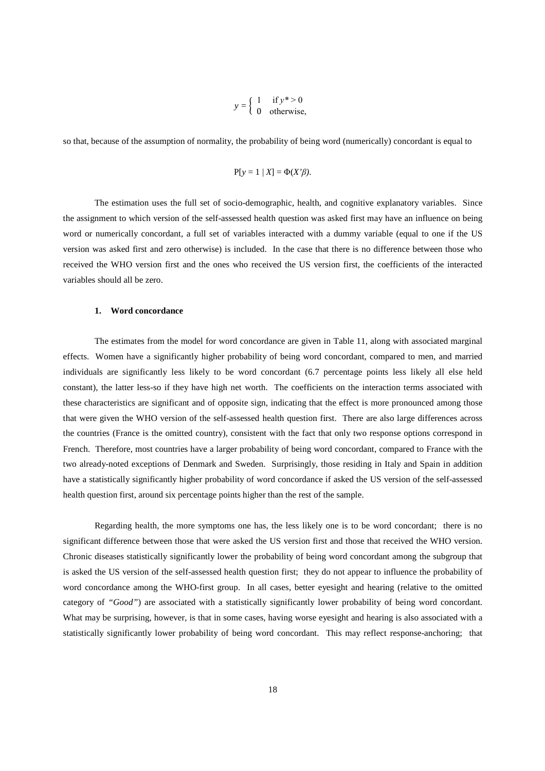$$
y = \begin{cases} 1 & \text{if } y^* > 0 \\ 0 & \text{otherwise,} \end{cases}
$$

so that, because of the assumption of normality, the probability of being word (numerically) concordant is equal to

$$
P[y = 1 | X] = \Phi(X'\beta).
$$

The estimation uses the full set of socio-demographic, health, and cognitive explanatory variables. Since the assignment to which version of the self-assessed health question was asked first may have an influence on being word or numerically concordant, a full set of variables interacted with a dummy variable (equal to one if the US version was asked first and zero otherwise) is included. In the case that there is no difference between those who received the WHO version first and the ones who received the US version first, the coefficients of the interacted variables should all be zero.

#### **1. Word concordance**

 The estimates from the model for word concordance are given in Table 11, along with associated marginal effects. Women have a significantly higher probability of being word concordant, compared to men, and married individuals are significantly less likely to be word concordant (6.7 percentage points less likely all else held constant), the latter less-so if they have high net worth. The coefficients on the interaction terms associated with these characteristics are significant and of opposite sign, indicating that the effect is more pronounced among those that were given the WHO version of the self-assessed health question first. There are also large differences across the countries (France is the omitted country), consistent with the fact that only two response options correspond in French. Therefore, most countries have a larger probability of being word concordant, compared to France with the two already-noted exceptions of Denmark and Sweden. Surprisingly, those residing in Italy and Spain in addition have a statistically significantly higher probability of word concordance if asked the US version of the self-assessed health question first, around six percentage points higher than the rest of the sample.

Regarding health, the more symptoms one has, the less likely one is to be word concordant; there is no significant difference between those that were asked the US version first and those that received the WHO version. Chronic diseases statistically significantly lower the probability of being word concordant among the subgroup that is asked the US version of the self-assessed health question first; they do not appear to influence the probability of word concordance among the WHO-first group. In all cases, better eyesight and hearing (relative to the omitted category of "Good") are associated with a statistically significantly lower probability of being word concordant. What may be surprising, however, is that in some cases, having worse eyesight and hearing is also associated with a statistically significantly lower probability of being word concordant. This may reflect response-anchoring; that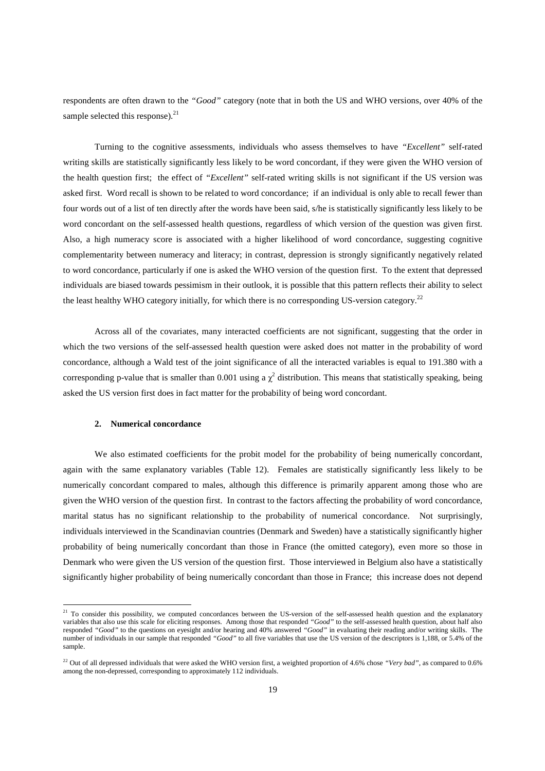respondents are often drawn to the *"Good"* category (note that in both the US and WHO versions, over 40% of the sample selected this response). $^{21}$ 

 Turning to the cognitive assessments, individuals who assess themselves to have *"Excellent"* self-rated writing skills are statistically significantly less likely to be word concordant, if they were given the WHO version of the health question first; the effect of *"Excellent"* self-rated writing skills is not significant if the US version was asked first. Word recall is shown to be related to word concordance; if an individual is only able to recall fewer than four words out of a list of ten directly after the words have been said, s/he is statistically significantly less likely to be word concordant on the self-assessed health questions, regardless of which version of the question was given first. Also, a high numeracy score is associated with a higher likelihood of word concordance, suggesting cognitive complementarity between numeracy and literacy; in contrast, depression is strongly significantly negatively related to word concordance, particularly if one is asked the WHO version of the question first. To the extent that depressed individuals are biased towards pessimism in their outlook, it is possible that this pattern reflects their ability to select the least healthy WHO category initially, for which there is no corresponding US-version category.<sup>22</sup>

 Across all of the covariates, many interacted coefficients are not significant, suggesting that the order in which the two versions of the self-assessed health question were asked does not matter in the probability of word concordance, although a Wald test of the joint significance of all the interacted variables is equal to 191.380 with a corresponding p-value that is smaller than 0.001 using a  $\chi^2$  distribution. This means that statistically speaking, being asked the US version first does in fact matter for the probability of being word concordant.

#### **2. Numerical concordance**

 $\overline{a}$ 

We also estimated coefficients for the probit model for the probability of being numerically concordant, again with the same explanatory variables (Table 12). Females are statistically significantly less likely to be numerically concordant compared to males, although this difference is primarily apparent among those who are given the WHO version of the question first. In contrast to the factors affecting the probability of word concordance, marital status has no significant relationship to the probability of numerical concordance. Not surprisingly, individuals interviewed in the Scandinavian countries (Denmark and Sweden) have a statistically significantly higher probability of being numerically concordant than those in France (the omitted category), even more so those in Denmark who were given the US version of the question first. Those interviewed in Belgium also have a statistically significantly higher probability of being numerically concordant than those in France; this increase does not depend

<sup>&</sup>lt;sup>21</sup> To consider this possibility, we computed concordances between the US-version of the self-assessed health question and the explanatory variables that also use this scale for eliciting responses. Among those that responded *"Good"* to the self-assessed health question, about half also responded *"Good"* to the questions on eyesight and/or hearing and 40% answered *"Good"* in evaluating their reading and/or writing skills. The number of individuals in our sample that responded *"Good"* to all five variables that use the US version of the descriptors is 1,188, or 5.4% of the sample.

<sup>&</sup>lt;sup>22</sup> Out of all depressed individuals that were asked the WHO version first, a weighted proportion of 4.6% chose *"Very bad"*, as compared to 0.6% among the non-depressed, corresponding to approximately 112 individuals.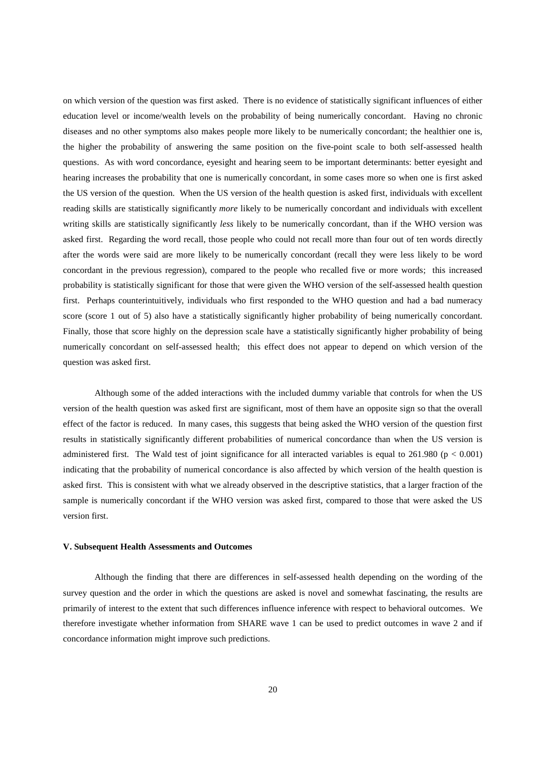on which version of the question was first asked. There is no evidence of statistically significant influences of either education level or income/wealth levels on the probability of being numerically concordant. Having no chronic diseases and no other symptoms also makes people more likely to be numerically concordant; the healthier one is, the higher the probability of answering the same position on the five-point scale to both self-assessed health questions. As with word concordance, eyesight and hearing seem to be important determinants: better eyesight and hearing increases the probability that one is numerically concordant, in some cases more so when one is first asked the US version of the question. When the US version of the health question is asked first, individuals with excellent reading skills are statistically significantly *more* likely to be numerically concordant and individuals with excellent writing skills are statistically significantly *less* likely to be numerically concordant, than if the WHO version was asked first. Regarding the word recall, those people who could not recall more than four out of ten words directly after the words were said are more likely to be numerically concordant (recall they were less likely to be word concordant in the previous regression), compared to the people who recalled five or more words; this increased probability is statistically significant for those that were given the WHO version of the self-assessed health question first. Perhaps counterintuitively, individuals who first responded to the WHO question and had a bad numeracy score (score 1 out of 5) also have a statistically significantly higher probability of being numerically concordant. Finally, those that score highly on the depression scale have a statistically significantly higher probability of being numerically concordant on self-assessed health; this effect does not appear to depend on which version of the question was asked first.

 Although some of the added interactions with the included dummy variable that controls for when the US version of the health question was asked first are significant, most of them have an opposite sign so that the overall effect of the factor is reduced. In many cases, this suggests that being asked the WHO version of the question first results in statistically significantly different probabilities of numerical concordance than when the US version is administered first. The Wald test of joint significance for all interacted variables is equal to  $261.980$  ( $p < 0.001$ ) indicating that the probability of numerical concordance is also affected by which version of the health question is asked first. This is consistent with what we already observed in the descriptive statistics, that a larger fraction of the sample is numerically concordant if the WHO version was asked first, compared to those that were asked the US version first.

## **V. Subsequent Health Assessments and Outcomes**

 Although the finding that there are differences in self-assessed health depending on the wording of the survey question and the order in which the questions are asked is novel and somewhat fascinating, the results are primarily of interest to the extent that such differences influence inference with respect to behavioral outcomes. We therefore investigate whether information from SHARE wave 1 can be used to predict outcomes in wave 2 and if concordance information might improve such predictions.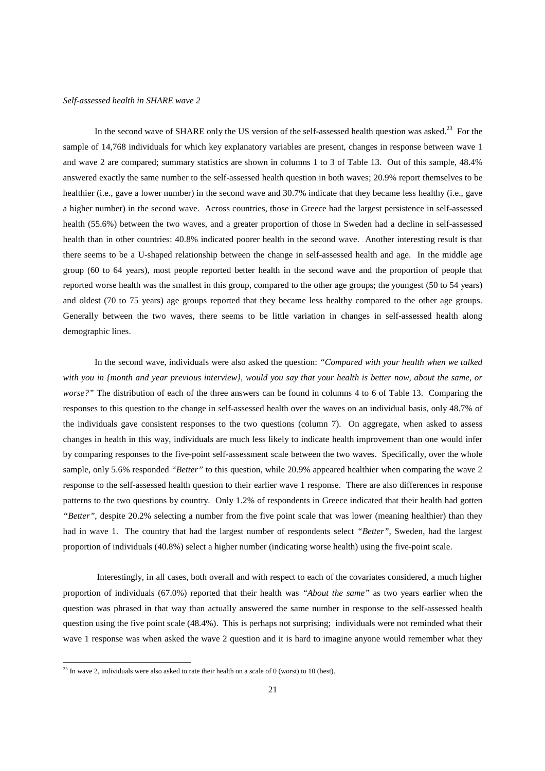#### *Self-assessed health in SHARE wave 2*

In the second wave of SHARE only the US version of the self-assessed health question was asked.<sup>23</sup> For the sample of 14,768 individuals for which key explanatory variables are present, changes in response between wave 1 and wave 2 are compared; summary statistics are shown in columns 1 to 3 of Table 13. Out of this sample, 48.4% answered exactly the same number to the self-assessed health question in both waves; 20.9% report themselves to be healthier (i.e., gave a lower number) in the second wave and 30.7% indicate that they became less healthy (i.e., gave a higher number) in the second wave. Across countries, those in Greece had the largest persistence in self-assessed health (55.6%) between the two waves, and a greater proportion of those in Sweden had a decline in self-assessed health than in other countries: 40.8% indicated poorer health in the second wave. Another interesting result is that there seems to be a U-shaped relationship between the change in self-assessed health and age. In the middle age group (60 to 64 years), most people reported better health in the second wave and the proportion of people that reported worse health was the smallest in this group, compared to the other age groups; the youngest (50 to 54 years) and oldest (70 to 75 years) age groups reported that they became less healthy compared to the other age groups. Generally between the two waves, there seems to be little variation in changes in self-assessed health along demographic lines.

 In the second wave, individuals were also asked the question: *"Compared with your health when we talked with you in {month and year previous interview}, would you say that your health is better now, about the same, or worse?*" The distribution of each of the three answers can be found in columns 4 to 6 of Table 13. Comparing the responses to this question to the change in self-assessed health over the waves on an individual basis, only 48.7% of the individuals gave consistent responses to the two questions (column 7). On aggregate, when asked to assess changes in health in this way, individuals are much less likely to indicate health improvement than one would infer by comparing responses to the five-point self-assessment scale between the two waves. Specifically, over the whole sample, only 5.6% responded *"Better"* to this question, while 20.9% appeared healthier when comparing the wave 2 response to the self-assessed health question to their earlier wave 1 response. There are also differences in response patterns to the two questions by country. Only 1.2% of respondents in Greece indicated that their health had gotten *"Better"*, despite 20.2% selecting a number from the five point scale that was lower (meaning healthier) than they had in wave 1. The country that had the largest number of respondents select *"Better"*, Sweden, had the largest proportion of individuals (40.8%) select a higher number (indicating worse health) using the five-point scale.

 Interestingly, in all cases, both overall and with respect to each of the covariates considered, a much higher proportion of individuals (67.0%) reported that their health was *"About the same"* as two years earlier when the question was phrased in that way than actually answered the same number in response to the self-assessed health question using the five point scale (48.4%). This is perhaps not surprising; individuals were not reminded what their wave 1 response was when asked the wave 2 question and it is hard to imagine anyone would remember what they

 $\overline{a}$ 

 $^{23}$  In wave 2, individuals were also asked to rate their health on a scale of 0 (worst) to 10 (best).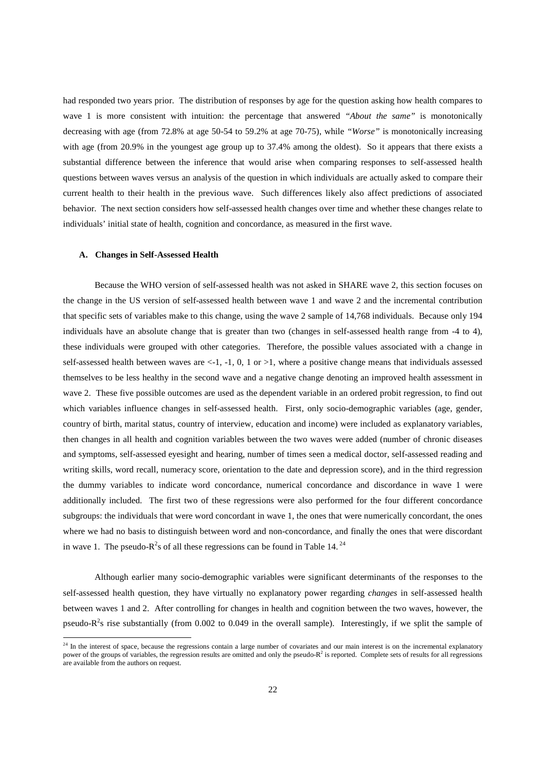had responded two years prior. The distribution of responses by age for the question asking how health compares to wave 1 is more consistent with intuition: the percentage that answered *"About the same"* is monotonically decreasing with age (from 72.8% at age 50-54 to 59.2% at age 70-75), while *"Worse"* is monotonically increasing with age (from 20.9% in the youngest age group up to 37.4% among the oldest). So it appears that there exists a substantial difference between the inference that would arise when comparing responses to self-assessed health questions between waves versus an analysis of the question in which individuals are actually asked to compare their current health to their health in the previous wave. Such differences likely also affect predictions of associated behavior. The next section considers how self-assessed health changes over time and whether these changes relate to individuals' initial state of health, cognition and concordance, as measured in the first wave.

## **A. Changes in Self-Assessed Health**

 $\overline{a}$ 

 Because the WHO version of self-assessed health was not asked in SHARE wave 2, this section focuses on the change in the US version of self-assessed health between wave 1 and wave 2 and the incremental contribution that specific sets of variables make to this change, using the wave 2 sample of 14,768 individuals. Because only 194 individuals have an absolute change that is greater than two (changes in self-assessed health range from -4 to 4), these individuals were grouped with other categories. Therefore, the possible values associated with a change in self-assessed health between waves are  $\lt$ -1, -1, 0, 1 or >1, where a positive change means that individuals assessed themselves to be less healthy in the second wave and a negative change denoting an improved health assessment in wave 2. These five possible outcomes are used as the dependent variable in an ordered probit regression, to find out which variables influence changes in self-assessed health. First, only socio-demographic variables (age, gender, country of birth, marital status, country of interview, education and income) were included as explanatory variables, then changes in all health and cognition variables between the two waves were added (number of chronic diseases and symptoms, self-assessed eyesight and hearing, number of times seen a medical doctor, self-assessed reading and writing skills, word recall, numeracy score, orientation to the date and depression score), and in the third regression the dummy variables to indicate word concordance, numerical concordance and discordance in wave 1 were additionally included. The first two of these regressions were also performed for the four different concordance subgroups: the individuals that were word concordant in wave 1, the ones that were numerically concordant, the ones where we had no basis to distinguish between word and non-concordance, and finally the ones that were discordant in wave 1. The pseudo- $R^2$ s of all these regressions can be found in Table 14.<sup>24</sup>

 Although earlier many socio-demographic variables were significant determinants of the responses to the self-assessed health question, they have virtually no explanatory power regarding *changes* in self-assessed health between waves 1 and 2. After controlling for changes in health and cognition between the two waves, however, the pseudo- $R^2$ s rise substantially (from 0.002 to 0.049 in the overall sample). Interestingly, if we split the sample of

<sup>&</sup>lt;sup>24</sup> In the interest of space, because the regressions contain a large number of covariates and our main interest is on the incremental explanatory power of the groups of variables, the regression results are omitted and only the pseudo-R<sup>2</sup> is reported. Complete sets of results for all regressions are available from the authors on request.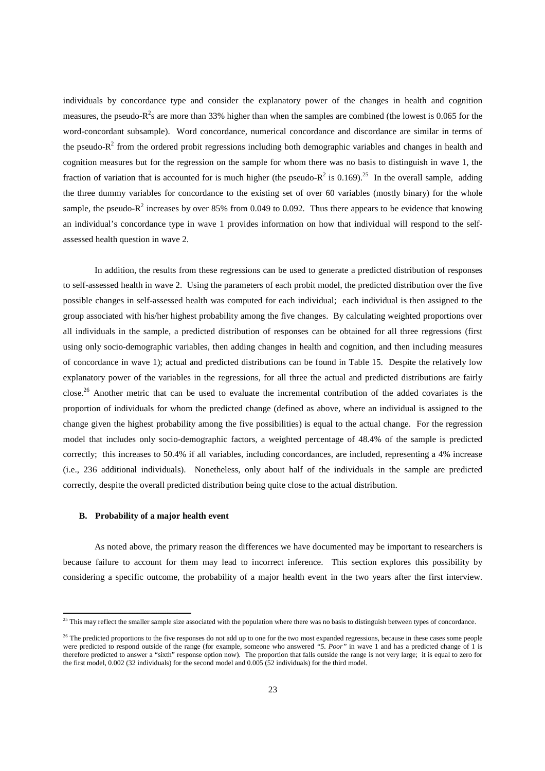individuals by concordance type and consider the explanatory power of the changes in health and cognition measures, the pseudo- $R^2$ s are more than 33% higher than when the samples are combined (the lowest is 0.065 for the word-concordant subsample). Word concordance, numerical concordance and discordance are similar in terms of the pseudo- $R<sup>2</sup>$  from the ordered probit regressions including both demographic variables and changes in health and cognition measures but for the regression on the sample for whom there was no basis to distinguish in wave 1, the fraction of variation that is accounted for is much higher (the pseudo- $R^2$  is 0.169).<sup>25</sup> In the overall sample, adding the three dummy variables for concordance to the existing set of over 60 variables (mostly binary) for the whole sample, the pseudo- $R^2$  increases by over 85% from 0.049 to 0.092. Thus there appears to be evidence that knowing an individual's concordance type in wave 1 provides information on how that individual will respond to the selfassessed health question in wave 2.

 In addition, the results from these regressions can be used to generate a predicted distribution of responses to self-assessed health in wave 2. Using the parameters of each probit model, the predicted distribution over the five possible changes in self-assessed health was computed for each individual; each individual is then assigned to the group associated with his/her highest probability among the five changes. By calculating weighted proportions over all individuals in the sample, a predicted distribution of responses can be obtained for all three regressions (first using only socio-demographic variables, then adding changes in health and cognition, and then including measures of concordance in wave 1); actual and predicted distributions can be found in Table 15. Despite the relatively low explanatory power of the variables in the regressions, for all three the actual and predicted distributions are fairly close.<sup>26</sup> Another metric that can be used to evaluate the incremental contribution of the added covariates is the proportion of individuals for whom the predicted change (defined as above, where an individual is assigned to the change given the highest probability among the five possibilities) is equal to the actual change. For the regression model that includes only socio-demographic factors, a weighted percentage of 48.4% of the sample is predicted correctly; this increases to 50.4% if all variables, including concordances, are included, representing a 4% increase (i.e., 236 additional individuals). Nonetheless, only about half of the individuals in the sample are predicted correctly, despite the overall predicted distribution being quite close to the actual distribution.

## **B. Probability of a major health event**

 $\overline{a}$ 

 As noted above, the primary reason the differences we have documented may be important to researchers is because failure to account for them may lead to incorrect inference. This section explores this possibility by considering a specific outcome, the probability of a major health event in the two years after the first interview.

<sup>&</sup>lt;sup>25</sup> This may reflect the smaller sample size associated with the population where there was no basis to distinguish between types of concordance.

 $^{26}$  The predicted proportions to the five responses do not add up to one for the two most expanded regressions, because in these cases some people were predicted to respond outside of the range (for example, someone who answered *"5. Poor"* in wave 1 and has a predicted change of 1 is therefore predicted to answer a "sixth" response option now). The proportion that falls outside the range is not very large; it is equal to zero for the first model, 0.002 (32 individuals) for the second model and 0.005 (52 individuals) for the third model.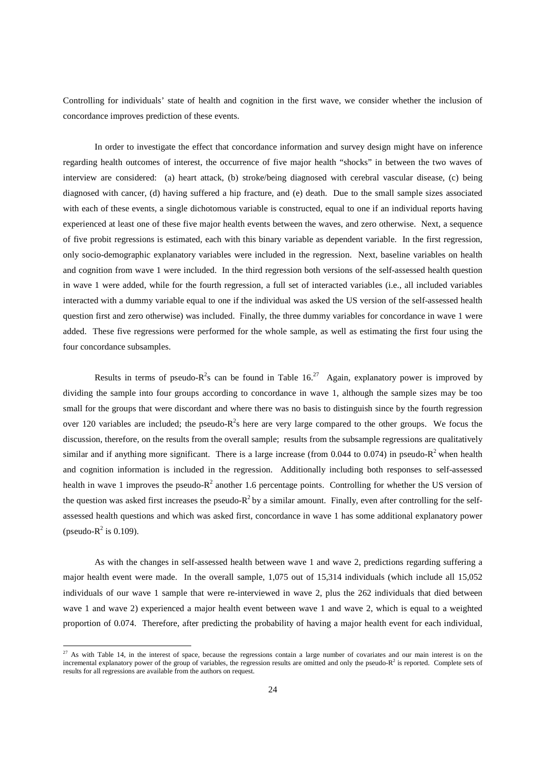Controlling for individuals' state of health and cognition in the first wave, we consider whether the inclusion of concordance improves prediction of these events.

 In order to investigate the effect that concordance information and survey design might have on inference regarding health outcomes of interest, the occurrence of five major health "shocks" in between the two waves of interview are considered: (a) heart attack, (b) stroke/being diagnosed with cerebral vascular disease, (c) being diagnosed with cancer, (d) having suffered a hip fracture, and (e) death. Due to the small sample sizes associated with each of these events, a single dichotomous variable is constructed, equal to one if an individual reports having experienced at least one of these five major health events between the waves, and zero otherwise. Next, a sequence of five probit regressions is estimated, each with this binary variable as dependent variable. In the first regression, only socio-demographic explanatory variables were included in the regression. Next, baseline variables on health and cognition from wave 1 were included. In the third regression both versions of the self-assessed health question in wave 1 were added, while for the fourth regression, a full set of interacted variables (i.e., all included variables interacted with a dummy variable equal to one if the individual was asked the US version of the self-assessed health question first and zero otherwise) was included. Finally, the three dummy variables for concordance in wave 1 were added. These five regressions were performed for the whole sample, as well as estimating the first four using the four concordance subsamples.

Results in terms of pseudo- $R^2$ s can be found in Table 16.<sup>27</sup> Again, explanatory power is improved by dividing the sample into four groups according to concordance in wave 1, although the sample sizes may be too small for the groups that were discordant and where there was no basis to distinguish since by the fourth regression over 120 variables are included; the pseudo- $R^2$ s here are very large compared to the other groups. We focus the discussion, therefore, on the results from the overall sample; results from the subsample regressions are qualitatively similar and if anything more significant. There is a large increase (from 0.044 to 0.074) in pseudo- $R^2$  when health and cognition information is included in the regression. Additionally including both responses to self-assessed health in wave 1 improves the pseudo- $R^2$  another 1.6 percentage points. Controlling for whether the US version of the question was asked first increases the pseudo- $R^2$  by a similar amount. Finally, even after controlling for the selfassessed health questions and which was asked first, concordance in wave 1 has some additional explanatory power (pseudo- $R^2$  is 0.109).

 As with the changes in self-assessed health between wave 1 and wave 2, predictions regarding suffering a major health event were made. In the overall sample, 1,075 out of 15,314 individuals (which include all 15,052 individuals of our wave 1 sample that were re-interviewed in wave 2, plus the 262 individuals that died between wave 1 and wave 2) experienced a major health event between wave 1 and wave 2, which is equal to a weighted proportion of 0.074. Therefore, after predicting the probability of having a major health event for each individual,

 $\overline{a}$ 

 $27$  As with Table 14, in the interest of space, because the regressions contain a large number of covariates and our main interest is on the incremental explanatory power of the group of variables, the regression results are omitted and only the pseudo- $R<sup>2</sup>$  is reported. Complete sets of results for all regressions are available from the authors on request.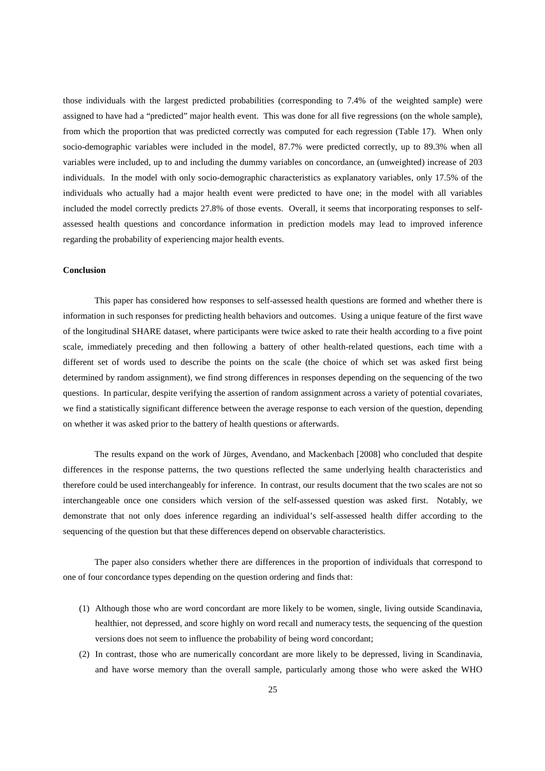those individuals with the largest predicted probabilities (corresponding to 7.4% of the weighted sample) were assigned to have had a "predicted" major health event. This was done for all five regressions (on the whole sample), from which the proportion that was predicted correctly was computed for each regression (Table 17). When only socio-demographic variables were included in the model, 87.7% were predicted correctly, up to 89.3% when all variables were included, up to and including the dummy variables on concordance, an (unweighted) increase of 203 individuals. In the model with only socio-demographic characteristics as explanatory variables, only 17.5% of the individuals who actually had a major health event were predicted to have one; in the model with all variables included the model correctly predicts 27.8% of those events. Overall, it seems that incorporating responses to selfassessed health questions and concordance information in prediction models may lead to improved inference regarding the probability of experiencing major health events.

## **Conclusion**

 This paper has considered how responses to self-assessed health questions are formed and whether there is information in such responses for predicting health behaviors and outcomes. Using a unique feature of the first wave of the longitudinal SHARE dataset, where participants were twice asked to rate their health according to a five point scale, immediately preceding and then following a battery of other health-related questions, each time with a different set of words used to describe the points on the scale (the choice of which set was asked first being determined by random assignment), we find strong differences in responses depending on the sequencing of the two questions. In particular, despite verifying the assertion of random assignment across a variety of potential covariates, we find a statistically significant difference between the average response to each version of the question, depending on whether it was asked prior to the battery of health questions or afterwards.

 The results expand on the work of Jürges, Avendano, and Mackenbach [2008] who concluded that despite differences in the response patterns, the two questions reflected the same underlying health characteristics and therefore could be used interchangeably for inference. In contrast, our results document that the two scales are not so interchangeable once one considers which version of the self-assessed question was asked first. Notably, we demonstrate that not only does inference regarding an individual's self-assessed health differ according to the sequencing of the question but that these differences depend on observable characteristics.

 The paper also considers whether there are differences in the proportion of individuals that correspond to one of four concordance types depending on the question ordering and finds that:

- (1) Although those who are word concordant are more likely to be women, single, living outside Scandinavia, healthier, not depressed, and score highly on word recall and numeracy tests, the sequencing of the question versions does not seem to influence the probability of being word concordant;
- (2) In contrast, those who are numerically concordant are more likely to be depressed, living in Scandinavia, and have worse memory than the overall sample, particularly among those who were asked the WHO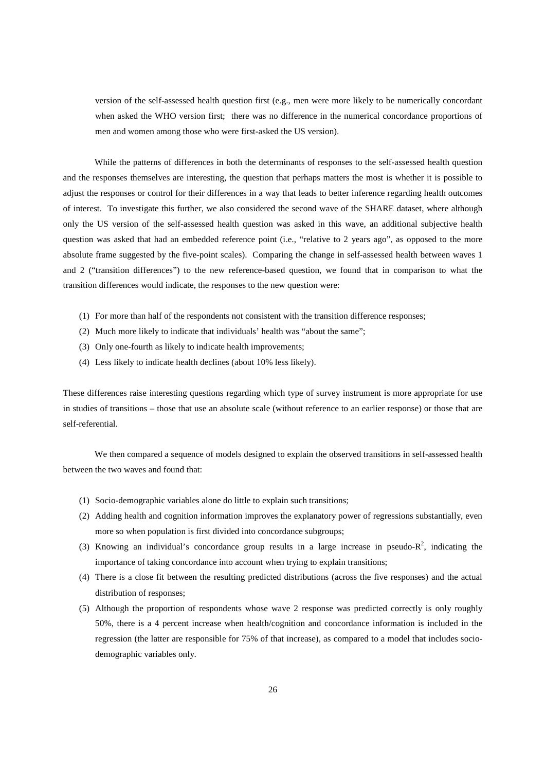version of the self-assessed health question first (e.g., men were more likely to be numerically concordant when asked the WHO version first; there was no difference in the numerical concordance proportions of men and women among those who were first-asked the US version).

 While the patterns of differences in both the determinants of responses to the self-assessed health question and the responses themselves are interesting, the question that perhaps matters the most is whether it is possible to adjust the responses or control for their differences in a way that leads to better inference regarding health outcomes of interest. To investigate this further, we also considered the second wave of the SHARE dataset, where although only the US version of the self-assessed health question was asked in this wave, an additional subjective health question was asked that had an embedded reference point (i.e., "relative to 2 years ago", as opposed to the more absolute frame suggested by the five-point scales). Comparing the change in self-assessed health between waves 1 and 2 ("transition differences") to the new reference-based question, we found that in comparison to what the transition differences would indicate, the responses to the new question were:

- (1) For more than half of the respondents not consistent with the transition difference responses;
- (2) Much more likely to indicate that individuals' health was "about the same";
- (3) Only one-fourth as likely to indicate health improvements;
- (4) Less likely to indicate health declines (about 10% less likely).

These differences raise interesting questions regarding which type of survey instrument is more appropriate for use in studies of transitions – those that use an absolute scale (without reference to an earlier response) or those that are self-referential.

 We then compared a sequence of models designed to explain the observed transitions in self-assessed health between the two waves and found that:

- (1) Socio-demographic variables alone do little to explain such transitions;
- (2) Adding health and cognition information improves the explanatory power of regressions substantially, even more so when population is first divided into concordance subgroups;
- (3) Knowing an individual's concordance group results in a large increase in pseudo- $R^2$ , indicating the importance of taking concordance into account when trying to explain transitions;
- (4) There is a close fit between the resulting predicted distributions (across the five responses) and the actual distribution of responses;
- (5) Although the proportion of respondents whose wave 2 response was predicted correctly is only roughly 50%, there is a 4 percent increase when health/cognition and concordance information is included in the regression (the latter are responsible for 75% of that increase), as compared to a model that includes sociodemographic variables only.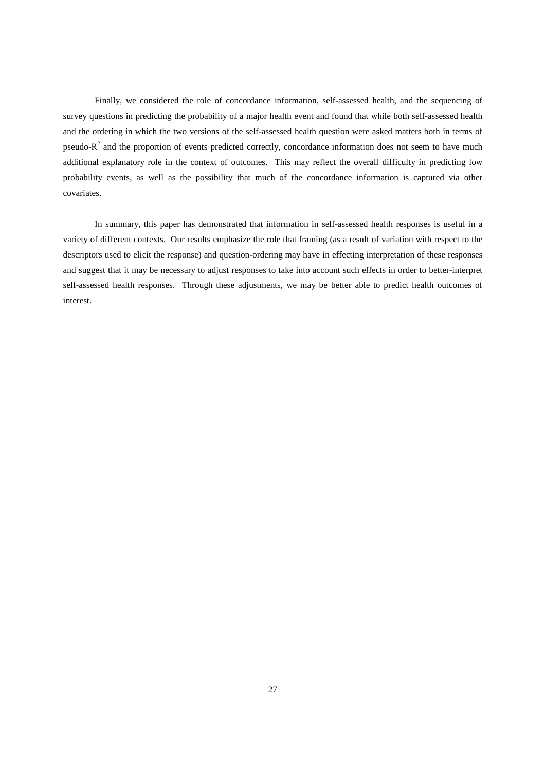Finally, we considered the role of concordance information, self-assessed health, and the sequencing of survey questions in predicting the probability of a major health event and found that while both self-assessed health and the ordering in which the two versions of the self-assessed health question were asked matters both in terms of pseudo- $R<sup>2</sup>$  and the proportion of events predicted correctly, concordance information does not seem to have much additional explanatory role in the context of outcomes. This may reflect the overall difficulty in predicting low probability events, as well as the possibility that much of the concordance information is captured via other covariates.

 In summary, this paper has demonstrated that information in self-assessed health responses is useful in a variety of different contexts. Our results emphasize the role that framing (as a result of variation with respect to the descriptors used to elicit the response) and question-ordering may have in effecting interpretation of these responses and suggest that it may be necessary to adjust responses to take into account such effects in order to better-interpret self-assessed health responses. Through these adjustments, we may be better able to predict health outcomes of interest.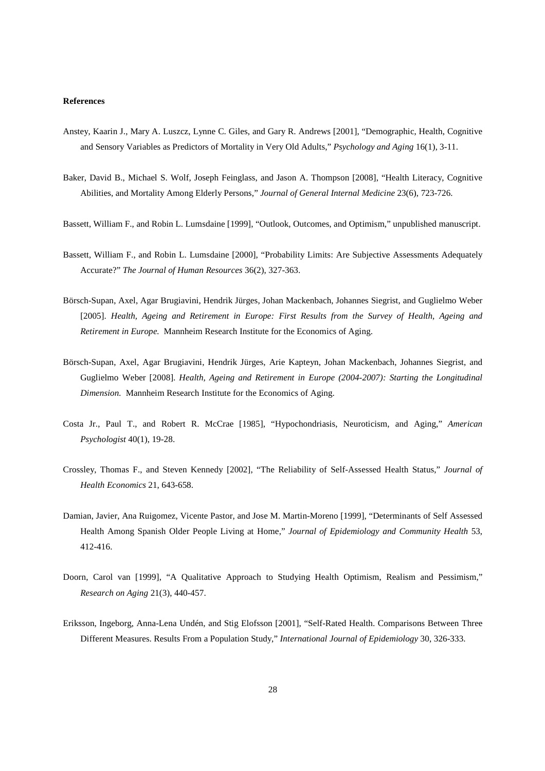### **References**

- Anstey, Kaarin J., Mary A. Luszcz, Lynne C. Giles, and Gary R. Andrews [2001], "Demographic, Health, Cognitive and Sensory Variables as Predictors of Mortality in Very Old Adults," *Psychology and Aging* 16(1), 3-11.
- Baker, David B., Michael S. Wolf, Joseph Feinglass, and Jason A. Thompson [2008], "Health Literacy, Cognitive Abilities, and Mortality Among Elderly Persons," *Journal of General Internal Medicine* 23(6), 723-726.
- Bassett, William F., and Robin L. Lumsdaine [1999], "Outlook, Outcomes, and Optimism," unpublished manuscript.
- Bassett, William F., and Robin L. Lumsdaine [2000], "Probability Limits: Are Subjective Assessments Adequately Accurate?" *The Journal of Human Resources* 36(2), 327-363.
- Börsch-Supan, Axel, Agar Brugiavini, Hendrik Jürges, Johan Mackenbach, Johannes Siegrist, and Guglielmo Weber [2005]. *Health, Ageing and Retirement in Europe: First Results from the Survey of Health, Ageing and Retirement in Europe.* Mannheim Research Institute for the Economics of Aging.
- Börsch-Supan, Axel, Agar Brugiavini, Hendrik Jürges, Arie Kapteyn, Johan Mackenbach, Johannes Siegrist, and Guglielmo Weber [2008]. *Health, Ageing and Retirement in Europe (2004-2007): Starting the Longitudinal Dimension.* Mannheim Research Institute for the Economics of Aging.
- Costa Jr., Paul T., and Robert R. McCrae [1985], "Hypochondriasis, Neuroticism, and Aging," *American Psychologist* 40(1), 19-28.
- Crossley, Thomas F., and Steven Kennedy [2002], "The Reliability of Self-Assessed Health Status," *Journal of Health Economics* 21, 643-658.
- Damian, Javier, Ana Ruigomez, Vicente Pastor, and Jose M. Martin-Moreno [1999], "Determinants of Self Assessed Health Among Spanish Older People Living at Home," *Journal of Epidemiology and Community Health* 53, 412-416.
- Doorn, Carol van [1999], "A Qualitative Approach to Studying Health Optimism, Realism and Pessimism," *Research on Aging* 21(3), 440-457.
- Eriksson, Ingeborg, Anna-Lena Undén, and Stig Elofsson [2001], "Self-Rated Health. Comparisons Between Three Different Measures. Results From a Population Study," *International Journal of Epidemiology* 30, 326-333.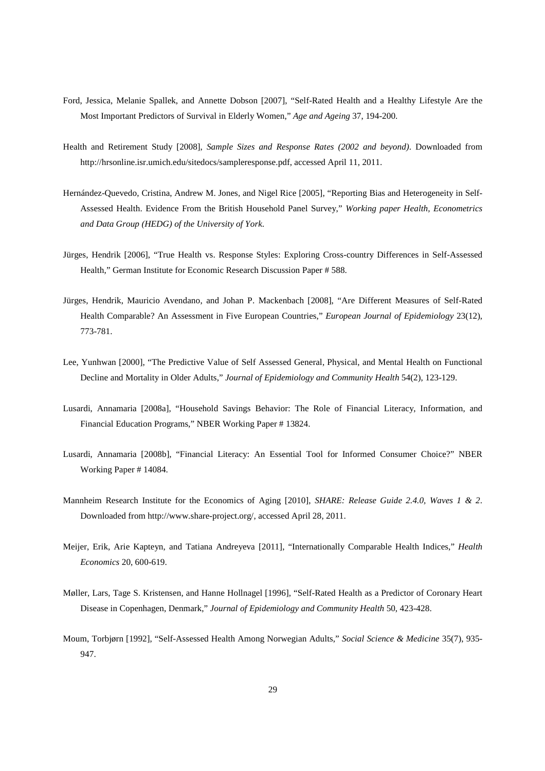- Ford, Jessica, Melanie Spallek, and Annette Dobson [2007], "Self-Rated Health and a Healthy Lifestyle Are the Most Important Predictors of Survival in Elderly Women," *Age and Ageing* 37, 194-200.
- Health and Retirement Study [2008], *Sample Sizes and Response Rates (2002 and beyond)*. Downloaded from http://hrsonline.isr.umich.edu/sitedocs/sampleresponse.pdf, accessed April 11, 2011.
- Hernández-Quevedo, Cristina, Andrew M. Jones, and Nigel Rice [2005], "Reporting Bias and Heterogeneity in Self-Assessed Health. Evidence From the British Household Panel Survey," *Working paper Health, Econometrics and Data Group (HEDG) of the University of York*.
- Jürges, Hendrik [2006], "True Health vs. Response Styles: Exploring Cross-country Differences in Self-Assessed Health," German Institute for Economic Research Discussion Paper # 588.
- Jürges, Hendrik, Mauricio Avendano, and Johan P. Mackenbach [2008], "Are Different Measures of Self-Rated Health Comparable? An Assessment in Five European Countries," *European Journal of Epidemiology* 23(12), 773-781.
- Lee, Yunhwan [2000], "The Predictive Value of Self Assessed General, Physical, and Mental Health on Functional Decline and Mortality in Older Adults," *Journal of Epidemiology and Community Health* 54(2), 123-129.
- Lusardi, Annamaria [2008a], "Household Savings Behavior: The Role of Financial Literacy, Information, and Financial Education Programs," NBER Working Paper # 13824.
- Lusardi, Annamaria [2008b], "Financial Literacy: An Essential Tool for Informed Consumer Choice?" NBER Working Paper # 14084.
- Mannheim Research Institute for the Economics of Aging [2010], *SHARE: Release Guide 2.4.0, Waves 1 & 2*. Downloaded from http://www.share-project.org/, accessed April 28, 2011.
- Meijer, Erik, Arie Kapteyn, and Tatiana Andreyeva [2011], "Internationally Comparable Health Indices," *Health Economics* 20, 600-619.
- Møller, Lars, Tage S. Kristensen, and Hanne Hollnagel [1996], "Self-Rated Health as a Predictor of Coronary Heart Disease in Copenhagen, Denmark," *Journal of Epidemiology and Community Health* 50, 423-428.
- Moum, Torbjørn [1992], "Self-Assessed Health Among Norwegian Adults," *Social Science & Medicine* 35(7), 935- 947.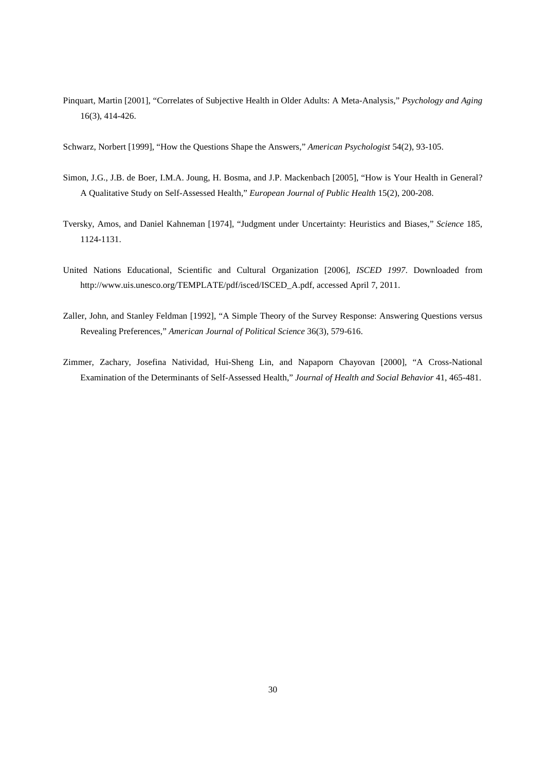- Pinquart, Martin [2001], "Correlates of Subjective Health in Older Adults: A Meta-Analysis," *Psychology and Aging* 16(3), 414-426.
- Schwarz, Norbert [1999], "How the Questions Shape the Answers," *American Psychologist* 54(2), 93-105.
- Simon, J.G., J.B. de Boer, I.M.A. Joung, H. Bosma, and J.P. Mackenbach [2005], "How is Your Health in General? A Qualitative Study on Self-Assessed Health," *European Journal of Public Health* 15(2), 200-208.
- Tversky, Amos, and Daniel Kahneman [1974], "Judgment under Uncertainty: Heuristics and Biases," *Science* 185, 1124-1131.
- United Nations Educational, Scientific and Cultural Organization [2006], *ISCED 1997*. Downloaded from http://www.uis.unesco.org/TEMPLATE/pdf/isced/ISCED\_A.pdf, accessed April 7, 2011.
- Zaller, John, and Stanley Feldman [1992], "A Simple Theory of the Survey Response: Answering Questions versus Revealing Preferences," *American Journal of Political Science* 36(3), 579-616.
- Zimmer, Zachary, Josefina Natividad, Hui-Sheng Lin, and Napaporn Chayovan [2000], "A Cross-National Examination of the Determinants of Self-Assessed Health," *Journal of Health and Social Behavior* 41, 465-481.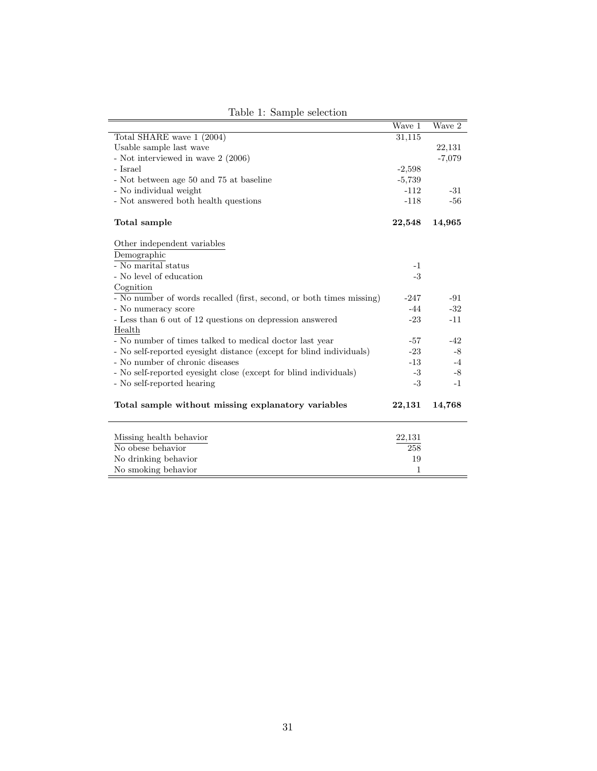|                                                                      | Wave 1   | Wave 2         |
|----------------------------------------------------------------------|----------|----------------|
| Total SHARE wave 1 (2004)                                            | 31,115   |                |
| Usable sample last wave                                              |          | 22,131         |
| - Not interviewed in wave 2 (2006)                                   |          | $-7,079$       |
| - Israel                                                             | $-2,598$ |                |
| - Not between age $50$ and $75$ at baseline                          | $-5,739$ |                |
| - No individual weight                                               | $-112$   | $-31$          |
| - Not answered both health questions                                 | $-118$   | $-56$          |
| Total sample                                                         | 22,548   | 14,965         |
| Other independent variables                                          |          |                |
| Demographic                                                          |          |                |
| - No marital status                                                  | $-1$     |                |
| - No level of education                                              | $-3$     |                |
| Cognition                                                            |          |                |
| - No number of words recalled (first, second, or both times missing) | $-247$   | $-91$          |
| - No numeracy score                                                  | $-44$    | $\textbf{-32}$ |
| - Less than 6 out of 12 questions on depression answered             | $-23$    | $-11$          |
| Health                                                               |          |                |
| - No number of times talked to medical doctor last year              | $-57$    | $-42$          |
| - No self-reported eyesight distance (except for blind individuals)  | $-23$    | $-8$           |
| - No number of chronic diseases                                      | $-13$    | $-4$           |
| - No self-reported eyesight close (except for blind individuals)     | $-3$     | $-8$           |
| - No self-reported hearing                                           | $-3$     | $-1$           |
| Total sample without missing explanatory variables                   | 22,131   | 14,768         |
| Missing health behavior                                              | 22,131   |                |
| No obese behavior                                                    | 258      |                |
| No drinking behavior                                                 | 19       |                |
| No smoking behavior                                                  | 1        |                |
|                                                                      |          |                |

Table 1: Sample selection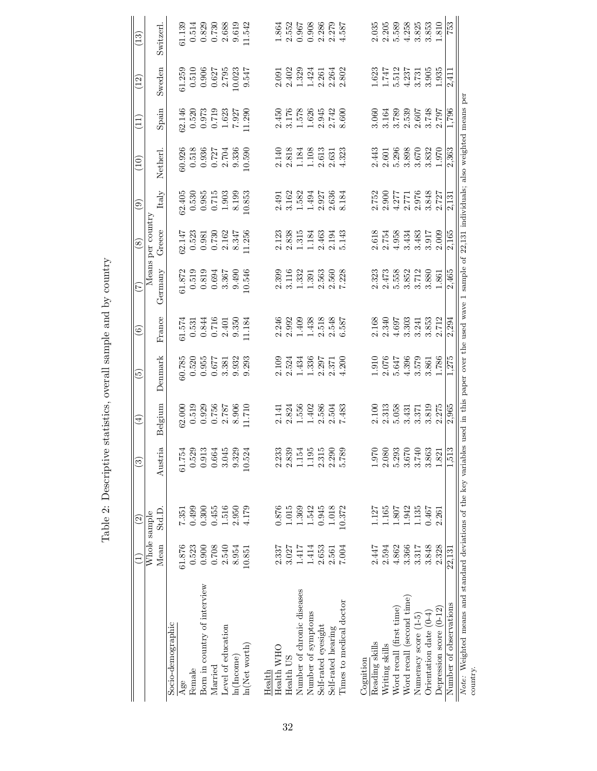|                                                                                                                                                                             |        | $\widehat{c}$ | ි)                                                                        | $\bigoplus$                                  | $\widetilde{\mathbb{G}}$                                        | ම                                                                                  | (Z)                                                                                         | $\circledast$                                                                         | ම                                                             | $\left(10\right)$                                                                                               | $\Xi$                                                                                                             | (12)                                                                                                 | $\left(13\right)$                                                                   |
|-----------------------------------------------------------------------------------------------------------------------------------------------------------------------------|--------|---------------|---------------------------------------------------------------------------|----------------------------------------------|-----------------------------------------------------------------|------------------------------------------------------------------------------------|---------------------------------------------------------------------------------------------|---------------------------------------------------------------------------------------|---------------------------------------------------------------|-----------------------------------------------------------------------------------------------------------------|-------------------------------------------------------------------------------------------------------------------|------------------------------------------------------------------------------------------------------|-------------------------------------------------------------------------------------|
|                                                                                                                                                                             |        |               |                                                                           |                                              |                                                                 |                                                                                    |                                                                                             |                                                                                       |                                                               |                                                                                                                 |                                                                                                                   |                                                                                                      |                                                                                     |
|                                                                                                                                                                             |        | Whole sample  |                                                                           |                                              |                                                                 |                                                                                    |                                                                                             | Means per country                                                                     |                                                               |                                                                                                                 |                                                                                                                   |                                                                                                      |                                                                                     |
|                                                                                                                                                                             | Mean   | Std.D         | Austria                                                                   | Belgium                                      | Denmark                                                         | France                                                                             | Germany                                                                                     | Greece                                                                                | Italy                                                         | Netherl.                                                                                                        | Spain                                                                                                             | Sweden                                                                                               | Switzerl.                                                                           |
| Socio-demographic                                                                                                                                                           |        |               |                                                                           |                                              |                                                                 |                                                                                    |                                                                                             |                                                                                       |                                                               |                                                                                                                 |                                                                                                                   |                                                                                                      |                                                                                     |
| Age                                                                                                                                                                         | 61.876 | 7.351         | 61.754                                                                    |                                              | $\frac{60.785}{0.520}$                                          |                                                                                    |                                                                                             |                                                                                       |                                                               |                                                                                                                 |                                                                                                                   |                                                                                                      | 31.139                                                                              |
| Female                                                                                                                                                                      | 0.523  | 0.499         |                                                                           |                                              |                                                                 |                                                                                    |                                                                                             |                                                                                       |                                                               |                                                                                                                 |                                                                                                                   |                                                                                                      |                                                                                     |
| Born in country of interview                                                                                                                                                | 0.900  | 0.300         |                                                                           |                                              | 0.955                                                           |                                                                                    |                                                                                             |                                                                                       |                                                               |                                                                                                                 |                                                                                                                   |                                                                                                      |                                                                                     |
| Married                                                                                                                                                                     | 0.708  | 0.455         |                                                                           | $62.000$<br>0.519<br>0.929<br>0.756<br>2.787 |                                                                 |                                                                                    |                                                                                             |                                                                                       |                                                               |                                                                                                                 |                                                                                                                   |                                                                                                      |                                                                                     |
| Level of education                                                                                                                                                          | 2.540  | 1.516         |                                                                           |                                              | 0.677<br>3.381                                                  |                                                                                    |                                                                                             |                                                                                       |                                                               |                                                                                                                 |                                                                                                                   |                                                                                                      |                                                                                     |
| ln(Income)                                                                                                                                                                  | 8.954  | 2.950         | $0.529$<br>$0.913$<br>$0.664$<br>$0.45$<br>$0.329$<br>$0.329$             | 8.906                                        | 9.932                                                           | $\begin{array}{c} 61.574 \\ 0.531 \\ 0.844 \\ 0.716 \\ 2.401 \\ 9.350 \end{array}$ | $\begin{array}{c} 61.872 \\ 0.519 \\ 0.819 \\ 0.694 \\ 0.697 \\ 3.367 \\ 9.490 \end{array}$ | $\begin{array}{l} 32.147 \\ 0.523 \\ 0.981 \\ 0.730 \\ 2.162 \\ 2.347 \\ \end{array}$ |                                                               |                                                                                                                 |                                                                                                                   | $\begin{array}{c} 61.259 \\ 0.510 \\ 0.906 \\ 0.627 \\ 0.627 \\ 10.023 \end{array}$                  |                                                                                     |
| $\ln(Net$ worth)                                                                                                                                                            | 10.851 | 4.179         | 10.524                                                                    | 1.710                                        | 9.293                                                           | 1.184                                                                              | 10.546                                                                                      | 1.256                                                                                 | $32.405$<br>0.530<br>0.985<br>0.715<br>1.903<br>8.53<br>0.853 | $\begin{array}{l} 60.926 \\ 0.518 \\ 0.936 \\ 0.727 \\ 2.704 \\ 9.336 \\ 0.596 \\ 10.590 \\ \end{array}$        | $\begin{array}{l} 32.146 \\ 0.520 \\ 0.973 \\ 0.719 \\ 1.623 \\ 1.927 \\ 1.927 \\ 1.1290 \\ 1.290 \\ \end{array}$ | 9.547                                                                                                | $\begin{array}{c} 0.514 \\ 0.829 \\ 0.730 \\ 2.688 \\ 9.619 \\ 1.542 \end{array}$   |
|                                                                                                                                                                             |        |               |                                                                           |                                              |                                                                 |                                                                                    |                                                                                             |                                                                                       |                                                               |                                                                                                                 |                                                                                                                   |                                                                                                      |                                                                                     |
| Health WHO<br>Health                                                                                                                                                        | 2.337  | 0.876         | 2.233                                                                     |                                              |                                                                 | 2.246                                                                              |                                                                                             |                                                                                       |                                                               |                                                                                                                 |                                                                                                                   |                                                                                                      |                                                                                     |
|                                                                                                                                                                             |        |               |                                                                           |                                              |                                                                 |                                                                                    |                                                                                             |                                                                                       |                                                               |                                                                                                                 |                                                                                                                   |                                                                                                      |                                                                                     |
| Health US                                                                                                                                                                   | 3.027  | 1.015         | $2.839$<br>1.154                                                          |                                              |                                                                 |                                                                                    |                                                                                             |                                                                                       |                                                               |                                                                                                                 |                                                                                                                   |                                                                                                      |                                                                                     |
| Number of chronic diseases                                                                                                                                                  | 1.417  | 1.369         |                                                                           |                                              | 2.109<br>2.524<br>1.434                                         | 2.992<br>1.409                                                                     |                                                                                             |                                                                                       |                                                               |                                                                                                                 |                                                                                                                   |                                                                                                      |                                                                                     |
| Number of symptoms                                                                                                                                                          | 1.414  | 1.542         |                                                                           | 2.141<br>2.824<br>1.556<br>1.402             | 1.336                                                           | 1.438                                                                              |                                                                                             |                                                                                       |                                                               |                                                                                                                 |                                                                                                                   |                                                                                                      |                                                                                     |
| Self-rated eyesight                                                                                                                                                         | 2.653  | 0.945         |                                                                           |                                              |                                                                 |                                                                                    |                                                                                             |                                                                                       |                                                               |                                                                                                                 |                                                                                                                   |                                                                                                      |                                                                                     |
| Self-rated hearing                                                                                                                                                          | 2.561  | 1.018         | $\begin{array}{c} 1.195 \\ 2.315 \\ 2.290 \end{array}$                    | $2.586$<br>$2.504$<br>$7.483$                | 2.297<br>2.371                                                  | $2.518$<br>$2.548$<br>$6.587$                                                      | $\begin{array}{r} 2.399 \\ 3.116 \\ 1.332 \\ 1.391 \\ 2.560 \\ 2.580 \\ 7.228 \end{array}$  | 2.123<br>2.3.35<br>2.1.3463<br>2.1.463<br>2.1.43                                      | 2.491<br>3.162<br>3.1521<br>1.492<br>2.636<br>2.184           | 2.140<br>2.818<br>1.108<br>1.108<br>2.631<br>2.323                                                              | 2.450<br>3.176<br>5.578<br>5.945<br>2.742<br>2.600                                                                | 2.091<br>2.402<br>2.424<br>2.264<br>2.2.262                                                          | $1.864$<br>$2.552$<br>$3.567$<br>$0.968$<br>$0.279$<br>$0.279$<br>$0.287$           |
| Times to medical doctor                                                                                                                                                     | 7.004  | 10.372        | 5.789                                                                     |                                              | .200                                                            |                                                                                    |                                                                                             |                                                                                       |                                                               |                                                                                                                 |                                                                                                                   |                                                                                                      |                                                                                     |
|                                                                                                                                                                             |        |               |                                                                           |                                              |                                                                 |                                                                                    |                                                                                             |                                                                                       |                                                               |                                                                                                                 |                                                                                                                   |                                                                                                      |                                                                                     |
| Cognition                                                                                                                                                                   |        | 1.127         |                                                                           |                                              |                                                                 |                                                                                    |                                                                                             |                                                                                       |                                                               |                                                                                                                 |                                                                                                                   |                                                                                                      |                                                                                     |
| Reading skills                                                                                                                                                              | 2.447  |               |                                                                           | 2.100                                        |                                                                 | 2.168<br>2.340                                                                     | 2.323                                                                                       |                                                                                       |                                                               |                                                                                                                 |                                                                                                                   |                                                                                                      | 2.035                                                                               |
| Writing skills                                                                                                                                                              | 2.594  | 1.165         |                                                                           |                                              |                                                                 |                                                                                    |                                                                                             |                                                                                       |                                                               |                                                                                                                 |                                                                                                                   |                                                                                                      |                                                                                     |
| Word recall (first time)                                                                                                                                                    | 4.862  | 1.807         |                                                                           | 2.313<br>5.058                               |                                                                 | 4.697                                                                              |                                                                                             |                                                                                       |                                                               |                                                                                                                 |                                                                                                                   |                                                                                                      |                                                                                     |
| Word recall (second time)                                                                                                                                                   | 3.366  | 1.942         |                                                                           | 3.431                                        | $\begin{array}{c} 1.910 \\ 2.076 \\ 5.647 \\ 4.396 \end{array}$ |                                                                                    |                                                                                             |                                                                                       |                                                               |                                                                                                                 |                                                                                                                   |                                                                                                      |                                                                                     |
| Numeracy score (1-5)                                                                                                                                                        | 3.317  | 1.135         | $1.970$<br>$2.080$<br>$5.293$<br>$3.740$<br>$3.863$<br>$3.863$<br>$1.821$ | 3.371                                        | 3.579                                                           | $3.303$<br>$3.241$                                                                 | $\begin{array}{l} 2.473 \\ 5.558 \\ 5.382 \\ 3.712 \\ 3.860 \\ 1.861 \end{array}$           | 2.618<br>2.754<br>2.4334<br>3.3.483<br>3.009<br>2.009                                 | 2.752<br>2.900<br>2.771<br>2.7848<br>2.727<br>2.727           | $\begin{array}{l} 2.443 \\ 2.601 \\ 2.998 \\ 5.3898 \\ 6.70 \\ 7.998 \\ 7.932 \\ 8.332 \\ 1.970 \\ \end{array}$ | $3.164\n3.163\n3.539\n3.530\n3.748\n3.797$                                                                        | $\begin{array}{c} 1.623 \\ 1.747 \\ 1.512 \\ 5.513 \\ 4.337 \\ 3.331 \\ 5.4395 \\ 1.935 \end{array}$ | $\begin{array}{l} 2.205 \\ 1.589 \\ 5.4283 \\ 4.3833 \\ 3.813 \\ 1.810 \end{array}$ |
| Orientation date (0-4)                                                                                                                                                      | 3.848  | 0.467         |                                                                           | 3.819<br>2.275                               | 3.861                                                           | 3.853                                                                              |                                                                                             |                                                                                       |                                                               |                                                                                                                 |                                                                                                                   |                                                                                                      |                                                                                     |
| Depression score $(0-12)$                                                                                                                                                   | 2.328  | 2.261         |                                                                           |                                              | 1.786                                                           | 2.712                                                                              |                                                                                             |                                                                                       |                                                               |                                                                                                                 |                                                                                                                   |                                                                                                      |                                                                                     |
| Number of observations                                                                                                                                                      | 22,131 |               | S<br>1,51.                                                                | 2,965                                        | 1,275                                                           | 2,294                                                                              | 2,465                                                                                       | 2,165                                                                                 | 2,131                                                         | 2,363                                                                                                           | 1,796                                                                                                             | 2,411                                                                                                | $\frac{2}{53}$                                                                      |
| Note: Weighted means and standard deviations of the key variables used in this paper over the used wave 1 sample of 22,131 individuals; also weighted means per<br>country. |        |               |                                                                           |                                              |                                                                 |                                                                                    |                                                                                             |                                                                                       |                                                               |                                                                                                                 |                                                                                                                   |                                                                                                      |                                                                                     |

Table 2: Descriptive statistics, overall sample and by country Table 2: Descriptive statistics, overall sample and by country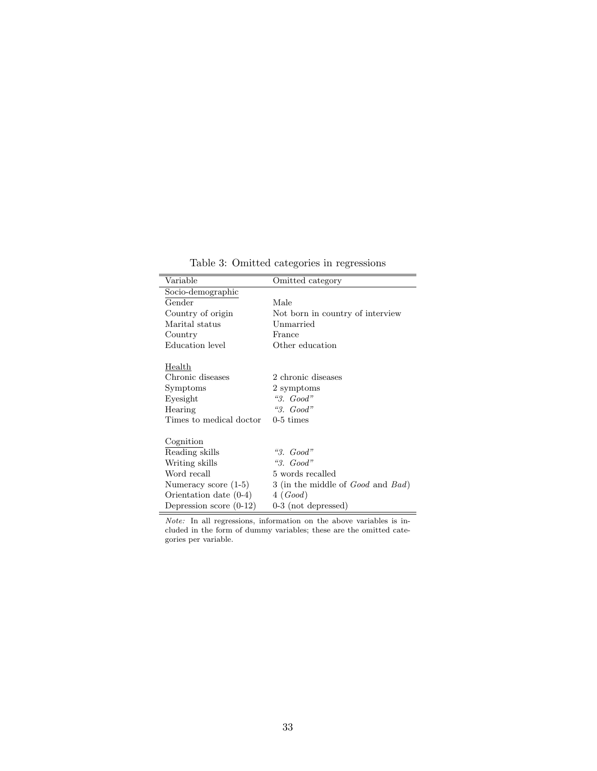Table 3: Omitted categories in regressions

| Variable                  | Omitted category                                 |
|---------------------------|--------------------------------------------------|
| Socio-demographic         |                                                  |
| Gender                    | Male                                             |
| Country of origin         | Not born in country of interview                 |
| Marital status            | Unmarried                                        |
| Country                   | France                                           |
| Education level           | Other education                                  |
|                           |                                                  |
| Health                    |                                                  |
| Chronic diseases          | 2 chronic diseases                               |
| Symptoms                  | 2 symptoms                                       |
| Eyesight                  | "3. $Good$ "                                     |
| Hearing                   | $\mathcal{C}3.$ Good"                            |
| Times to medical doctor   | $0-5 \times$                                     |
|                           |                                                  |
| Cognition                 |                                                  |
| Reading skills            | "3. $Good$ "                                     |
| Writing skills            | " $3. Good"$                                     |
| Word recall               | 5 words recalled                                 |
| Numeracy score $(1-5)$    | 3 (in the middle of <i>Good</i> and <i>Bad</i> ) |
| Orientation date $(0-4)$  | 4(Good)                                          |
| Depression score $(0-12)$ | $0-3$ (not depressed)                            |

Note: In all regressions, information on the above variables is included in the form of dummy variables; these are the omitted categories per variable.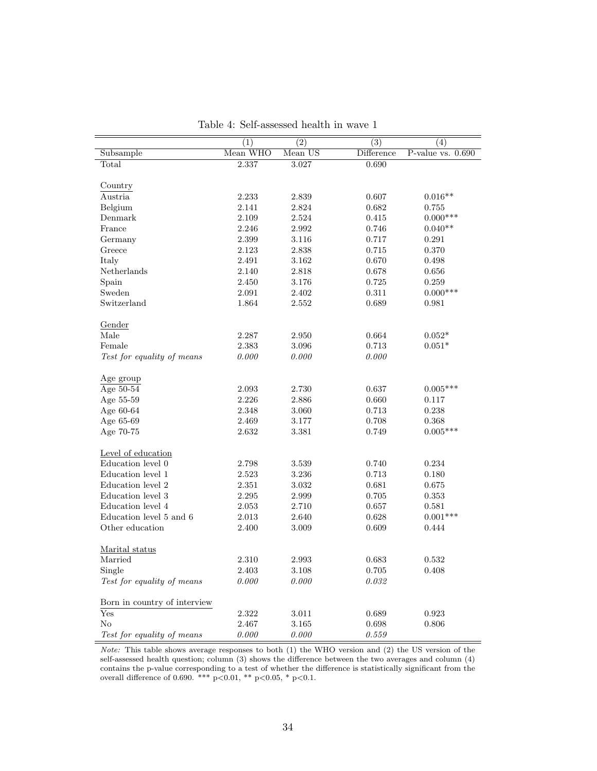|                              | (1)      | $\overline{(2)}$ | $\overline{(3)}$ | (4)                 |
|------------------------------|----------|------------------|------------------|---------------------|
| Subsample                    | Mean WHO | Mean US          | Difference       | P-value vs. $0.690$ |
| Total                        | 2.337    | 3.027            | 0.690            |                     |
|                              |          |                  |                  |                     |
| Country                      |          |                  |                  |                     |
| Austria                      | 2.233    | 2.839            | 0.607            | $0.016**$           |
| Belgium                      | 2.141    | 2.824            | 0.682            | 0.755               |
| Denmark                      | 2.109    | 2.524            | 0.415            | $0.000***$          |
| France                       | 2.246    | 2.992            | 0.746            | $0.040**$           |
| Germany                      | 2.399    | 3.116            | 0.717            | 0.291               |
| Greece                       | 2.123    | 2.838            | 0.715            | 0.370               |
| Italy                        | 2.491    | 3.162            | 0.670            | 0.498               |
| Netherlands                  | 2.140    | 2.818            | 0.678            | 0.656               |
| Spain                        | 2.450    | 3.176            | 0.725            | 0.259               |
| Sweden                       | 2.091    | 2.402            | 0.311            | $0.000***$          |
| Switzerland                  | 1.864    | 2.552            | 0.689            | 0.981               |
|                              |          |                  |                  |                     |
| Gender                       |          |                  |                  |                     |
| Male                         | 2.287    | 2.950            | 0.664            | $0.052*$            |
| Female                       | 2.383    | 3.096            | 0.713            | $0.051*$            |
| Test for equality of means   | 0.000    | 0.000            | 0.000            |                     |
|                              |          |                  |                  |                     |
| Age group                    |          |                  |                  |                     |
| Age $50-54$                  | 2.093    | 2.730            | 0.637            | $0.005***$          |
| Age 55-59                    | 2.226    | 2.886            | 0.660            | 0.117               |
| Age 60-64                    | 2.348    | 3.060            | 0.713            | 0.238               |
| Age 65-69                    | 2.469    | 3.177            | 0.708            | 0.368               |
| Age 70-75                    | 2.632    | 3.381            | 0.749            | $0.005***$          |
|                              |          |                  |                  |                     |
| Level of education           |          |                  |                  |                     |
| Education level 0            | 2.798    | 3.539            | 0.740            | 0.234               |
| Education level 1            | 2.523    | 3.236            | 0.713            | 0.180               |
| Education level 2            | 2.351    | 3.032            | 0.681            | 0.675               |
| Education level 3            | 2.295    | 2.999            | 0.705            | 0.353               |
| Education level 4            | 2.053    | 2.710            | 0.657            | 0.581               |
| Education level 5 and 6      | 2.013    | 2.640            | 0.628            | $0.001***$          |
| Other education              | 2.400    | 3.009            | 0.609            | 0.444               |
|                              |          |                  |                  |                     |
| Marital status               |          |                  |                  |                     |
| Married                      | 2.310    | 2.993            | 0.683            | 0.532               |
| Single                       | 2.403    | 3.108            | 0.705            | 0.408               |
| Test for equality of means   | 0.000    | 0.000            | 0.032            |                     |
|                              |          |                  |                  |                     |
| Born in country of interview |          |                  |                  |                     |
| Yes                          | 2.322    | 3.011            | 0.689            | 0.923               |
| No                           | 2.467    | 3.165            | 0.698            | 0.806               |
| Test for equality of means   | 0.000    | 0.000            | 0.559            |                     |
|                              |          |                  |                  |                     |

Table 4: Self-assessed health in wave 1

Note: This table shows average responses to both (1) the WHO version and (2) the US version of the self-assessed health question; column (3) shows the difference between the two averages and column (4) contains the p-value corresponding to a test of whether the difference is statistically significant from the overall difference of 0.690. \*\*\*  $p<0.01$ , \*\*  $p<0.05$ , \*  $p<0.1$ .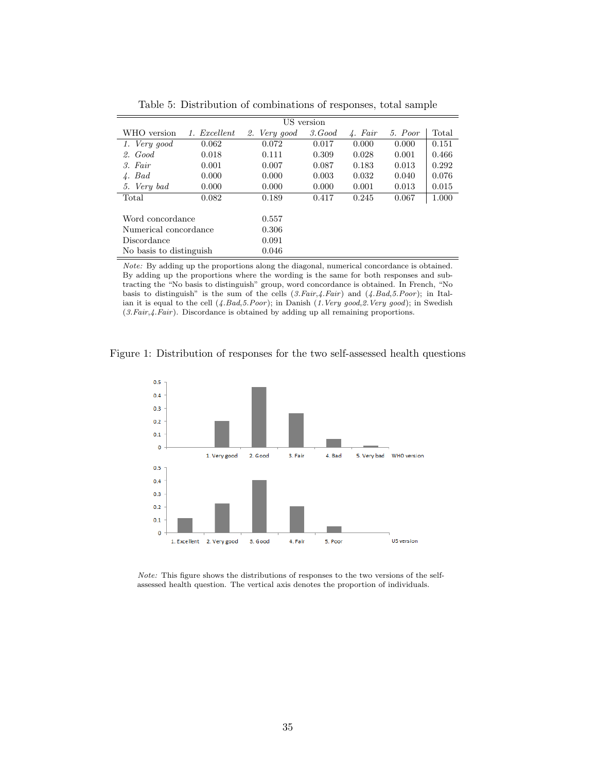|                         |              |              | US version |                  |         |       |
|-------------------------|--------------|--------------|------------|------------------|---------|-------|
| WHO version             | 1. Excellent | 2. Very good | 3. Good    | $\lambda$ . Fair | 5. Poor | Total |
| 1. Very good            | 0.062        | 0.072        | 0.017      | 0.000            | 0.000   | 0.151 |
| 2. Good                 | 0.018        | 0.111        | 0.309      | 0.028            | 0.001   | 0.466 |
| 3. Fair                 | 0.001        | 0.007        | 0.087      | 0.183            | 0.013   | 0.292 |
| $\lambda$ . Bad         | 0.000        | 0.000        | 0.003      | 0.032            | 0.040   | 0.076 |
| 5. Very bad             | 0.000        | 0.000        | 0.000      | 0.001            | 0.013   | 0.015 |
| Total                   | 0.082        | 0.189        | 0.417      | 0.245            | 0.067   | 1.000 |
|                         |              |              |            |                  |         |       |
| Word concordance        |              | 0.557        |            |                  |         |       |
| Numerical concordance   |              | 0.306        |            |                  |         |       |
| Discordance             |              | 0.091        |            |                  |         |       |
| No basis to distinguish |              | 0.046        |            |                  |         |       |

Table 5: Distribution of combinations of responses, total sample

Note: By adding up the proportions along the diagonal, numerical concordance is obtained. By adding up the proportions where the wording is the same for both responses and subtracting the "No basis to distinguish" group, word concordance is obtained. In French, "No basis to distinguish" is the sum of the cells (3.Fair,4.Fair) and (4.Bad,5.Poor); in Italian it is equal to the cell  $(4.Bad,5.Poor)$ ; in Danish  $(1. Very good, 2. Very good)$ ; in Swedish  $(3.Fair, 4.Fair)$ . Discordance is obtained by adding up all remaining proportions.





Note: This figure shows the distributions of responses to the two versions of the selfassessed health question. The vertical axis denotes the proportion of individuals.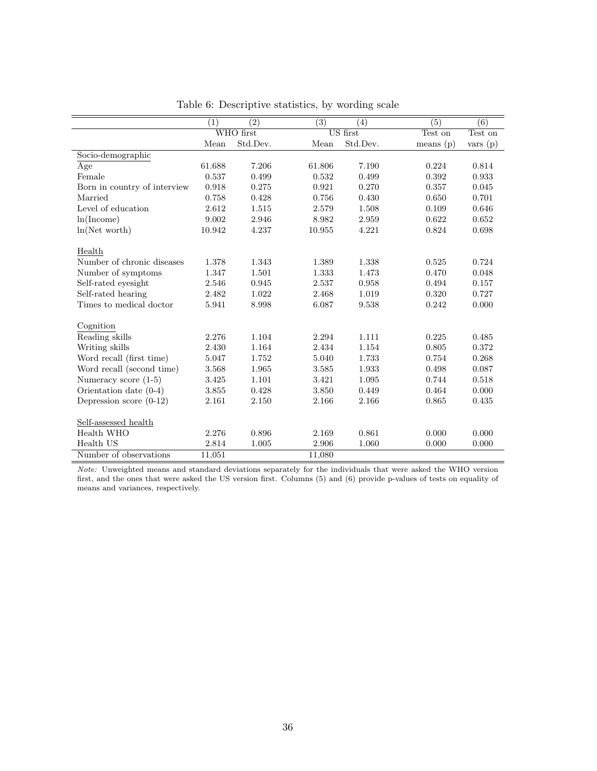|                              | (1)    | $\left( 2\right)$ | (3)    | (4)      | (5)         | (6)     |
|------------------------------|--------|-------------------|--------|----------|-------------|---------|
|                              |        | WHO first         |        | US first | Test on     | Test on |
|                              | Mean   | Std.Dev.          | Mean   | Std.Dev. | means $(p)$ | vars(p) |
| Socio-demographic            |        |                   |        |          |             |         |
| Age                          | 61.688 | 7.206             | 61.806 | 7.190    | 0.224       | 0.814   |
| Female                       | 0.537  | 0.499             | 0.532  | 0.499    | 0.392       | 0.933   |
| Born in country of interview | 0.918  | 0.275             | 0.921  | 0.270    | 0.357       | 0.045   |
| Married                      | 0.758  | 0.428             | 0.756  | 0.430    | 0.650       | 0.701   |
| Level of education           | 2.612  | 1.515             | 2.579  | 1.508    | 0.109       | 0.646   |
| ln(Income)                   | 9.002  | 2.946             | 8.982  | 2.959    | 0.622       | 0.652   |
| ln(Net worth)                | 10.942 | 4.237             | 10.955 | 4.221    | 0.824       | 0.698   |
|                              |        |                   |        |          |             |         |
| Health                       |        |                   |        |          |             |         |
| Number of chronic diseases   | 1.378  | 1.343             | 1.389  | 1.338    | 0.525       | 0.724   |
| Number of symptoms           | 1.347  | 1.501             | 1.333  | 1.473    | 0.470       | 0.048   |
| Self-rated eyesight          | 2.546  | 0.945             | 2.537  | 0.958    | 0.494       | 0.157   |
| Self-rated hearing           | 2.482  | 1.022             | 2.468  | 1.019    | 0.320       | 0.727   |
| Times to medical doctor      | 5.941  | 8.998             | 6.087  | 9.538    | 0.242       | 0.000   |
|                              |        |                   |        |          |             |         |
| Cognition                    |        |                   |        |          |             |         |
| Reading skills               | 2.276  | 1.104             | 2.294  | 1.111    | 0.225       | 0.485   |
| Writing skills               | 2.430  | 1.164             | 2.434  | 1.154    | 0.805       | 0.372   |
| Word recall (first time)     | 5.047  | 1.752             | 5.040  | 1.733    | 0.754       | 0.268   |
| Word recall (second time)    | 3.568  | 1.965             | 3.585  | 1.933    | 0.498       | 0.087   |
| Numeracy score (1-5)         | 3.425  | 1.101             | 3.421  | 1.095    | 0.744       | 0.518   |
| Orientation date $(0-4)$     | 3.855  | 0.428             | 3.850  | 0.449    | 0.464       | 0.000   |
| Depression score $(0-12)$    | 2.161  | 2.150             | 2.166  | 2.166    | 0.865       | 0.435   |
|                              |        |                   |        |          |             |         |
| Self-assessed health         |        |                   |        |          |             |         |
| Health WHO                   | 2.276  | 0.896             | 2.169  | 0.861    | 0.000       | 0.000   |
| Health US                    | 2.814  | 1.005             | 2.906  | 1.060    | 0.000       | 0.000   |
| Number of observations       | 11,051 |                   | 11,080 |          |             |         |

Table 6: Descriptive statistics, by wording scale

Note: Unweighted means and standard deviations separately for the individuals that were asked the WHO version first, and the ones that were asked the US version first. Columns (5) and (6) provide p-values of tests on equality of means and variances, respectively.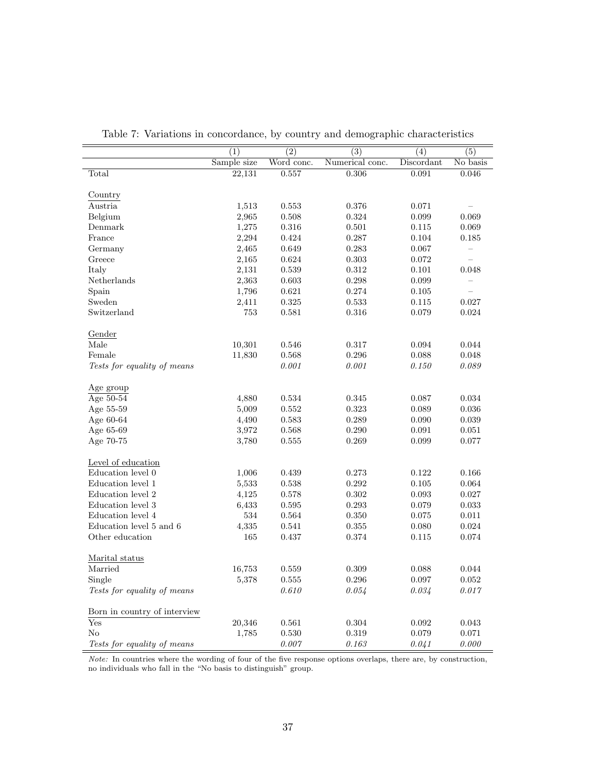|                              | $\overline{(1)}$ | $\overline{(2)}$ | $\overline{(3)}$ | $\overline{(4)}$ | $\overline{(5)}$         |
|------------------------------|------------------|------------------|------------------|------------------|--------------------------|
|                              | Sample size      | Word conc.       | Numerical conc.  | Discordant       | No basis                 |
| Total                        | 22,131           | 0.557            | 0.306            | 0.091            | 0.046                    |
| Country                      |                  |                  |                  |                  |                          |
| Austria                      | 1,513            | 0.553            | 0.376            | 0.071            |                          |
| Belgium                      | 2,965            | 0.508            | 0.324            | 0.099            | 0.069                    |
| Denmark                      | 1,275            | 0.316            | 0.501            | 0.115            | 0.069                    |
| France                       | 2,294            | 0.424            | 0.287            | 0.104            | 0.185                    |
| Germany                      | 2,465            | 0.649            | 0.283            | 0.067            | $\overline{\phantom{m}}$ |
| Greece                       | 2,165            | 0.624            | $\,0.303\,$      | 0.072            |                          |
| Italy                        | 2,131            | 0.539            | 0.312            | 0.101            | 0.048                    |
| Netherlands                  | 2,363            | 0.603            | 0.298            | 0.099            |                          |
| Spain                        | 1,796            | 0.621            | $0.274\,$        | 0.105            |                          |
| Sweden                       | 2,411            | 0.325            | 0.533            | 0.115            | 0.027                    |
| Switzerland                  | 753              | 0.581            | 0.316            | 0.079            | 0.024                    |
| Gender                       |                  |                  |                  |                  |                          |
| Male                         | 10,301           | 0.546            | 0.317            | 0.094            | 0.044                    |
| Female                       | 11,830           | 0.568            | 0.296            | 0.088            | 0.048                    |
| Tests for equality of means  |                  | 0.001            | 0.001            | 0.150            | 0.089                    |
| Age group                    |                  |                  |                  |                  |                          |
| Age 50-54                    | 4,880            | 0.534            | 0.345            | 0.087            | 0.034                    |
| Age 55-59                    | 5,009            | 0.552            | 0.323            | 0.089            | 0.036                    |
| Age 60-64                    | 4,490            | 0.583            | 0.289            | 0.090            | 0.039                    |
| Age 65-69                    | 3,972            | 0.568            | 0.290            | 0.091            | 0.051                    |
| Age 70-75                    | 3,780            | 0.555            | 0.269            | 0.099            | 0.077                    |
| Level of education           |                  |                  |                  |                  |                          |
| Education level 0            | 1,006            | 0.439            | 0.273            | 0.122            | 0.166                    |
| Education level 1            | 5,533            | 0.538            | 0.292            | 0.105            | 0.064                    |
| Education level 2            | 4,125            | 0.578            | 0.302            | 0.093            | 0.027                    |
| Education level 3            | 6,433            | 0.595            | 0.293            | 0.079            | 0.033                    |
| Education level 4            | 534              | 0.564            | 0.350            | 0.075            | 0.011                    |
| Education level 5 and 6      | 4,335            | 0.541            | 0.355            | 0.080            | 0.024                    |
| Other education              | 165              | 0.437            | 0.374            | 0.115            | 0.074                    |
| Marital status               |                  |                  |                  |                  |                          |
| Married                      | 16,753           | 0.559            | 0.309            | 0.088            | 0.044                    |
| Single                       | 5,378            | 0.555            | 0.296            | 0.097            | 0.052                    |
| Tests for equality of means  |                  | 0.610            | 0.054            | 0.034            | 0.017                    |
| Born in country of interview |                  |                  |                  |                  |                          |
| Yes                          | 20,346           | 0.561            | $\,0.304\,$      | 0.092            | 0.043                    |
| $\rm No$                     | 1,785            | 0.530            | 0.319            | 0.079            | 0.071                    |
| Tests for equality of means  |                  | $0.007\,$        | 0.163            | 0.041            | 0.000                    |

Table 7: Variations in concordance, by country and demographic characteristics

Note: In countries where the wording of four of the five response options overlaps, there are, by construction, no individuals who fall in the "No basis to distinguish" group.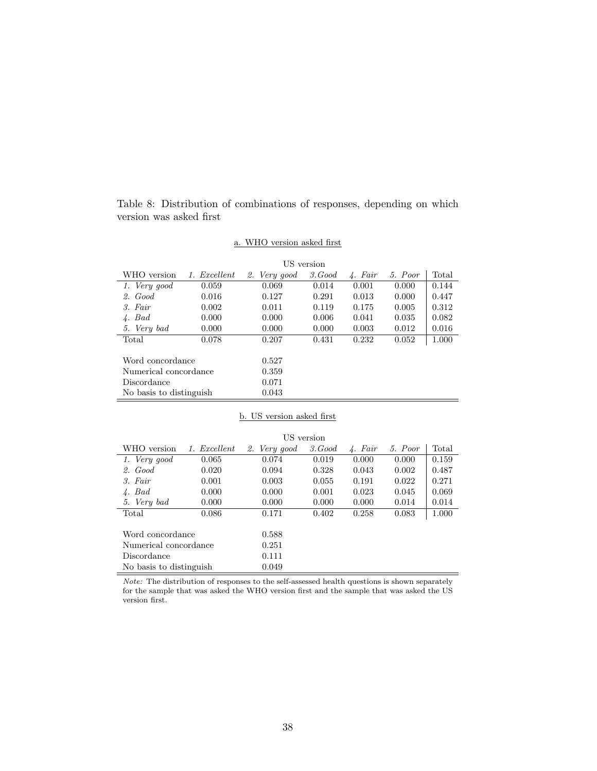Table 8: Distribution of combinations of responses, depending on which version was asked first

## a. WHO version asked first

|                         |                 |              | US version |                   |         |       |
|-------------------------|-----------------|--------------|------------|-------------------|---------|-------|
| WHO version             | Excellent<br>1. | 2. Very good | 3. Good    | $\sqrt{4}$ . Fair | 5. Poor | Total |
| 1. Very good            | 0.059           | 0.069        | 0.014      | 0.001             | 0.000   | 0.144 |
| 2. Good                 | 0.016           | 0.127        | 0.291      | 0.013             | 0.000   | 0.447 |
| 3. Fair                 | 0.002           | 0.011        | 0.119      | 0.175             | 0.005   | 0.312 |
| $4.$ Bad                | 0.000           | 0.000        | 0.006      | 0.041             | 0.035   | 0.082 |
| 5. Very bad             | 0.000           | 0.000        | 0.000      | 0.003             | 0.012   | 0.016 |
| Total                   | 0.078           | 0.207        | 0.431      | 0.232             | 0.052   | 1.000 |
|                         |                 |              |            |                   |         |       |
| Word concordance        |                 | 0.527        |            |                   |         |       |
| Numerical concordance   |                 | 0.359        |            |                   |         |       |
| Discordance             |                 | 0.071        |            |                   |         |       |
| No basis to distinguish |                 | 0.043        |            |                   |         |       |

## b. US version asked first

|                         |              |              | US version |         |         |       |
|-------------------------|--------------|--------------|------------|---------|---------|-------|
| WHO version             | 1. Excellent | 2. Very good | 3. Good    | 4. Fair | 5. Poor | Total |
| 1. Very good            | 0.065        | 0.074        | 0.019      | 0.000   | 0.000   | 0.159 |
| $2.$ Good               | 0.020        | 0.094        | 0.328      | 0.043   | 0.002   | 0.487 |
| 3. Fair                 | 0.001        | 0.003        | 0.055      | 0.191   | 0.022   | 0.271 |
| $4.$ Bad                | 0.000        | 0.000        | 0.001      | 0.023   | 0.045   | 0.069 |
| 5. Very bad             | 0.000        | 0.000        | 0.000      | 0.000   | 0.014   | 0.014 |
| Total                   | 0.086        | 0.171        | 0.402      | 0.258   | 0.083   | 1.000 |
|                         |              |              |            |         |         |       |
| Word concordance        |              | 0.588        |            |         |         |       |
| Numerical concordance   |              | 0.251        |            |         |         |       |
| Discordance             |              | 0.111        |            |         |         |       |
| No basis to distinguish |              | 0.049        |            |         |         |       |

 $\emph{Note:}$  The distribution of responses to the self-assessed health questions is shown separately for the sample that was asked the WHO version first and the sample that was asked the US version first.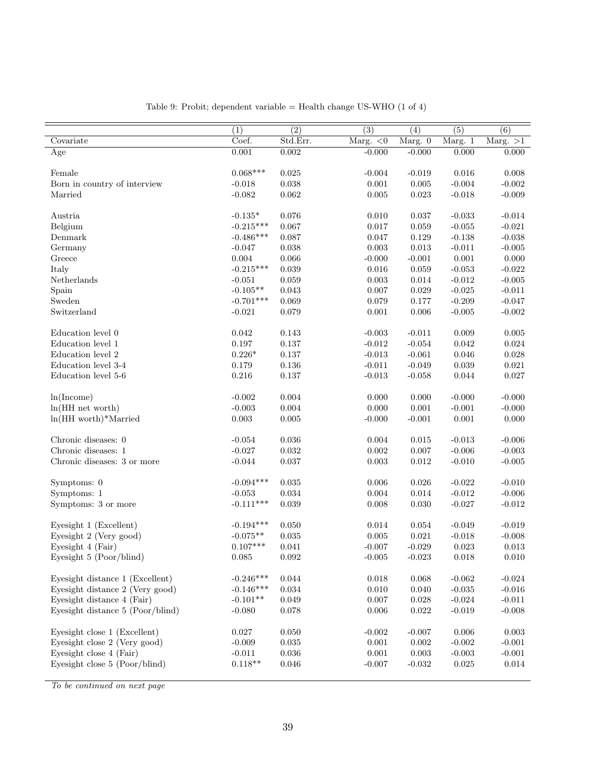|                                  | $\overline{(1)}$ | $\overline{(2)}$ | $\overline{(3)}$ | (4)         | $\overline{(5)}$            | (6)         |
|----------------------------------|------------------|------------------|------------------|-------------|-----------------------------|-------------|
| Covariate                        | Coef.            | Std.Err.         | Marg. $<$ 0      | Marg. 0     | $\overline{\text{Marg.}}$ 1 | Marg. $>1$  |
| Age                              | 0.001            | 0.002            | $-0.000$         | $-0.000$    | 0.000                       | 0.000       |
|                                  |                  |                  |                  |             |                             |             |
| Female                           | $0.068***$       | 0.025            | $-0.004$         | $-0.019$    | 0.016                       | 0.008       |
| Born in country of interview     | $-0.018$         | 0.038            | 0.001            | 0.005       | $-0.004$                    | $-0.002$    |
| Married                          | $-0.082$         | 0.062            | 0.005            | 0.023       | $-0.018$                    | $-0.009$    |
|                                  |                  |                  |                  |             |                             |             |
| Austria                          | $-0.135*$        | 0.076            | 0.010            | 0.037       | $-0.033$                    | $-0.014$    |
| Belgium                          | $-0.215***$      | 0.067            | 0.017            | 0.059       | $-0.055$                    | $-0.021$    |
| Denmark                          | $-0.486***$      | 0.087            | 0.047            | 0.129       | $-0.138$                    | $-0.038$    |
| Germany                          | $-0.047$         | 0.038            | 0.003            | 0.013       | $-0.011$                    | $-0.005$    |
| Greece                           | 0.004            | 0.066            | $-0.000$         | $-0.001$    | 0.001                       | 0.000       |
| Italy                            | $-0.215***$      | 0.039            | 0.016            | $\,0.059\,$ | $-0.053$                    | $-0.022$    |
| Netherlands                      | $-0.051$         | 0.059            | 0.003            | 0.014       | $-0.012$                    | $-0.005$    |
| Spain                            | $-0.105**$       | $\,0.043\,$      | 0.007            | 0.029       | $-0.025$                    | $-0.011$    |
| Sweden                           | $-0.701***$      | 0.069            | 0.079            | 0.177       | $-0.209$                    | $-0.047$    |
| Switzerland                      | $-0.021$         | 0.079            | 0.001            | 0.006       | $-0.005$                    | $-0.002$    |
|                                  |                  |                  |                  |             |                             |             |
| Education level 0                | 0.042            | 0.143            | $-0.003$         | $-0.011$    | 0.009                       | 0.005       |
| Education level 1                | 0.197            | 0.137            | $-0.012$         | $-0.054$    | 0.042                       | 0.024       |
| Education level 2                | $0.226*$         | $0.137\,$        | $-0.013$         | $-0.061$    | 0.046                       | 0.028       |
| Education level 3-4              | 0.179            | $0.136\,$        | $-0.011$         | $-0.049$    | 0.039                       | 0.021       |
| Education level 5-6              | 0.216            | 0.137            | $-0.013$         | $-0.058$    | 0.044                       | 0.027       |
|                                  |                  |                  |                  |             |                             |             |
| ln(Income)                       | $-0.002$         | 0.004            | 0.000            | 0.000       | $-0.000$                    | $-0.000$    |
| $ln(HH$ net worth)               | $-0.003$         | $0.004\,$        | 0.000            | $0.001\,$   | $-0.001$                    | $-0.000$    |
| $ln(HH$ worth)*Married           | $\,0.003\,$      | $0.005\,$        | $-0.000$         | $-0.001$    | 0.001                       | 0.000       |
| Chronic diseases: 0              | $-0.054$         | 0.036            | 0.004            | 0.015       | $-0.013$                    | $-0.006$    |
| Chronic diseases: 1              | $-0.027$         | $\,0.032\,$      | 0.002            | 0.007       | $-0.006$                    | $-0.003$    |
| Chronic diseases: 3 or more      | $-0.044$         | 0.037            | 0.003            | 0.012       | $-0.010$                    | $-0.005$    |
|                                  |                  |                  |                  |             |                             |             |
| Symptoms: 0                      | $-0.094***$      | $\,0.035\,$      | 0.006            | 0.026       | $-0.022$                    | $-0.010$    |
| Symptoms: 1                      | $-0.053$         | $\,0.034\,$      | 0.004            | $\,0.014\,$ | $-0.012$                    | $-0.006$    |
| Symptoms: 3 or more              | $-0.111***$      | 0.039            | 0.008            | 0.030       | $-0.027$                    | $-0.012$    |
|                                  |                  |                  |                  |             |                             |             |
| Eyesight 1 (Excellent)           | $-0.194***$      | 0.050            | 0.014            | 0.054       | $-0.049$                    | $-0.019$    |
| Eyesight 2 (Very good)           | $-0.075**$       | 0.035            | 0.005            | $\,0.021\,$ | $-0.018$                    | $-0.008$    |
| Eyesight 4 (Fair)                | $0.107***$       | 0.041            | $-0.007$         | $-0.029$    | 0.023                       | $\,0.013\,$ |
| Eyesight 5 (Poor/blind)          | $0.085\,$        | 0.092            | $-0.005$         | $-0.023$    | 0.018                       | $0.010\,$   |
|                                  |                  |                  |                  |             |                             |             |
| Eyesight distance 1 (Excellent)  | $-0.246***$      | $0.044\,$        | 0.018            | 0.068       | $-0.062$                    | $-0.024$    |
| Eyesight distance 2 (Very good)  | $-0.146***$      | $\,0.034\,$      | 0.010            | 0.040       | $-0.035$                    | $-0.016$    |
| Eyesight distance 4 (Fair)       | $-0.101**$       | $\,0.049\,$      | $0.007\,$        | $0.028\,$   | $-0.024$                    | $-0.011$    |
| Eyesight distance 5 (Poor/blind) | $-0.080$         | 0.078            | 0.006            | $\,0.022\,$ | $-0.019$                    | $-0.008$    |
|                                  |                  |                  |                  |             |                             |             |
| Eyesight close 1 (Excellent)     | 0.027            | 0.050            | $-0.002$         | $-0.007$    | 0.006                       | $\,0.003\,$ |
| Eyesight close 2 (Very good)     | $-0.009$         | 0.035            | 0.001            | $0.002\,$   | $-0.002$                    | $-0.001$    |
| Eyesight close 4 (Fair)          | $-0.011$         | 0.036            | 0.001            | 0.003       | $-0.003$                    | $-0.001$    |
| Eyesight close 5 (Poor/blind)    | $0.118**$        | 0.046            | $-0.007$         | $-0.032$    | $\,0.025\,$                 | $\,0.014\,$ |
|                                  |                  |                  |                  |             |                             |             |

Table 9: Probit; dependent variable = Health change US-WHO  $(1 \text{ of } 4)$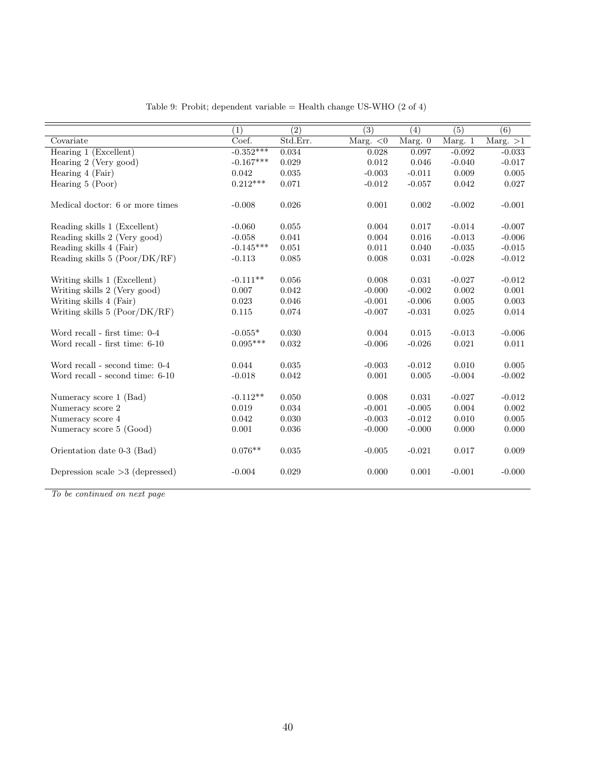|                                   | $\left( 1\right)$ | $\overline{(2)}$ | $\overline{(3)}$ | (4)       | (5)      | $\overline{(6)}$ |
|-----------------------------------|-------------------|------------------|------------------|-----------|----------|------------------|
| Covariate                         | Coef.             | Std.Err.         | Marg. $<$ 0      | Marg. $0$ | Marg. 1  | Marg. $>1$       |
| Hearing 1 (Excellent)             | $-0.352***$       | 0.034            | 0.028            | 0.097     | $-0.092$ | $-0.033$         |
| Hearing 2 (Very good)             | $-0.167***$       | 0.029            | 0.012            | 0.046     | $-0.040$ | $-0.017$         |
| Hearing 4 (Fair)                  | 0.042             | 0.035            | $-0.003$         | $-0.011$  | 0.009    | 0.005            |
| Hearing 5 (Poor)                  | $0.212***$        | 0.071            | $-0.012$         | $-0.057$  | 0.042    | 0.027            |
| Medical doctor: 6 or more times   | $-0.008$          | 0.026            | 0.001            | 0.002     | $-0.002$ | $-0.001$         |
| Reading skills 1 (Excellent)      | $-0.060$          | 0.055            | 0.004            | 0.017     | $-0.014$ | $-0.007$         |
| Reading skills 2 (Very good)      | $-0.058$          | 0.041            | 0.004            | 0.016     | $-0.013$ | $-0.006$         |
| Reading skills 4 (Fair)           | $-0.145***$       | 0.051            | 0.011            | 0.040     | $-0.035$ | $-0.015$         |
| Reading skills 5 (Poor/DK/RF)     | $-0.113$          | 0.085            | 0.008            | 0.031     | $-0.028$ | $-0.012$         |
| Writing skills 1 (Excellent)      | $-0.111**$        | 0.056            | 0.008            | 0.031     | $-0.027$ | $-0.012$         |
| Writing skills 2 (Very good)      | 0.007             | 0.042            | $-0.000$         | $-0.002$  | 0.002    | 0.001            |
| Writing skills 4 (Fair)           | 0.023             | 0.046            | $-0.001$         | $-0.006$  | 0.005    | 0.003            |
| Writing skills $5 (Poor/DK/RF)$   | 0.115             | 0.074            | $-0.007$         | $-0.031$  | 0.025    | 0.014            |
| Word recall - first time: 0-4     | $-0.055*$         | 0.030            | 0.004            | 0.015     | $-0.013$ | $-0.006$         |
| Word recall - first time: 6-10    | $0.095***$        | 0.032            | $-0.006$         | $-0.026$  | 0.021    | 0.011            |
| Word recall - second time: 0-4    | 0.044             | 0.035            | $-0.003$         | $-0.012$  | 0.010    | 0.005            |
| Word recall - second time: 6-10   | $-0.018$          | 0.042            | 0.001            | 0.005     | $-0.004$ | $-0.002$         |
| Numeracy score 1 (Bad)            | $-0.112**$        | 0.050            | 0.008            | 0.031     | $-0.027$ | $-0.012$         |
| Numeracy score 2                  | 0.019             | 0.034            | $-0.001$         | $-0.005$  | 0.004    | 0.002            |
| Numeracy score 4                  | 0.042             | 0.030            | $-0.003$         | $-0.012$  | 0.010    | 0.005            |
| Numeracy score 5 (Good)           | 0.001             | 0.036            | $-0.000$         | $-0.000$  | 0.000    | 0.000            |
| Orientation date 0-3 (Bad)        | $0.076**$         | 0.035            | $-0.005$         | $-0.021$  | 0.017    | 0.009            |
| Depression scale $>3$ (depressed) | $-0.004$          | 0.029            | 0.000            | 0.001     | $-0.001$ | $-0.000$         |
|                                   |                   |                  |                  |           |          |                  |

Table 9: Probit; dependent variable = Health change US-WHO (2 of 4)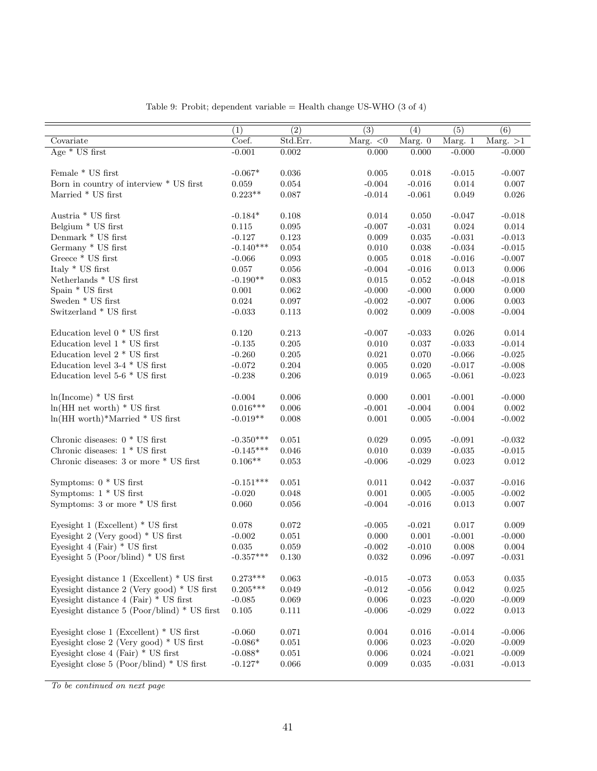|                                                 | $\overline{(1)}$ | $\overline{(2)}$ | $\overline{(3)}$ | $\overline{(4)}$ | $\overline{(5)}$            | (6)         |
|-------------------------------------------------|------------------|------------------|------------------|------------------|-----------------------------|-------------|
| Covariate                                       | Coef.            | Std.Err.         | Marg. $<0$       | Marg. 0          | $\overline{\text{Marg.}}$ 1 | Marg. $>1$  |
| Age $*$ US first                                | $-0.001$         | 0.002            | 0.000            | 0.000            | $-0.000$                    | $-0.000$    |
| Female * US first                               | $-0.067*$        | 0.036            | 0.005            | 0.018            | $-0.015$                    | $-0.007$    |
| Born in country of interview * US first         | 0.059            | $\,0.054\,$      | $-0.004$         | $-0.016$         | $0.014\,$                   | $0.007\,$   |
| Married $*$ US first                            | $0.223**$        | 0.087            | $-0.014$         | $-0.061$         | $\,0.049\,$                 | $0.026\,$   |
| Austria * US first                              | $-0.184*$        | 0.108            | 0.014            | 0.050            | $-0.047$                    | $-0.018$    |
| Belgium * US first                              | 0.115            | 0.095            | $-0.007$         | $-0.031$         | $\,0.024\,$                 | $\,0.014\,$ |
| Denmark * US first                              | $-0.127$         | 0.123            | 0.009            | $\,0.035\,$      | $-0.031$                    | $-0.013$    |
| Germany * US first                              | $-0.140***$      | $\,0.054\,$      | 0.010            | 0.038            | $-0.034$                    | $-0.015$    |
| Greece $*$ US first                             | $-0.066$         | 0.093            | 0.005            | 0.018            | $-0.016$                    | $-0.007$    |
| Italy $^\ast$ US first                          | 0.057            | $0.056\,$        | $-0.004$         | $-0.016$         | 0.013                       | 0.006       |
| Netherlands * US first                          | $-0.190**$       | $\,0.083\,$      | $\,0.015\,$      | 0.052            | $-0.048$                    | $-0.018$    |
| Spain * US first                                | $0.001\,$        | $\,0.062\,$      | $-0.000$         | $-0.000$         | $0.000\,$                   | $0.000\,$   |
| Sweden $*$ US first                             | 0.024            | 0.097            | $-0.002$         | $-0.007$         | 0.006                       | 0.003       |
| Switzerland * US first                          | $-0.033$         | $\rm 0.113$      | 0.002            | 0.009            | $-0.008$                    | $-0.004$    |
| Education level $0 * US$ first                  | 0.120            | 0.213            | $-0.007$         | $-0.033$         | 0.026                       | 0.014       |
| Education level $1 * US$ first                  | $-0.135$         | 0.205            | 0.010            | $0.037\,$        | $-0.033$                    | $-0.014$    |
| Education level $2 * US$ first                  | $-0.260$         | 0.205            | 0.021            | 0.070            | $-0.066$                    | $-0.025$    |
| Education level $3-4$ * US first                | $-0.072$         | 0.204            | 0.005            | 0.020            | $-0.017$                    | $-0.008$    |
| Education level 5-6 $*$ US first                | $-0.238$         | 0.206            | 0.019            | 0.065            | $-0.061$                    | $-0.023$    |
| $ln(Income) * US first$                         | $-0.004$         | 0.006            | 0.000            | 0.001            | $-0.001$                    | $-0.000$    |
| $ln(HH$ net worth) $*$ US first                 | $0.016***$       | $0.006\,$        | $-0.001$         | $-0.004$         | $0.004\,$                   | $0.002\,$   |
| $ln(HH$ worth)*Married * US first               | $-0.019**$       | 0.008            | $0.001\,$        | $0.005\,$        | $-0.004$                    | $-0.002$    |
| Chronic diseases: $0 * US$ first                | $-0.350***$      | 0.051            | 0.029            | 0.095            | $-0.091$                    | $-0.032$    |
| Chronic diseases: $1 * US$ first                | $-0.145***$      | $0.046\,$        | 0.010            | 0.039            | $-0.035$                    | $-0.015$    |
| Chronic diseases: 3 or more * US first          | $0.106**$        | $\,0.053\,$      | $-0.006$         | $-0.029$         | $\,0.023\,$                 | $\,0.012\,$ |
| Symptoms: $0 * US$ first                        | $-0.151***$      | 0.051            | 0.011            | 0.042            | $-0.037$                    | $-0.016$    |
| Symptoms: $1 * US first$                        | $-0.020$         | 0.048            | 0.001            | $0.005\,$        | $-0.005$                    | $-0.002$    |
| Symptoms: 3 or more * US first                  | 0.060            | 0.056            | $-0.004$         | $-0.016$         | 0.013                       | 0.007       |
| Eyesight $1$ (Excellent) $*$ US first           | 0.078            | 0.072            | $-0.005$         | $-0.021$         | 0.017                       | 0.009       |
| Eyesight 2 (Very good) $*$ US first             | $-0.002$         | 0.051            | 0.000            | $0.001\,$        | $-0.001$                    | $-0.000$    |
| Eyesight 4 (Fair) $*$ US first                  | $\,0.035\,$      | 0.059            | $-0.002$         | $-0.010$         | 0.008                       | 0.004       |
| Eyesight 5 (Poor/blind) * US first              | $-0.357***$      | 0.130            | 0.032            | 0.096            | $-0.097$                    | $-0.031$    |
| Eyesight distance $1$ (Excellent) $*$ US first  | $0.273***$       | 0.063            | $-0.015$         | $-0.073$         | 0.053                       | 0.035       |
| Eyesight distance $2$ (Very good) $*$ US first  | $0.205***$       | 0.049            | $-0.012$         | $-0.056$         | 0.042                       | $\,0.025\,$ |
| Eyesight distance $4$ (Fair) $*$ US first       | $-0.085$         | $\,0.069\,$      | $0.006\,$        | $\,0.023\,$      | $-0.020$                    | $-0.009$    |
| Eyesight distance $5$ (Poor/blind) $*$ US first | $0.105\,$        | $0.111\,$        | $-0.006$         | $-0.029$         | 0.022                       | 0.013       |
| Eyesight close $1$ (Excellent) $*$ US first     | $-0.060$         | 0.071            | 0.004            | 0.016            | $-0.014$                    | $-0.006$    |
| Eyesight close $2$ (Very good) $*$ US first     | $-0.086*$        | 0.051            | 0.006            | 0.023            | $-0.020$                    | $-0.009$    |
| Eyesight close 4 (Fair) $*$ US first            | $-0.088*$        | $\,0.051\,$      | 0.006            | 0.024            | $-0.021$                    | $-0.009$    |
| Eyesight close $5$ (Poor/blind) $*$ US first    | $-0.127*$        | 0.066            | 0.009            | 0.035            | $-0.031$                    | $-0.013$    |

Table 9: Probit; dependent variable = Health change US-WHO (3 of 4)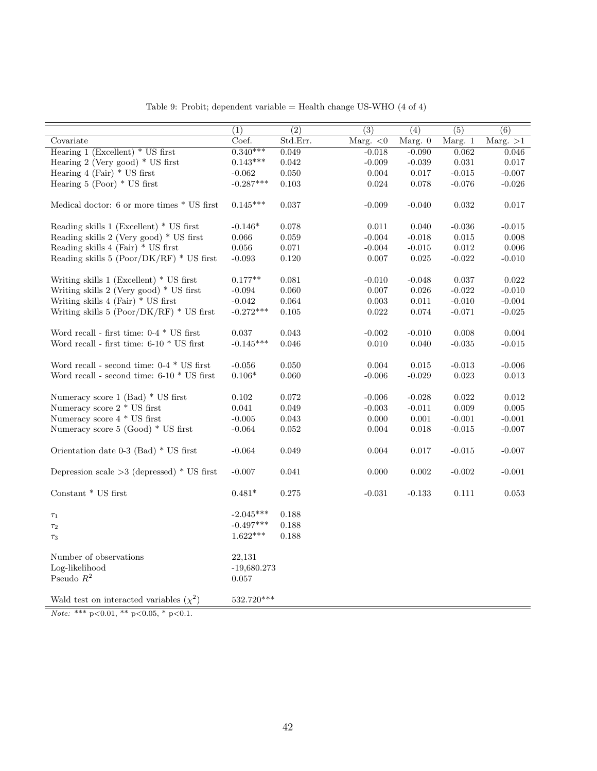|                                                      | $\overline{(1)}$ | $\overline{(2)}$ | $\overline{(3)}$ | $\overline{(4)}$ | $\overline{(5)}$            | $\overline{(6)}$ |
|------------------------------------------------------|------------------|------------------|------------------|------------------|-----------------------------|------------------|
| Covariate                                            | Coef.            | Std.Err.         | Marg. $<$ 0      | Marg. $0$        | $\overline{\text{Marg.}}$ 1 | Marg. $>1$       |
| Hearing $1$ (Excellent) $*$ US first                 | $0.340***$       | 0.049            | $-0.018$         | $-0.090$         | 0.062                       | 0.046            |
| Hearing 2 (Very good) $*$ US first                   | $0.143***$       | 0.042            | $-0.009$         | $-0.039$         | 0.031                       | 0.017            |
| Hearing $4$ (Fair) $*$ US first                      | $-0.062$         | 0.050            | $0.004\,$        | 0.017            | $-0.015$                    | $-0.007$         |
| Hearing $5$ (Poor) $*$ US first                      | $-0.287***$      | 0.103            | 0.024            | 0.078            | $-0.076$                    | $-0.026$         |
|                                                      |                  |                  |                  |                  |                             |                  |
| Medical doctor: 6 or more times * US first           | $0.145***$       | 0.037            | $-0.009$         | $-0.040$         | 0.032                       | 0.017            |
|                                                      |                  |                  |                  |                  |                             |                  |
| Reading skills 1 (Excellent) * US first              | $-0.146*$        | 0.078            | 0.011            | 0.040            | $-0.036$                    | $-0.015$         |
| Reading skills $2$ (Very good) $*$ US first          | 0.066            | 0.059            | $-0.004$         | $-0.018$         | 0.015                       | 0.008            |
| Reading skills $4$ (Fair) $*$ US first               | 0.056            | 0.071            | $-0.004$         | $-0.015$         | 0.012                       | 0.006            |
| Reading skills $5 (Poor/DK/RF) * US$ first           | $-0.093$         | 0.120            | 0.007            | 0.025            | $-0.022$                    | $-0.010$         |
|                                                      |                  |                  |                  |                  |                             |                  |
| Writing skills $1$ (Excellent) $*$ US first          | $0.177**$        | 0.081            | $-0.010$         | $-0.048$         | 0.037                       | 0.022            |
| Writing skills $2$ (Very good) $*$ US first          | $-0.094$         | 0.060            | 0.007            | 0.026            | $-0.022$                    | $-0.010$         |
| Writing skills $4$ (Fair) $*$ US first               | $-0.042$         | 0.064            | 0.003            | 0.011            | $-0.010$                    | $-0.004$         |
| Writing skills $5 (Poor/DK/RF) * US$ first           | $-0.272***$      | $0.105\,$        | $\,0.022\,$      | $\,0.074\,$      | $-0.071$                    | $-0.025$         |
| Word recall - first time: $0-4 * US$ first           | 0.037            | 0.043            | $-0.002$         | $-0.010$         | $0.008\,$                   | 0.004            |
| Word recall - first time: $6\text{-}10$ $*$ US first | $-0.145***$      | 0.046            | 0.010            | 0.040            | $-0.035$                    | $-0.015$         |
|                                                      |                  |                  |                  |                  |                             |                  |
| Word recall - second time: $0-4$ $^*$ US first       | $-0.056$         | 0.050            | 0.004            | 0.015            | $-0.013$                    | $-0.006$         |
| Word recall - second time: $6-10$ $*$ US first       | $0.106*$         | 0.060            | $-0.006$         | $-0.029$         | 0.023                       | $\,0.013\,$      |
|                                                      |                  |                  |                  |                  |                             |                  |
| Numeracy score $1$ (Bad) $*$ US first                | 0.102            | 0.072            | $-0.006$         | $-0.028$         | 0.022                       | 0.012            |
| Numeracy score $2 * US$ first                        | 0.041            | 0.049            | $-0.003$         | $-0.011$         | 0.009                       | 0.005            |
| Numeracy score 4 * US first                          | $-0.005$         | 0.043            | 0.000            | 0.001            | $-0.001$                    | $-0.001$         |
| Numeracy score $5 \text{ (Good)} * \text{US first}$  | $-0.064$         | 0.052            | 0.004            | 0.018            | $-0.015$                    | $-0.007$         |
|                                                      |                  |                  |                  |                  |                             |                  |
| Orientation date $0-3$ (Bad) $*$ US first            | $-0.064$         | 0.049            | 0.004            | 0.017            | $-0.015$                    | $-0.007$         |
|                                                      |                  |                  |                  |                  |                             |                  |
| Depression scale $>3$ (depressed) $*$ US first       | $-0.007$         | $\,0.041\,$      | 0.000            | $0.002\,$        | $-0.002$                    | $-0.001$         |
|                                                      |                  |                  |                  |                  |                             |                  |
| Constant $*$ US first                                | $0.481*$         | 0.275            | $-0.031$         | $-0.133$         | 0.111                       | 0.053            |
|                                                      |                  |                  |                  |                  |                             |                  |
| $\tau_1$                                             | $-2.045***$      | 0.188            |                  |                  |                             |                  |
| $\tau_2$                                             | $-0.497***$      | 0.188            |                  |                  |                             |                  |
| $\tau_3$                                             | $1.622***$       | 0.188            |                  |                  |                             |                  |
|                                                      |                  |                  |                  |                  |                             |                  |
| Number of observations                               | 22,131           |                  |                  |                  |                             |                  |
| Log-likelihood                                       | $-19,680.273$    |                  |                  |                  |                             |                  |
| Pseudo $R^2$                                         | 0.057            |                  |                  |                  |                             |                  |
| Wald test on interacted variables $(\chi^2)$         | 532.720***       |                  |                  |                  |                             |                  |
|                                                      |                  |                  |                  |                  |                             |                  |

Table 9: Probit; dependent variable = Health change US-WHO (4 of 4)

Note: \*\*\*  $p<0.01$ , \*\*  $p<0.05$ , \*  $p<0.1$ .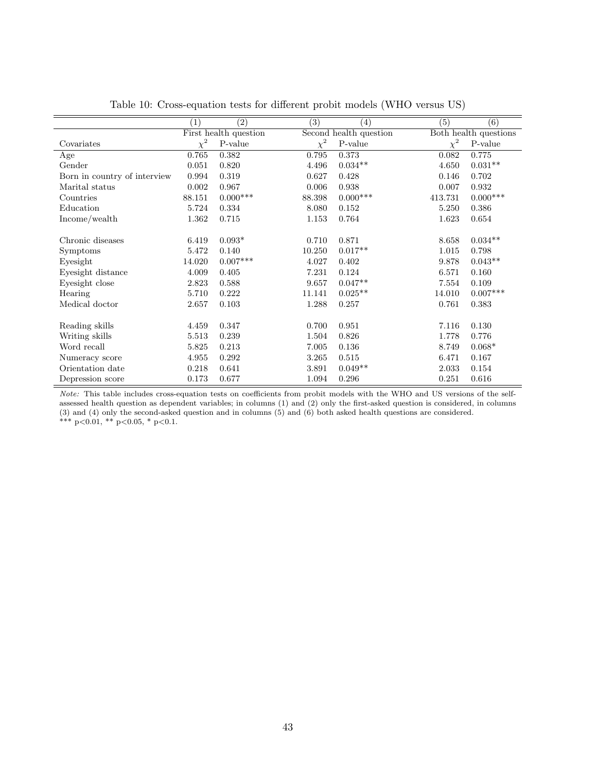|                              | (1)      | (2)                   | $\overline{(3)}$ | (4)                    | (5)      | (6)                   |
|------------------------------|----------|-----------------------|------------------|------------------------|----------|-----------------------|
|                              |          | First health question |                  | Second health question |          | Both health questions |
| Covariates                   | $\chi^2$ | $P-value$             | $\chi^2$         | $P-value$              | $\chi^2$ | $P-value$             |
| Age                          | 0.765    | 0.382                 | 0.795            | 0.373                  | 0.082    | 0.775                 |
| Gender                       | 0.051    | 0.820                 | 4.496            | $0.034**$              | 4.650    | $0.031**$             |
| Born in country of interview | 0.994    | 0.319                 | 0.627            | 0.428                  | 0.146    | 0.702                 |
| Marital status               | 0.002    | 0.967                 | 0.006            | 0.938                  | 0.007    | 0.932                 |
| Countries                    | 88.151   | $0.000***$            | 88.398           | $0.000***$             | 413.731  | $0.000***$            |
| Education                    | 5.724    | 0.334                 | 8.080            | 0.152                  | 5.250    | 0.386                 |
| Income/wealth                | 1.362    | 0.715                 | 1.153            | 0.764                  | 1.623    | 0.654                 |
|                              |          |                       |                  |                        |          |                       |
| Chronic diseases             | 6.419    | $0.093*$              | 0.710            | 0.871                  | 8.658    | $0.034**$             |
| Symptoms                     | 5.472    | 0.140                 | 10.250           | $0.017**$              | 1.015    | 0.798                 |
| Eyesight                     | 14.020   | $0.007***$            | 4.027            | 0.402                  | 9.878    | $0.043**$             |
| Eyesight distance            | 4.009    | 0.405                 | 7.231            | 0.124                  | 6.571    | 0.160                 |
| Eyesight close               | 2.823    | 0.588                 | 9.657            | $0.047**$              | 7.554    | 0.109                 |
| Hearing                      | 5.710    | 0.222                 | 11.141           | $0.025**$              | 14.010   | $0.007***$            |
| Medical doctor               | 2.657    | 0.103                 | 1.288            | 0.257                  | 0.761    | 0.383                 |
|                              |          |                       |                  |                        |          |                       |
| Reading skills               | 4.459    | 0.347                 | 0.700            | 0.951                  | 7.116    | 0.130                 |
| Writing skills               | 5.513    | 0.239                 | 1.504            | 0.826                  | 1.778    | 0.776                 |
| Word recall                  | 5.825    | 0.213                 | 7.005            | 0.136                  | 8.749    | $0.068*$              |
| Numeracy score               | 4.955    | 0.292                 | 3.265            | 0.515                  | 6.471    | 0.167                 |
| Orientation date             | 0.218    | 0.641                 | 3.891            | $0.049**$              | 2.033    | 0.154                 |
| Depression score             | 0.173    | 0.677                 | 1.094            | 0.296                  | 0.251    | 0.616                 |

Table 10: Cross-equation tests for different probit models (WHO versus US)

Note: This table includes cross-equation tests on coefficients from probit models with the WHO and US versions of the selfassessed health question as dependent variables; in columns (1) and (2) only the first-asked question is considered, in columns (3) and (4) only the second-asked question and in columns (5) and (6) both asked health questions are considered. \*\*\*  $p<0.01$ , \*\*  $p<0.05$ , \*  $p<0.1$ .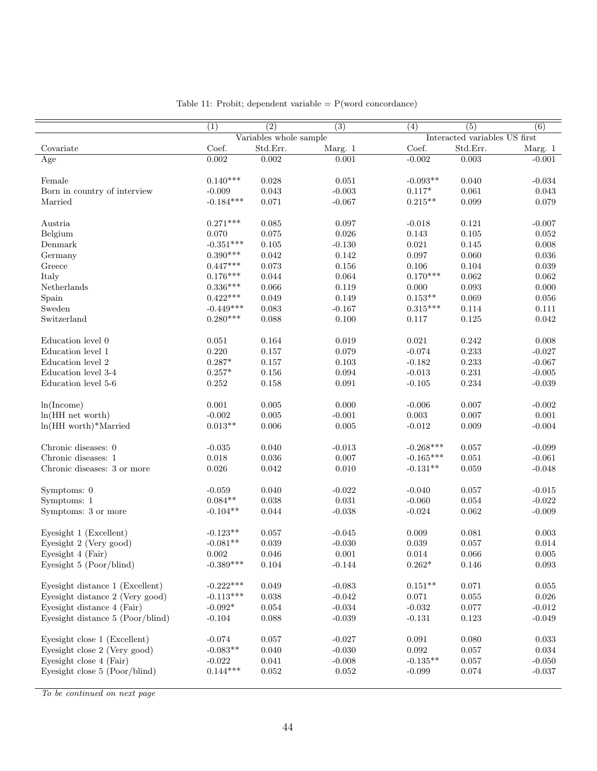|                                  | (1)         | $\overline{(2)}$       | $\overline{(3)}$ | (4)         | $\overline{(5)}$              | (6)         |
|----------------------------------|-------------|------------------------|------------------|-------------|-------------------------------|-------------|
|                                  |             | Variables whole sample |                  |             | Interacted variables US first |             |
| Covariate                        | Coef.       | Std.Err.               | Marg. 1          | Coef.       | Std.Err.                      | Marg. 1     |
| Age                              | 0.002       | 0.002                  | 0.001            | $-0.002$    | 0.003                         | $-0.001$    |
| Female                           | $0.140***$  | 0.028                  | 0.051            | $-0.093**$  | 0.040                         | $-0.034$    |
|                                  |             |                        |                  |             |                               |             |
| Born in country of interview     | $-0.009$    | 0.043                  | $-0.003$         | $0.117*$    | 0.061                         | 0.043       |
| Married                          | $-0.184***$ | 0.071                  | $-0.067$         | $0.215**$   | 0.099                         | 0.079       |
| Austria                          | $0.271***$  | 0.085                  | 0.097            | $-0.018$    | 0.121                         | $-0.007$    |
| Belgium                          | 0.070       | $\,0.075\,$            | 0.026            | $\rm 0.143$ | $0.105\,$                     | $0.052\,$   |
| Denmark                          | $-0.351***$ | 0.105                  | $-0.130$         | 0.021       | 0.145                         | 0.008       |
| Germany                          | $0.390***$  | 0.042                  | 0.142            | 0.097       | 0.060                         | 0.036       |
| Greece                           | $0.447***$  | 0.073                  | 0.156            | $0.106\,$   | $\,0.104\,$                   | $\,0.039\,$ |
| Italy                            | $0.176***$  | 0.044                  | $\,0.064\,$      | $0.170***$  | 0.062                         | 0.062       |
| Netherlands                      | $0.336***$  | 0.066                  | 0.119            | 0.000       | 0.093                         | 0.000       |
| Spain                            | $0.422***$  | 0.049                  | 0.149            | $0.153**$   | $\,0.069\,$                   | $0.056\,$   |
| Sweden                           | $-0.449***$ | 0.083                  | $-0.167$         | $0.315***$  | 0.114                         | 0.111       |
|                                  |             |                        |                  |             |                               |             |
| Switzerland                      | $0.280***$  | 0.088                  | 0.100            | 0.117       | 0.125                         | 0.042       |
| Education level 0                | $\,0.051\,$ | 0.164                  | 0.019            | $\,0.021\,$ | $0.242\,$                     | 0.008       |
| Education level 1                | 0.220       | 0.157                  | 0.079            | $-0.074$    | $\rm 0.233$                   | $-0.027$    |
| Education level 2                | $0.287*$    | 0.157                  | 0.103            | $-0.182$    | $\rm 0.233$                   | $-0.067$    |
| Education level 3-4              | $0.257*$    | $0.156\,$              | 0.094            | $-0.013$    | 0.231                         | $-0.005$    |
| Education level 5-6              | $0.252\,$   | 0.158                  | 0.091            | $-0.105$    | $0.234\,$                     | $-0.039$    |
|                                  |             |                        |                  |             |                               |             |
| ln(Income)                       | $0.001\,$   | 0.005                  | 0.000            | $-0.006$    | 0.007                         | $-0.002$    |
| $ln(HH$ net worth)               | $-0.002$    | 0.005                  | $-0.001$         | $0.003\,$   | 0.007                         | 0.001       |
| $ln(HH$ worth)*Married           | $0.013**$   | 0.006                  | 0.005            | $-0.012$    | 0.009                         | $-0.004$    |
| Chronic diseases: 0              | $-0.035$    | 0.040                  | $-0.013$         | $-0.268***$ | 0.057                         | $-0.099$    |
| Chronic diseases: 1              | $0.018\,$   | 0.036                  | 0.007            | $-0.165***$ | 0.051                         | $-0.061$    |
|                                  | $0.026\,$   |                        | 0.010            | $-0.131**$  | 0.059                         | $-0.048$    |
| Chronic diseases: 3 or more      |             | 0.042                  |                  |             |                               |             |
| Symptoms: 0                      | $-0.059$    | 0.040                  | $-0.022$         | $-0.040$    | 0.057                         | $-0.015$    |
| Symptoms: 1                      | $0.084**$   | 0.038                  | $\,0.031\,$      | $-0.060$    | 0.054                         | $-0.022$    |
| Symptoms: 3 or more              | $-0.104**$  | 0.044                  | $-0.038$         | $-0.024$    | $\,0.062\,$                   | $-0.009$    |
|                                  |             |                        |                  |             |                               |             |
| Eyesight 1 (Excellent)           | $-0.123**$  | 0.057                  | $-0.045$         | 0.009       | 0.081                         | 0.003       |
| Eyesight 2 (Very good)           | $-0.081**$  | 0.039                  | $-0.030$         | $\,0.039\,$ | 0.057                         | $0.014\,$   |
| Eyesight 4 (Fair)                | $0.002\,$   | $0.046\,$              | $0.001\,$        | $\,0.014\,$ | $0.066\,$                     | $0.005\,$   |
| Eyesight 5 (Poor/blind)          | $-0.389***$ | 0.104                  | $-0.144$         | $0.262*$    | 0.146                         | 0.093       |
| Eyesight distance 1 (Excellent)  | $-0.222***$ | 0.049                  | $-0.083$         | $0.151**$   | 0.071                         | 0.055       |
| Eyesight distance 2 (Very good)  | $-0.113***$ | 0.038                  | $-0.042$         | 0.071       | 0.055                         | 0.026       |
| Eyesight distance 4 (Fair)       | $-0.092*$   | 0.054                  | $-0.034$         | $-0.032$    | $0.077\,$                     | $-0.012$    |
| Eyesight distance 5 (Poor/blind) | $-0.104$    | 0.088                  | $-0.039$         | $-0.131$    | 0.123                         | $-0.049$    |
|                                  |             |                        |                  |             |                               |             |
| Eyesight close 1 (Excellent)     | $-0.074$    | 0.057                  | $-0.027$         | 0.091       | 0.080                         | 0.033       |
| Eyesight close 2 (Very good)     | $-0.083**$  | 0.040                  | $-0.030$         | $\,0.092\,$ | 0.057                         | 0.034       |
| Eyesight close 4 (Fair)          | $-0.022$    | 0.041                  | $-0.008$         | $-0.135**$  | 0.057                         | $-0.050$    |
| Eyesight close 5 (Poor/blind)    | $0.144***$  | 0.052                  | 0.052            | $-0.099$    | 0.074                         | $-0.037$    |
|                                  |             |                        |                  |             |                               |             |

Table 11: Probit; dependent variable  $= P(word concordance)$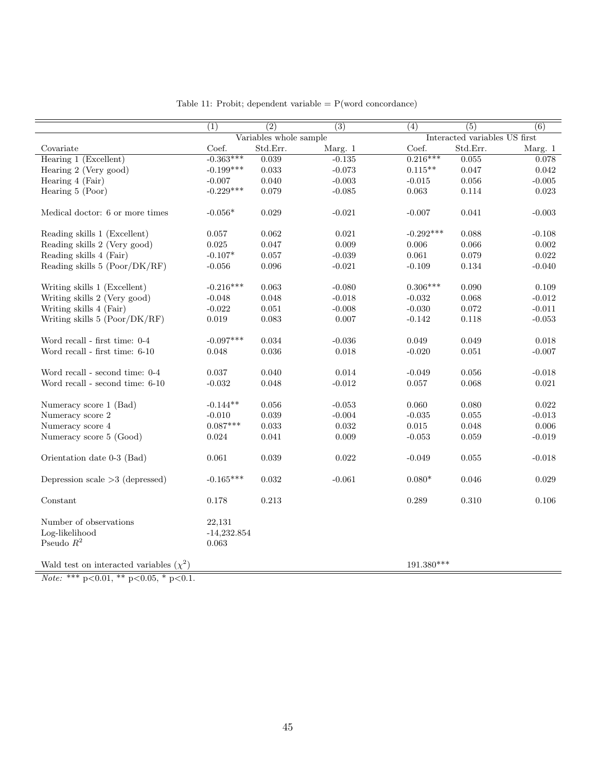|                                                          | (1)                              | $\overline{(2)}$       | (3)      | $\overline{(4)}$ | $\overline{(5)}$              | (6)         |
|----------------------------------------------------------|----------------------------------|------------------------|----------|------------------|-------------------------------|-------------|
|                                                          |                                  | Variables whole sample |          |                  | Interacted variables US first |             |
| Covariate                                                | Coef.                            | Std.Err.               | Marg. 1  | Coef.            | Std.Err.                      | Marg. $1\,$ |
| Hearing 1 (Excellent)                                    | $-0.363***$                      | 0.039                  | $-0.135$ | $0.216***$       | 0.055                         | 0.078       |
| Hearing 2 (Very good)                                    | $-0.199***$                      | 0.033                  | $-0.073$ | $0.115***$       | 0.047                         | 0.042       |
| Hearing 4 (Fair)                                         | $-0.007$                         | 0.040                  | $-0.003$ | $-0.015$         | 0.056                         | $-0.005$    |
| Hearing $5$ (Poor)                                       | $-0.229***$                      | 0.079                  | $-0.085$ | 0.063            | 0.114                         | 0.023       |
| Medical doctor: 6 or more times                          | $-0.056*$                        | 0.029                  | $-0.021$ | $-0.007$         | 0.041                         | $-0.003$    |
| Reading skills 1 (Excellent)                             | 0.057                            | 0.062                  | 0.021    | $-0.292***$      | 0.088                         | $-0.108$    |
| Reading skills 2 (Very good)                             | $\,0.025\,$                      | 0.047                  | 0.009    | 0.006            | 0.066                         | 0.002       |
| Reading skills 4 (Fair)                                  | $-0.107*$                        | 0.057                  | $-0.039$ | 0.061            | 0.079                         | 0.022       |
| Reading skills 5 (Poor/DK/RF)                            | $-0.056$                         | 0.096                  | $-0.021$ | $-0.109$         | 0.134                         | $-0.040$    |
|                                                          |                                  |                        |          |                  |                               |             |
| Writing skills 1 (Excellent)                             | $-0.216***$                      | 0.063                  | $-0.080$ | $0.306***$       | 0.090                         | 0.109       |
| Writing skills 2 (Very good)                             | $-0.048$                         | 0.048                  | $-0.018$ | $-0.032$         | 0.068                         | $-0.012$    |
| Writing skills 4 (Fair)                                  | $-0.022$                         | 0.051                  | $-0.008$ | $-0.030$         | $\rm 0.072$                   | $-0.011$    |
| Writing skills 5 (Poor/DK/RF)                            | 0.019                            | 0.083                  | 0.007    | $-0.142$         | 0.118                         | $-0.053$    |
|                                                          |                                  |                        |          |                  |                               |             |
| Word recall - first time: $0-4$                          | $-0.097***$                      | 0.034                  | $-0.036$ | 0.049            | 0.049                         | 0.018       |
| Word recall - first time: 6-10                           | 0.048                            | 0.036                  | 0.018    | $-0.020$         | 0.051                         | $-0.007$    |
|                                                          |                                  |                        |          |                  |                               |             |
| Word recall - second time: 0-4                           | 0.037                            | 0.040                  | 0.014    | $-0.049$         | 0.056                         | $-0.018$    |
| Word recall - second time: 6-10                          | $-0.032$                         | 0.048                  | $-0.012$ | 0.057            | 0.068                         | 0.021       |
|                                                          |                                  |                        |          |                  |                               |             |
| Numeracy score 1 (Bad)                                   | $-0.144**$                       | 0.056                  | $-0.053$ | 0.060            | 0.080                         | 0.022       |
| Numeracy score 2                                         | $-0.010$                         | 0.039                  | $-0.004$ | $-0.035$         | 0.055                         | $-0.013$    |
| Numeracy score 4                                         | $0.087***$                       | 0.033                  | 0.032    | $0.015\,$        | 0.048                         | 0.006       |
| Numeracy score 5 (Good)                                  | 0.024                            | 0.041                  | 0.009    | $-0.053$         | 0.059                         | $-0.019$    |
| Orientation date 0-3 (Bad)                               | 0.061                            | 0.039                  | 0.022    | $-0.049$         | 0.055                         | $-0.018$    |
| Depression scale $>3$ (depressed)                        | $-0.165***$                      | $\,0.032\,$            | $-0.061$ | $0.080*$         | 0.046                         | $\,0.029\,$ |
| Constant                                                 | 0.178                            | 0.213                  |          | 0.289            | 0.310                         | 0.106       |
| Number of observations<br>Log-likelihood<br>Pseudo $R^2$ | 22,131<br>$-14,232.854$<br>0.063 |                        |          |                  |                               |             |
| Wald test on interacted variables $(\chi^2)$             |                                  |                        |          | $191.380***$     |                               |             |

Table 11: Probit; dependent variable  $= P(word concordance)$ 

Note: \*\*\*  $p<0.01$ , \*\*  $p<0.05$ , \*  $p<0.1$ .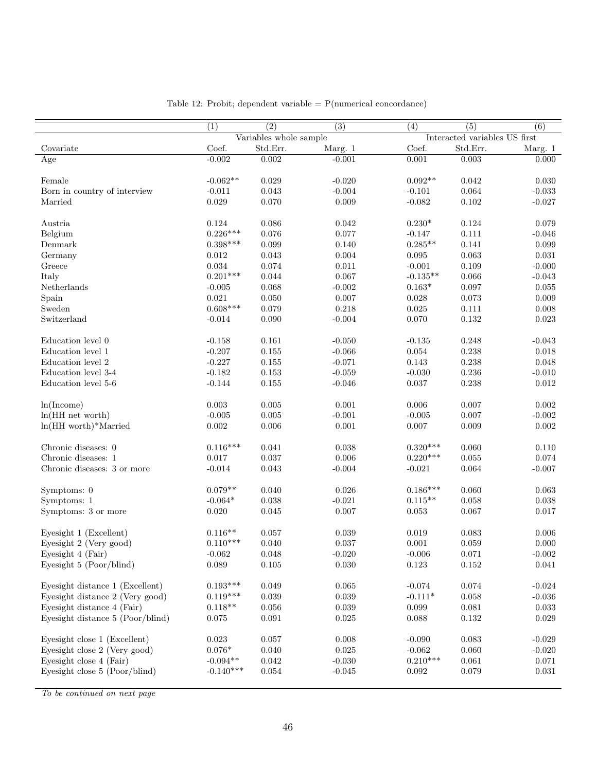|                                  | (1)         | $\overline{(2)}$       | $\overline{(3)}$ | $\overline{(4)}$ | $\overline{(5)}$              | (6)                |
|----------------------------------|-------------|------------------------|------------------|------------------|-------------------------------|--------------------|
|                                  |             | Variables whole sample |                  |                  | Interacted variables US first |                    |
| Covariate                        | Coef.       | Std.Err.               | Marg. 1          | Coef.            | Std.Err.                      | Marg. 1            |
| Age                              | $-0.002$    | 0.002                  | $-0.001$         | 0.001            | 0.003                         | 0.000              |
|                                  |             |                        |                  |                  |                               |                    |
| Female                           | $-0.062**$  | 0.029                  | $-0.020$         | $0.092**$        | 0.042                         | 0.030              |
| Born in country of interview     | $-0.011$    | 0.043                  | $-0.004$         | $-0.101$         | 0.064                         | $-0.033$           |
| Married                          | 0.029       | 0.070                  | 0.009            | $-0.082$         | $\rm 0.102$                   | $-0.027$           |
| Austria                          | 0.124       | 0.086                  | 0.042            | $0.230*$         | 0.124                         | 0.079              |
| Belgium                          | $0.226***$  | 0.076                  | 0.077            | $-0.147$         | 0.111                         | $-0.046$           |
| Denmark                          | $0.398***$  | 0.099                  | 0.140            | $0.285**$        | 0.141                         | 0.099              |
| Germany                          | $\,0.012\,$ | 0.043                  | 0.004            | 0.095            | 0.063                         | 0.031              |
| Greece                           | $\,0.034\,$ | 0.074                  | $0.011\,$        | $-0.001$         | 0.109                         | $-0.000$           |
| Italy                            | $0.201***$  | 0.044                  | 0.067            | $-0.135**$       | 0.066                         | $-0.043$           |
| Netherlands                      | $-0.005$    | 0.068                  | $-0.002$         | $0.163*$         | 0.097                         | $\,0.055\,$        |
| Spain                            | 0.021       | $0.050\,$              | 0.007            | $0.028\,$        | 0.073                         | $0.009\,$          |
| Sweden                           | $0.608***$  | 0.079                  | 0.218            | 0.025            | 0.111                         | 0.008              |
| Switzerland                      | $-0.014$    | 0.090                  | $-0.004$         | $0.070\,$        | $\rm 0.132$                   | 0.023              |
|                                  |             |                        |                  |                  |                               |                    |
| Education level 0                | $-0.158$    | 0.161                  | $-0.050$         | $-0.135$         | 0.248                         | $-0.043$           |
| Education level 1                | $-0.207$    | $0.155\,$              | $-0.066$         | $\,0.054\,$      | 0.238                         | $0.018\,$          |
| Education level 2                | $-0.227$    | $0.155\,$              | $-0.071$         | 0.143            | 0.238                         | 0.048              |
| Education level 3-4              | $-0.182$    | $\rm 0.153$            | $-0.059$         | $-0.030$         | 0.236                         | $-0.010$           |
| Education level 5-6              | $-0.144$    | 0.155                  | $-0.046$         | 0.037            | 0.238                         | $0.012\,$          |
|                                  |             |                        |                  |                  |                               |                    |
| ln(Income)                       | 0.003       | 0.005                  | 0.001            | 0.006            | 0.007                         | 0.002              |
| $ln(HH$ net worth)               | $-0.005$    | 0.005                  | $-0.001$         | $-0.005$         | 0.007                         | $-0.002$           |
| $ln(HH$ worth)*Married           | $\,0.002\,$ | 0.006                  | 0.001            | 0.007            | 0.009                         | $0.002\,$          |
|                                  |             |                        |                  |                  |                               |                    |
| Chronic diseases: 0              | $0.116***$  | 0.041                  | 0.038            | $0.320***$       | 0.060                         | 0.110              |
| Chronic diseases: 1              | 0.017       | 0.037                  | 0.006            | $0.220***$       | 0.055                         | 0.074              |
| Chronic diseases: 3 or more      | $-0.014$    | 0.043                  | $-0.004$         | $-0.021$         | 0.064                         | $-0.007$           |
| Symptoms: 0                      | $0.079**$   | 0.040                  | 0.026            | $0.186***$       | 0.060                         | 0.063              |
| Symptoms: 1                      | $-0.064*$   | 0.038                  | $-0.021$         | $0.115**$        | 0.058                         |                    |
| Symptoms: 3 or more              | 0.020       | 0.045                  | 0.007            | 0.053            | 0.067                         | 0.038<br>$0.017\,$ |
|                                  |             |                        |                  |                  |                               |                    |
| Eyesight 1 (Excellent)           | $0.116**$   | 0.057                  | 0.039            | 0.019            | 0.083                         | 0.006              |
| Eyesight 2 (Very good)           | $0.110***$  | 0.040                  | 0.037            | 0.001            | 0.059                         | 0.000              |
| Eyesight 4 (Fair)                | $-0.062$    | 0.048                  | $-0.020$         | $-0.006$         | 0.071                         | $-0.002$           |
| Eyesight 5 (Poor/blind)          | 0.089       | 0.105                  | 0.030            | 0.123            | 0.152                         | 0.041              |
|                                  |             |                        |                  |                  |                               |                    |
| Eyesight distance 1 (Excellent)  | $0.193***$  | 0.049                  | 0.065            | $-0.074$         | 0.074                         | $-0.024$           |
| Eyesight distance 2 (Very good)  | $0.119***$  | 0.039                  | 0.039            | $-0.111*$        | $\,0.058\,$                   | $-0.036$           |
| Eyesight distance 4 (Fair)       | $0.118**$   | $0.056\,$              | $\,0.039\,$      | $\,0.099\,$      | 0.081                         | $\,0.033\,$        |
| Eyesight distance 5 (Poor/blind) | 0.075       | 0.091                  | 0.025            | 0.088            | 0.132                         | 0.029              |
|                                  |             |                        |                  |                  |                               |                    |
| Eyesight close 1 (Excellent)     | 0.023       | 0.057                  | 0.008            | $-0.090$         | 0.083                         | $-0.029$           |
| Eyesight close 2 (Very good)     | $0.076*$    | 0.040                  | 0.025            | $-0.062$         | 0.060                         | $-0.020$           |
| Eyesight close 4 (Fair)          | $-0.094**$  | 0.042                  | $-0.030$         | $0.210***$       | 0.061                         | 0.071              |
| Eyesight close 5 (Poor/blind)    | $-0.140***$ | 0.054                  | $-0.045$         | 0.092            | 0.079                         | 0.031              |
|                                  |             |                        |                  |                  |                               |                    |

Table 12: Probit; dependent variable  $= P$ (numerical concordance)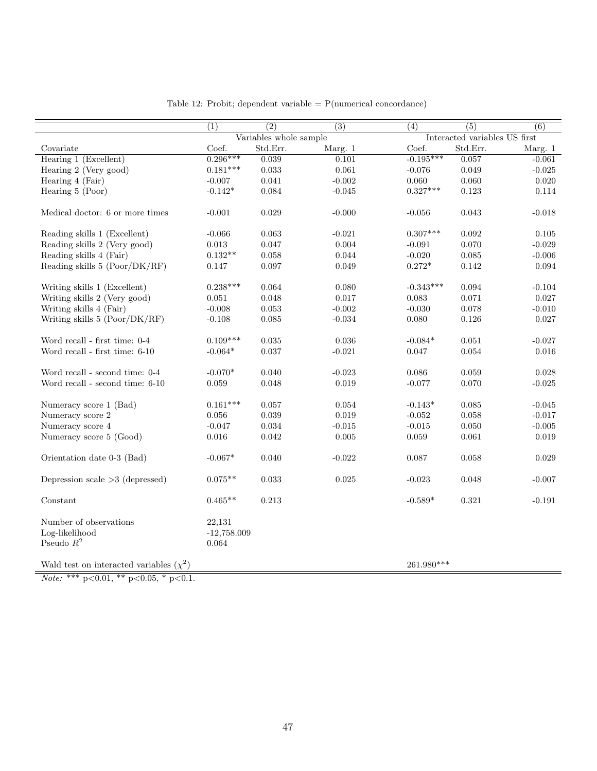|                                              | (1)           | $\overline{(2)}$       | (3)         | (4)          | (5)                           | (6)         |
|----------------------------------------------|---------------|------------------------|-------------|--------------|-------------------------------|-------------|
|                                              |               | Variables whole sample |             |              | Interacted variables US first |             |
| Covariate                                    | Coef.         | Std.Err.               | Marg. 1     | Coef.        | Std.Err.                      | Marg. 1     |
| Hearing 1 (Excellent)                        | $0.296***$    | 0.039                  | 0.101       | $-0.195***$  | 0.057                         | $-0.061$    |
| Hearing 2 (Very good)                        | $0.181***$    | $\,0.033\,$            | 0.061       | $-0.076$     | 0.049                         | $-0.025$    |
| Hearing 4 (Fair)                             | $-0.007$      | 0.041                  | $-0.002$    | 0.060        | 0.060                         | 0.020       |
| Hearing $5$ (Poor)                           | $-0.142*$     | 0.084                  | $-0.045$    | $0.327***$   | 0.123                         | 0.114       |
|                                              |               |                        |             |              |                               |             |
| Medical doctor: 6 or more times              | $-0.001$      | 0.029                  | $-0.000$    | $-0.056$     | 0.043                         | $-0.018$    |
|                                              |               |                        |             |              |                               |             |
| Reading skills 1 (Excellent)                 | $-0.066$      | 0.063                  | $-0.021$    | $0.307***$   | 0.092                         | 0.105       |
| Reading skills 2 (Very good)                 | 0.013         | 0.047                  | 0.004       | $-0.091$     | 0.070                         | $-0.029$    |
| Reading skills 4 (Fair)                      | $0.132**$     | 0.058                  | 0.044       | $-0.020$     | $\,0.085\,$                   | $-0.006$    |
| Reading skills 5 (Poor/DK/RF)                | $0.147\,$     | 0.097                  | 0.049       | $0.272*$     | 0.142                         | $\,0.094\,$ |
|                                              |               |                        |             |              |                               |             |
| Writing skills 1 (Excellent)                 | $0.238***$    | 0.064                  | 0.080       | $-0.343***$  | 0.094                         | $-0.104$    |
| Writing skills 2 (Very good)                 | 0.051         | 0.048                  | 0.017       | 0.083        | 0.071                         | 0.027       |
| Writing skills 4 (Fair)                      | $-0.008$      | 0.053                  | $-0.002$    | $-0.030$     | 0.078                         | $-0.010$    |
| Writing skills 5 (Poor/DK/RF)                | $-0.108$      | 0.085                  | $-0.034$    | 0.080        | $0.126\,$                     | $0.027\,$   |
|                                              |               |                        |             |              |                               |             |
| Word recall - first time: 0-4                | $0.109***$    | $\,0.035\,$            | 0.036       | $-0.084*$    | 0.051                         | $-0.027$    |
| Word recall - first time: 6-10               | $-0.064*$     | 0.037                  | $-0.021$    | 0.047        | 0.054                         | 0.016       |
|                                              |               |                        |             |              |                               |             |
| Word recall - second time: $0-4$             | $-0.070*$     | 0.040                  | $-0.023$    | $\,0.086\,$  | 0.059                         | 0.028       |
| Word recall - second time: $6-10$            | 0.059         | 0.048                  | $\,0.019\,$ | $-0.077$     | 0.070                         | $-0.025$    |
|                                              |               |                        |             |              |                               |             |
| Numeracy score 1 (Bad)                       | $0.161***$    | 0.057                  | 0.054       | $-0.143*$    | 0.085                         | $-0.045$    |
| Numeracy score 2                             | 0.056         | 0.039                  | 0.019       | $-0.052$     | 0.058                         | $-0.017$    |
| Numeracy score 4                             | $-0.047$      | $\,0.034\,$            | $-0.015$    | $-0.015$     | 0.050                         | $-0.005$    |
| Numeracy score 5 (Good)                      | $0.016\,$     | 0.042                  | $0.005\,$   | $\,0.059\,$  | 0.061                         | $\,0.019\,$ |
|                                              |               |                        |             |              |                               |             |
| Orientation date 0-3 (Bad)                   | $-0.067*$     | 0.040                  | $-0.022$    | 0.087        | 0.058                         | 0.029       |
|                                              |               |                        |             |              |                               |             |
| Depression scale $>3$ (depressed)            | $0.075**$     | $\,0.033\,$            | $\,0.025\,$ | $-0.023$     | 0.048                         | $-0.007$    |
|                                              |               |                        |             |              |                               |             |
| Constant                                     | $0.465**$     | $\rm 0.213$            |             | $-0.589*$    | $\rm 0.321$                   | $-0.191$    |
|                                              |               |                        |             |              |                               |             |
| Number of observations                       | 22,131        |                        |             |              |                               |             |
| Log-likelihood                               | $-12,758.009$ |                        |             |              |                               |             |
| Pseudo $R^2$                                 | 0.064         |                        |             |              |                               |             |
|                                              |               |                        |             |              |                               |             |
| Wald test on interacted variables $(\chi^2)$ |               |                        |             | $261.980***$ |                               |             |

Table 12: Probit; dependent variable  $= P$ (numerical concordance)

Note: \*\*\*  $p<0.01$ , \*\*  $p<0.05$ , \*  $p<0.1$ .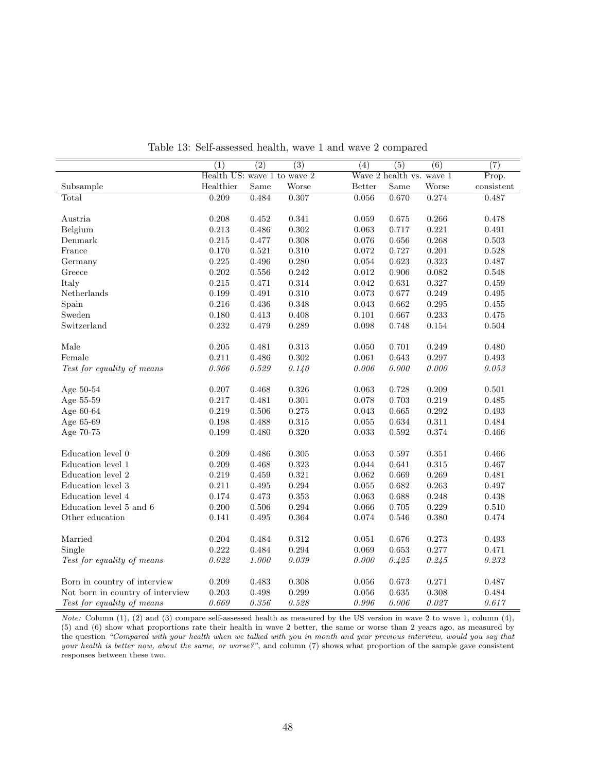|                                  | (1)                         | $\overline{(2)}$ | $\overline{(3)}$ | (4)           | (5)                      | $\overline{(6)}$ | $\overline{(7)}$          |
|----------------------------------|-----------------------------|------------------|------------------|---------------|--------------------------|------------------|---------------------------|
|                                  | Health US: wave 1 to wave 2 |                  |                  |               | Wave 2 health vs. wave 1 |                  | $\overline{\text{Prop.}}$ |
| Subsample                        | Healthier                   | Same             | Worse            | <b>Better</b> | $\operatorname{Same}$    | Worse            | consistent                |
| Total                            | 0.209                       | 0.484            | 0.307            | 0.056         | 0.670                    | 0.274            | 0.487                     |
|                                  |                             |                  |                  |               |                          |                  |                           |
| Austria                          | 0.208                       | $\,0.452\,$      | 0.341            | 0.059         | 0.675                    | 0.266            | 0.478                     |
| Belgium                          | 0.213                       | 0.486            | 0.302            | 0.063         | 0.717                    | 0.221            | 0.491                     |
| Denmark                          | 0.215                       | 0.477            | 0.308            | 0.076         | 0.656                    | 0.268            | 0.503                     |
| France                           | 0.170                       | 0.521            | 0.310            | 0.072         | 0.727                    | 0.201            | $0.528\,$                 |
| Germany                          | 0.225                       | 0.496            | 0.280            | 0.054         | 0.623                    | 0.323            | 0.487                     |
| Greece                           | 0.202                       | 0.556            | 0.242            | 0.012         | 0.906                    | 0.082            | 0.548                     |
| Italy                            | 0.215                       | 0.471            | 0.314            | $\,0.042\,$   | 0.631                    | 0.327            | 0.459                     |
| Netherlands                      | 0.199                       | 0.491            | 0.310            | $\,0.073\,$   | 0.677                    | 0.249            | 0.495                     |
| Spain                            | 0.216                       | 0.436            | 0.348            | 0.043         | 0.662                    | 0.295            | 0.455                     |
| Sweden                           | 0.180                       | $\,0.413\,$      | 0.408            | $0.101\,$     | 0.667                    | 0.233            | $0.475\,$                 |
| Switzerland                      | $\rm 0.232$                 | 0.479            | 0.289            | 0.098         | 0.748                    | $\,0.154\,$      | $\,0.504\,$               |
|                                  |                             |                  |                  |               |                          |                  |                           |
| Male                             | $0.205\,$                   | 0.481            | 0.313            | 0.050         | 0.701                    | 0.249            | 0.480                     |
| Female                           | 0.211                       | 0.486            | 0.302            | 0.061         | 0.643                    | 0.297            | 0.493                     |
| Test for equality of means       | $0.366\,$                   | $0.529\,$        | 0.140            | $0.006\,$     | 0.000                    | $0.000\,$        | 0.053                     |
|                                  |                             |                  |                  |               |                          |                  |                           |
| Age 50-54                        | 0.207                       | 0.468            | 0.326            | 0.063         | 0.728                    | 0.209            | $0.501\,$                 |
| Age 55-59                        | 0.217                       | 0.481            | 0.301            | 0.078         | 0.703                    | 0.219            | 0.485                     |
| Age 60-64                        | 0.219                       | $0.506\,$        | 0.275            | $\,0.043\,$   | 0.665                    | $0.292\,$        | $\,0.493\,$               |
| Age 65-69                        | $0.198\,$                   | 0.488            | $\rm 0.315$      | $\,0.055\,$   | 0.634                    | $0.311\,$        | 0.484                     |
| Age 70-75                        | 0.199                       | 0.480            | 0.320            | $\,0.033\,$   | 0.592                    | $\rm 0.374$      | $\,0.466\,$               |
|                                  |                             |                  |                  |               |                          |                  |                           |
| Education level 0                | 0.209                       | 0.486            | 0.305            | 0.053         | 0.597                    | 0.351            | $0.466\,$                 |
| Education level 1                | 0.209                       | 0.468            | 0.323            | $\,0.044\,$   | 0.641                    | $\,0.315\,$      | $0.467\,$                 |
| Education level 2                | 0.219                       | 0.459            | $\rm 0.321$      | $\,0.062\,$   | 0.669                    | 0.269            | 0.481                     |
| Education level 3                | 0.211                       | 0.495            | 0.294            | $\,0.055\,$   | 0.682                    | 0.263            | $0.497\,$                 |
| Education level 4                | 0.174                       | 0.473            | 0.353            | $\,0.063\,$   | 0.688                    | 0.248            | 0.438                     |
| Education level 5 and 6          | 0.200                       | 0.506            | 0.294            | 0.066         | 0.705                    | $0.229\,$        | $0.510\,$                 |
| Other education                  | 0.141                       | 0.495            | $\,0.364\,$      | 0.074         | 0.546                    | 0.380            | 0.474                     |
|                                  |                             |                  |                  |               |                          |                  |                           |
| Married                          | 0.204                       | 0.484            | 0.312            | $\,0.051\,$   | 0.676                    | 0.273            | 0.493                     |
| Single                           | 0.222                       | 0.484            | 0.294            | 0.069         | 0.653                    | 0.277            | 0.471                     |
| Test for equality of means       | 0.022                       | 1.000            | 0.039            | 0.000         | 0.425                    | 0.245            | $0.232\,$                 |
|                                  |                             |                  |                  |               |                          |                  |                           |
| Born in country of interview     | 0.209                       | 0.483            | 0.308            | 0.056         | 0.673                    | 0.271            | 0.487                     |
| Not born in country of interview | 0.203                       | 0.498            | 0.299            | 0.056         | 0.635                    | 0.308            | 0.484                     |
| Test for equality of means       | 0.669                       | $0.356\,$        | 0.528            | $0.996\,$     | 0.006                    | 0.027            | 0.617                     |

Table 13: Self-assessed health, wave 1 and wave 2 compared

Note: Column (1), (2) and (3) compare self-assessed health as measured by the US version in wave 2 to wave 1, column (4), (5) and (6) show what proportions rate their health in wave 2 better, the same or worse than 2 years ago, as measured by the question "Compared with your health when we talked with you in month and year previous interview, would you say that your health is better now, about the same, or worse?", and column (7) shows what proportion of the sample gave consistent responses between these two.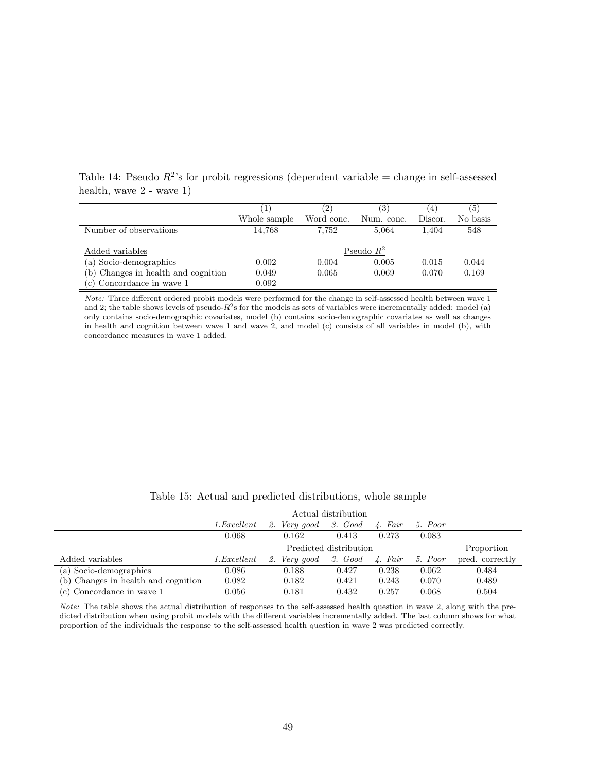| $mean, wave$ $\angle$ - wave $\angle$ 1) |              |            |              |         |          |
|------------------------------------------|--------------|------------|--------------|---------|----------|
|                                          |              |            |              | 4       | . O      |
|                                          | Whole sample | Word conc. | Num. conc.   | Discor. | No basis |
| Number of observations                   | 14.768       | 7.752      | 5.064        | 1.404   | 548      |
| Added variables                          |              |            | Pseudo $R^2$ |         |          |

(a) Socio-demographics 0.002 0.004 0.005 0.015 0.044 (b) Changes in health and cognition 0.049 0.065 0.069 0.070 0.169

 $(c)$  Concordance in wave 1  $0.092$ 

Table 14: Pseudo  $R^2$ 's for probit regressions (dependent variable = change in self-assessed health, wave 2

Note: Three different ordered probit models were performed for the change in self-assessed health between wave 1 and 2; the table shows levels of pseudo- $R^2$ s for the models as sets of variables were incrementally added: model (a) only contains socio-demographic covariates, model (b) contains socio-demographic covariates as well as changes in health and cognition between wave 1 and wave 2, and model (c) consists of all variables in model (b), with concordance measures in wave 1 added.

|                                     |             | Actual distribution  |                        |                  |         |                 |  |  |  |
|-------------------------------------|-------------|----------------------|------------------------|------------------|---------|-----------------|--|--|--|
|                                     | 1.Excellent | 2. Very good 3. Good |                        | 4. Fair          | 5. Poor |                 |  |  |  |
|                                     | 0.068       | 0.162                | 0.413                  | 0.273            | 0.083   |                 |  |  |  |
|                                     |             |                      | Predicted distribution |                  |         | Proportion      |  |  |  |
| Added variables                     | 1.Excellent | 2. Very good         | 3. Good                | $\lambda$ . Fair | 5. Poor | pred. correctly |  |  |  |
| (a) Socio-demographics              | 0.086       | 0.188                | 0.427                  | 0.238            | 0.062   | 0.484           |  |  |  |
| (b) Changes in health and cognition | 0.082       | 0.182                | 0.421                  | 0.243            | 0.070   | 0.489           |  |  |  |
| (c) Concordance in wave 1           | 0.056       | 0.181                | 0.432                  | 0.257            | 0.068   | 0.504           |  |  |  |

Table 15: Actual and predicted distributions, whole sample

Note: The table shows the actual distribution of responses to the self-assessed health question in wave 2, along with the predicted distribution when using probit models with the different variables incrementally added. The last column shows for what proportion of the individuals the response to the self-assessed health question in wave 2 was predicted correctly.